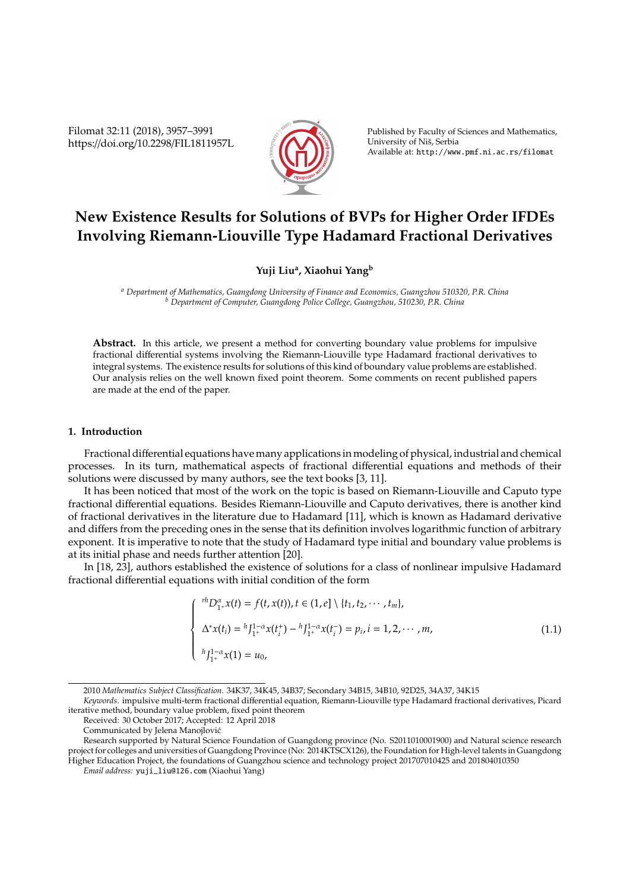Filomat 32:11 (2018), 3957–3991 https://doi.org/10.2298/FIL1811957L



Published by Faculty of Sciences and Mathematics, University of Niš, Serbia Available at: http://www.pmf.ni.ac.rs/filomat

# **New Existence Results for Solutions of BVPs for Higher Order IFDEs Involving Riemann-Liouville Type Hadamard Fractional Derivatives**

## **Yuji Liu<sup>a</sup> , Xiaohui Yang<sup>b</sup>**

*<sup>a</sup> Department of Mathematics, Guangdong University of Finance and Economics, Guangzhou 510320, P.R. China <sup>b</sup> Department of Computer, Guangdong Police College, Guangzhou, 510230, P.R. China*

**Abstract.** In this article, we present a method for converting boundary value problems for impulsive fractional differential systems involving the Riemann-Liouville type Hadamard fractional derivatives to integral systems. The existence results for solutions of this kind of boundary value problems are established. Our analysis relies on the well known fixed point theorem. Some comments on recent published papers are made at the end of the paper.

### **1. Introduction**

Fractional differential equations have many applications in modeling of physical, industrial and chemical processes. In its turn, mathematical aspects of fractional differential equations and methods of their solutions were discussed by many authors, see the text books [3, 11].

It has been noticed that most of the work on the topic is based on Riemann-Liouville and Caputo type fractional differential equations. Besides Riemann-Liouville and Caputo derivatives, there is another kind of fractional derivatives in the literature due to Hadamard [11], which is known as Hadamard derivative and differs from the preceding ones in the sense that its definition involves logarithmic function of arbitrary exponent. It is imperative to note that the study of Hadamard type initial and boundary value problems is at its initial phase and needs further attention [20].

In [18, 23], authors established the existence of solutions for a class of nonlinear impulsive Hadamard fractional differential equations with initial condition of the form

$$
\begin{cases}\n^{rh}D_{1+}^{\alpha}x(t) = f(t, x(t)), t \in (1, e] \setminus \{t_1, t_2, \cdots, t_m\}, \\
\Delta^*x(t_i) = ^hJ_{1+}^{1-\alpha}x(t_i^+) - ^hJ_{1+}^{1-\alpha}x(t_i^-) = p_i, i = 1, 2, \cdots, m, \\
^{h}J_{1+}^{1-\alpha}x(1) = u_0,\n\end{cases}
$$
\n(1.1)

<sup>2010</sup> *Mathematics Subject Classification*. 34K37, 34K45, 34B37; Secondary 34B15, 34B10, 92D25, 34A37, 34K15

*Keywords*. impulsive multi-term fractional differential equation, Riemann-Liouville type Hadamard fractional derivatives, Picard iterative method, boundary value problem, fixed point theorem

Received: 30 October 2017; Accepted: 12 April 2018

Communicated by Jelena Manojlovic´

Research supported by Natural Science Foundation of Guangdong province (No. S2011010001900) and Natural science research project for colleges and universities of Guangdong Province (No: 2014KTSCX126), the Foundation for High-level talents in Guangdong Higher Education Project, the foundations of Guangzhou science and technology project 201707010425 and 201804010350

*Email address:* yuji\_liu@126.com (Xiaohui Yang)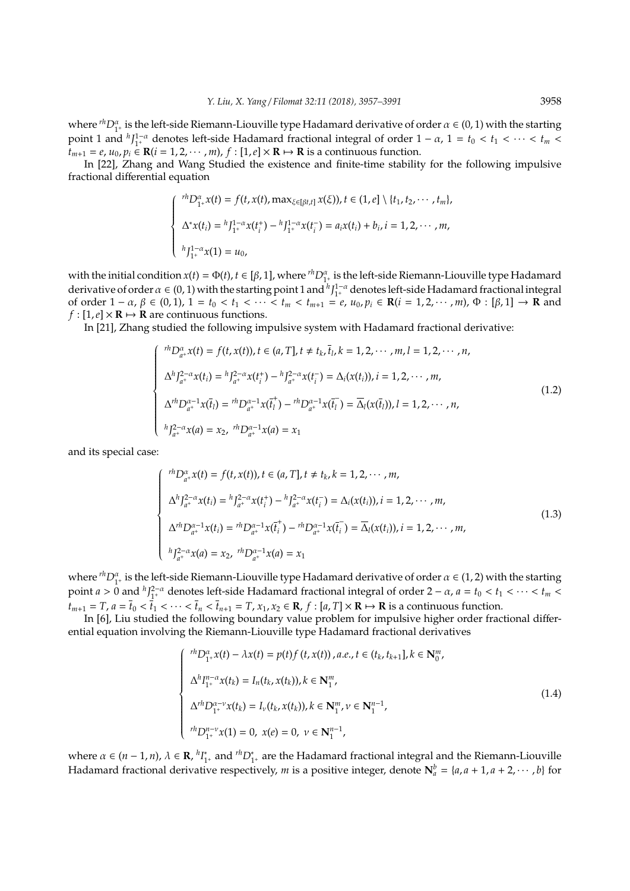where  ${}^{rh}D_{1+}^\alpha$  is the left-side Riemann-Liouville type Hadamard derivative of order  $\alpha \in (0,1)$  with the starting point 1 and  ${}^h J_1^{1-\alpha}$  denotes left-side Hadamard fractional integral of order  $1-\alpha$ ,  $1=t_0 < t_1 < \cdots < t_m <$  $t_{m+1} = e$ ,  $u_0$ ,  $p_i \in \mathbb{R}$  (*i* = 1, 2, · · · , *m*),  $f : [1, e] \times \mathbb{R} \mapsto \mathbb{R}$  is a continuous function.

In [22], Zhang and Wang Studied the existence and finite-time stability for the following impulsive fractional differential equation

$$
\begin{cases}\n^{rh}D_{1^+}^{\alpha}x(t) = f(t, x(t), \max_{\xi \in [\beta t, t]} x(\xi)), t \in (1, e] \setminus \{t_1, t_2, \cdots, t_m\}, \\
\Delta^* x(t_i) = ^hJ_{1^+}^{1-\alpha}x(t_i^+) - ^hJ_{1^+}^{1-\alpha}x(t_i^-) = a_i x(t_i) + b_i, i = 1, 2, \cdots, m, \\
^{h}J_{1^+}^{1-\alpha}x(1) = u_0,\n\end{cases}
$$

with the initial condition  $x(t) = \Phi(t)$ ,  $t \in [\beta, 1]$ , where  ${}^{rh}D_{1+}^\alpha$  is the left-side Riemann-Liouville type Hadamard derivative of order  $\alpha \in (0, 1)$  with the starting point 1 and  $h_{1+}^{1-\alpha}$  denotes left-side Hadamard fractional integral of order  $1 - \alpha$ ,  $\beta \in (0, 1)$ ,  $1 = t_0 < t_1 < \cdots < t_m < t_{m+1} = e$ ,  $u_0, p_i \in \mathbb{R}$ (*i* = 1, 2, · ⋅ , *m*),  $\Phi : [\beta, 1] \to \mathbb{R}$  and  $f$  :  $[1,e] \times \mathbb{R} \mapsto \mathbb{R}$  are continuous functions.

In [21], Zhang studied the following impulsive system with Hadamard fractional derivative:

$$
\begin{cases}\n r^h D_{a^+}^\alpha x(t) = f(t, x(t)), t \in (a, T], t \neq t_k, \bar{t}_l, k = 1, 2, \cdots, m, l = 1, 2, \cdots, n, \\
 \Delta^h J_{a^+}^{2-\alpha} x(t_i) = {}^h J_{a^+}^{2-\alpha} x(t_i^+) - {}^h J_{a^+}^{2-\alpha} x(t_i^-) = \Delta_i (x(t_i)), i = 1, 2, \cdots, m, \\
 \Delta^h D_{a^+}^{\alpha-1} x(\bar{t}_l) = {}^{rh} D_{a^+}^{\alpha-1} x(\bar{t}_l^+) - {}^{rh} D_{a^+}^{\alpha-1} x(\bar{t}_l^-) = \overline{\Delta}_l (x(\bar{t}_l)), l = 1, 2, \cdots, n, \\
 h J_{a^+}^{2-\alpha} x(a) = x_2, {}^{rh} D_{a^+}^{\alpha-1} x(a) = x_1\n\end{cases} \tag{1.2}
$$

and its special case:

$$
\begin{cases}\n r^h D_{a^+}^\alpha x(t) = f(t, x(t)), t \in (a, T], t \neq t_k, k = 1, 2, \cdots, m, \\
 \Delta^h J_{a^+}^{2-\alpha} x(t_i) = {}^h J_{a^+}^{2-\alpha} x(t_i^+) - {}^h J_{a^+}^{2-\alpha} x(t_i^-) = \Delta_i (x(t_i)), i = 1, 2, \cdots, m, \\
 \Delta^h D_{a^+}^{\alpha-1} x(t_i) = {}^{rh} D_{a^+}^{\alpha-1} x(\bar{t}_i^+) - {}^{rh} D_{a^+}^{\alpha-1} x(\bar{t}_i^-) = \overline{\Delta}_l (x(t_i)), i = 1, 2, \cdots, m, \\
 h J_{a^+}^{2-\alpha} x(a) = x_2, {}^{rh} D_{a^+}^{\alpha-1} x(a) = x_1\n\end{cases} (1.3)
$$

where  ${}^{rh}D_{1+}^\alpha$  is the left-side Riemann-Liouville type Hadamard derivative of order  $\alpha \in (1,2)$  with the starting point  $a > 0$  and  $hJ_{1^+}^{2-a}$  denotes left-side Hadamard fractional integral of order  $2 - a$ ,  $a = t_0 < t_1 < \cdots < t_m <$  $t_{m+1} = T$ ,  $a = \bar{t}_0 < \bar{t}_1 < \cdots < \bar{t}_n < \bar{t}_{n+1} = T$ ,  $x_1, x_2 \in \mathbf{R}$ ,  $f : [a, T] \times \mathbf{R} \mapsto \mathbf{R}$  is a continuous function.

In [6], Liu studied the following boundary value problem for impulsive higher order fractional differential equation involving the Riemann-Liouville type Hadamard fractional derivatives

$$
\begin{cases}\n r^h D_{1^+}^\alpha x(t) - \lambda x(t) = p(t) f(t, x(t)), a.e., t \in (t_k, t_{k+1}], k \in \mathbb{N}_0^m, \\
 \Delta^h I_{1^+}^{n-\alpha} x(t_k) = I_n(t_k, x(t_k)), k \in \mathbb{N}_1^m, \\
 \Delta^{rh} D_{1^+}^{\alpha-\nu} x(t_k) = I_\nu(t_k, x(t_k)), k \in \mathbb{N}_1^m, \nu \in \mathbb{N}_1^{n-1}, \\
 r^h D_{1^+}^{n-\nu} x(1) = 0, \ x(e) = 0, \ \nu \in \mathbb{N}_1^{n-1},\n\end{cases}
$$
\n(1.4)

where  $\alpha \in (n-1, n)$ ,  $\lambda \in \mathbf{R}$ ,  ${}^hI_1^*$ <sup>∗</sup><sub>1</sub>+ and <sup>*rh*</sup>D<sup>∗</sup><sub>1</sub>+ are the Hadamard fractional integral and the Riemann-Liouville Hadamard fractional derivative respectively, *m* is a positive integer, denote  $N_a^b = {a, a + 1, a + 2, \cdots, b}$  for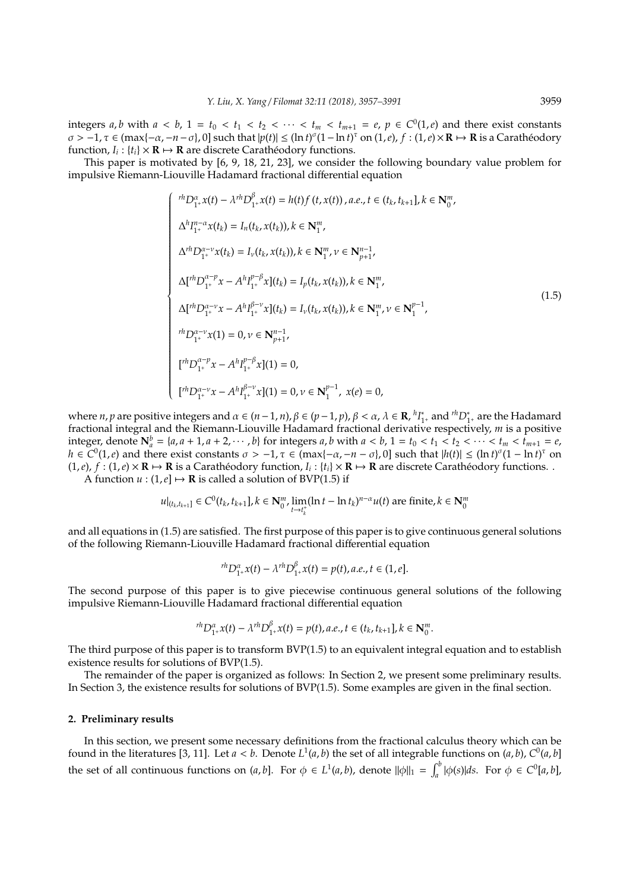integers *a*, *b* with  $a < b$ ,  $1 = t_0 < t_1 < t_2 < \cdots < t_m < t_{m+1} = e$ ,  $p \in C^0(1,e)$  and there exist constants  $\sigma > -1$ ,  $\tau \in (max{-\alpha, -n - \sigma}$ , 0] such that  $|p(t)| \leq (ln t)^{\sigma} (1 - ln t)^{\tau}$  on  $(1, e)$ ,  $f : (1, e) \times \mathbf{R} \mapsto \mathbf{R}$  is a Carathéodory function,  $I_i$ : { $t_i$ } × **R**  $\mapsto$  **R** are discrete Caratheodory functions.

This paper is motivated by [6, 9, 18, 21, 23], we consider the following boundary value problem for impulsive Riemann-Liouville Hadamard fractional differential equation

$$
\begin{cases}\n\ ^{rh}D_{1+}^{\alpha}x(t) - \lambda^{rh}D_{1+}^{\beta}x(t) = h(t)f(t,x(t)), a.e., t \in (t_k, t_{k+1}], k \in \mathbb{N}_{0}^{m}, \\
\Delta^{h}I_{1+}^{n-\alpha}x(t_k) = I_{n}(t_k, x(t_k)), k \in \mathbb{N}_{1}^{m}, \\
\Delta^{rh}D_{1+}^{\alpha-\nu}x(t_k) = I_{\nu}(t_k, x(t_k)), k \in \mathbb{N}_{1}^{m}, \nu \in \mathbb{N}_{p+1}^{n-1}, \\
\Delta I^{\prime h}D_{1+}^{\alpha-\nu}x - A^hI_{1+}^{\beta-\beta}x](t_k) = I_{p}(t_k, x(t_k)), k \in \mathbb{N}_{1}^{m}, \\
\Delta I^{\prime h}D_{1+}^{\alpha-\nu}x - A^hI_{1+}^{\beta-\nu}x](t_k) = I_{\nu}(t_k, x(t_k)), k \in \mathbb{N}_{1}^{m}, \nu \in \mathbb{N}_{1}^{p-1}, \\
r^{h}D_{1+}^{\alpha-\nu}x(1) = 0, \nu \in \mathbb{N}_{p+1}^{n-1}, \\
\left[\begin{matrix} r^{h}D_{1+}^{\alpha-\nu}x - A^hI_{1+}^{\beta-\nu}x](1) = 0, \\ r^{h}D_{1+}^{\alpha-\nu}x - A^hI_{1+}^{\beta-\nu}x](1) = 0, \nu \in \mathbb{N}_{1}^{p-1}, x(e) = 0, \end{matrix}\right.\n\end{cases} \tag{1.5}
$$

where *n*, *p* are positive integers and  $\alpha \in (n-1, n)$ ,  $\beta \in (p-1, p)$ ,  $\beta < \alpha$ ,  $\lambda \in \mathbb{R}$ ,  $h_1^{\alpha}$ <sup>∗</sup><sup>+</sup> and <sup>*rh*</sup>D<sup>\*</sup><sub>1</sub><sup>+</sup> are the Hadamard fractional integral and the Riemann-Liouville Hadamard fractional derivative respectively, *m* is a positive integer, denote  $N_a^b = \{a, a + 1, a + 2, \dots, b\}$  for integers a, b with  $a < b$ ,  $1 = t_0 < t_1 < t_2 < \dots < t_m < t_{m+1} = e$ ,  $h \in C^0(1,e)$  and there exist constants  $\sigma > -1$ ,  $\tau \in (\max\{-\alpha, -n-\sigma\}, 0]$  such that  $|h(t)| \leq (\ln t)^{\sigma}(1 - \ln t)^{\tau}$  on  $(1, e), f: (1, e) \times \mathbb{R} \mapsto \mathbb{R}$  is a Caratheodory function,  $I_i: \{t_i\} \times \mathbb{R} \mapsto \mathbb{R}$  are discrete Caratheodory functions. A function  $u : (1, e] \mapsto \mathbf{R}$  is called a solution of BVP(1.5) if

$$
u|_{(t_k,t_{k+1}]}\in C^0(t_k,t_{k+1}], k\in\mathbf{N}_0^m, \lim_{t\to t_k^+}(\ln t-\ln t_k)^{n-\alpha}u(t) \text{ are finite}, k\in\mathbf{N}_0^m
$$

and all equations in (1.5) are satisfied. The first purpose of this paper is to give continuous general solutions of the following Riemann-Liouville Hadamard fractional differential equation

$$
{}^{rh}D_{1^+}^\alpha x(t) - \lambda {}^{rh}D_{1^+}^\beta x(t) = p(t), a.e., t \in (1, e].
$$

The second purpose of this paper is to give piecewise continuous general solutions of the following impulsive Riemann-Liouville Hadamard fractional differential equation

$$
{}^{rh}D_{1^+}^\alpha x(t) - \lambda {}^{rh}D_{1^+}^\beta x(t) = p(t), a.e., t \in (t_k, t_{k+1}], k \in \mathbb{N}_0^m.
$$

The third purpose of this paper is to transform BVP(1.5) to an equivalent integral equation and to establish existence results for solutions of BVP(1.5).

The remainder of the paper is organized as follows: In Section 2, we present some preliminary results. In Section 3, the existence results for solutions of BVP(1.5). Some examples are given in the final section.

#### **2. Preliminary results**

In this section, we present some necessary definitions from the fractional calculus theory which can be found in the literatures [3, 11]. Let  $a < b$ . Denote  $L^1(a, b)$  the set of all integrable functions on  $(a, b)$ ,  $C^0(a, b)$ the set of all continuous functions on  $(a, b]$ . For  $\phi \in L^1(a, b)$ , denote  $\|\phi\|_1 = \int_a^b |\phi(s)| ds$ . For  $\phi \in C^0[a, b]$ ,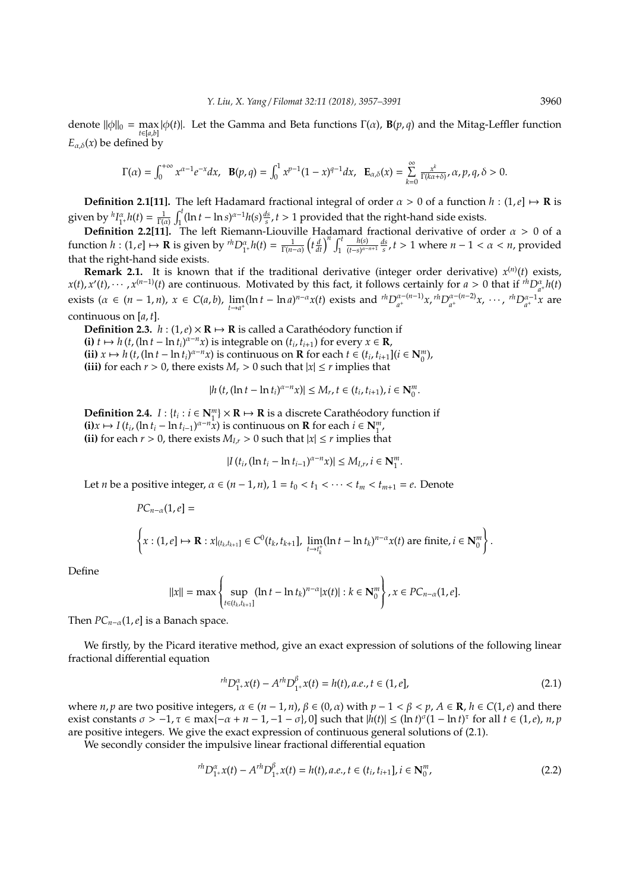denote  $\|\phi\|_0 = \max_{i} |\phi(t)|$ . Let the Gamma and Beta functions  $\Gamma(\alpha)$ ,  $\mathbf{B}(p,q)$  and the Mitag-Leffler function *t*∈[*a*,*b*]  $E_{\alpha,\delta}(x)$  be defined by

$$
\Gamma(\alpha) = \int_0^{+\infty} x^{\alpha-1} e^{-x} dx, \quad \mathbf{B}(p,q) = \int_0^1 x^{p-1} (1-x)^{q-1} dx, \quad \mathbf{E}_{\alpha,\delta}(x) = \sum_{k=0}^{\infty} \frac{x^k}{\Gamma(k\alpha+\delta)}, \alpha, p, q, \delta > 0.
$$

**Definition 2.1[11].** The left Hadamard fractional integral of order  $\alpha > 0$  of a function  $h : (1, e] \mapsto \mathbf{R}$  is given by  ${}^hI_{1+}^\alpha h(t) = \frac{1}{\Gamma(\alpha)} \int_1^t (\ln t - \ln s)^{\alpha-1} h(s) \frac{ds}{s}$ ,  $t > 1$  provided that the right-hand side exists.

**Definition 2.2[11].** The left Riemann-Liouville Hadamard fractional derivative of order α > 0 of a function *h* : (1,*e*]  $\mapsto$  **R** is given by <sup>*rh*</sup> $D_{1+}^{\alpha}h(t) = \frac{1}{\Gamma(n-\alpha)} \left(t\frac{d}{dt}\right)^n \int_1^t$  $\frac{h(s)}{(t-s)^{\alpha-n+1}} \frac{ds}{s}$ , *t* > 1 where *n* − 1 <  $\alpha$  < *n*, provided that the right-hand side exists.

**Remark 2.1.** It is known that if the traditional derivative (integer order derivative)  $x^{(n)}(t)$  exists,  $x(t)$ ,  $x'(t)$ ,  $\cdots$ ,  $x^{(n-1)}(t)$  are continuous. Motivated by this fact, it follows certainly for  $a > 0$  that if  ${}^{rh}D_{a^*}^{\alpha}h(t)$ exists  $(\alpha \in (n-1,n), x \in C(a,b), \lim_{t \to a^+} (\ln t - \ln a)^{n-\alpha} x(t)$  exists and  ${}^{rh}D_{a^+}^{\alpha-(n-1)}$  $\int_{a^+}^{\alpha-(n-1)} x$ ,  $\int_{a^+}^{\alpha-(n-2)} x$ *α*<sup>-(*n*-2)</sup>*x*, ···, <sup>*rh*</sup>*D*<sub>*a*<sup>+</sup></sub><sup>-1</sup>*x* are continuous on [*a*, *t*].

**Definition 2.3.**  $h : (1, e) \times \mathbb{R} \mapsto \mathbb{R}$  is called a Caratheodory function if **(i)** *t*  $\mapsto$  *h* (*t*, (ln *t* − ln *t*<sub>*i*</sub>)<sup> $\alpha$ −*n*</sup> $x$ ) is integrable on (*t*<sub>*i*</sub>, *t*<sub>*i*+1</sub>) for every  $x \in \mathbb{R}$ , (ii)  $x$  → *h* (*t*, (ln *t* − ln *t*<sub>*i*</sub>)<sup> $\alpha$ −*n*</sup> $x$ ) is continuous on **R** for each  $t \in (t_i, t_{i+1}](i \in \mathbb{N}_0^m)$ , **(iii)** for each  $r > 0$ , there exists  $M_r > 0$  such that  $|x| \leq r$  implies that

$$
|h(t,(\ln t - \ln t_i)^{\alpha - n}x)| \le M_r, t \in (t_i,t_{i+1}), i \in \mathbb{N}_0^m.
$$

**Definition 2.4.**  $I: \{t_i : i \in \mathbb{N}_1^m\} \times \mathbb{R} \mapsto \mathbb{R}$  is a discrete Caratheodory function if  $\mathbf{H}(\mathbf{i})\mathbf{x} \mapsto I(t_i, (\ln t_i - \ln t_{i-1})^{\alpha - n}\mathbf{x})$  is continuous on **R** for each  $i \in \mathbb{N}_1^m$ , **(ii)** for each  $r > 0$ , there exists  $M_{I,r} > 0$  such that  $|x| \leq r$  implies that

$$
|I(t_i,(\ln t_i - \ln t_{i-1})^{\alpha - n}x)| \le M_{I,r}, i \in \mathbb{N}_1^m.
$$

Let *n* be a positive integer,  $\alpha \in (n-1, n)$ ,  $1 = t_0 < t_1 < \cdots < t_m < t_{m+1} = e$ . Denote

$$
PC_{n-\alpha}(1, e] =
$$
  

$$
\left\{ x : (1, e] \mapsto \mathbf{R} : x|_{(t_k, t_{k+1}]} \in C^0(t_k, t_{k+1}], \lim_{t \to t_k^+} (\ln t - \ln t_k)^{n-\alpha} x(t) \text{ are finite, } i \in \mathbf{N}_0^m \right\}.
$$

Define

$$
||x|| = \max \left\{ \sup_{t \in (t_k, t_{k+1}]} (\ln t - \ln t_k)^{n-\alpha} |x(t)| : k \in \mathbf{N}_0^m \right\}, x \in PC_{n-\alpha}(1, e].
$$

Then  $PC_{n-\alpha}(1,e)$  is a Banach space.

We firstly, by the Picard iterative method, give an exact expression of solutions of the following linear fractional differential equation

$$
{}^{rh}D_{1^+}^\alpha x(t) - A^{rh}D_{1^+}^\beta x(t) = h(t), a.e., t \in (1, e], \tag{2.1}
$$

where *n*, *p* are two positive integers,  $\alpha \in (n-1,n)$ ,  $\beta \in (0,\alpha)$  with  $p-1 < \beta < p$ ,  $A \in \mathbb{R}$ ,  $h \in C(1,e)$  and there exist constants  $\sigma > -1$ ,  $\tau \in \max[-\alpha + n - 1, -1 - \sigma]$ , 0] such that  $|h(t)| \leq (\ln t)^{\sigma} (1 - \ln t)^{\tau}$  for all  $t \in (1, e)$ ,  $n, p$ are positive integers. We give the exact expression of continuous general solutions of (2.1).

We secondly consider the impulsive linear fractional differential equation

$$
{}^{rh}D_{1^+}^{\alpha}x(t) - A^{rh}D_{1^+}^{\beta}x(t) = h(t), a.e., t \in (t_i, t_{i+1}], i \in \mathbb{N}_0^m,
$$
\n(2.2)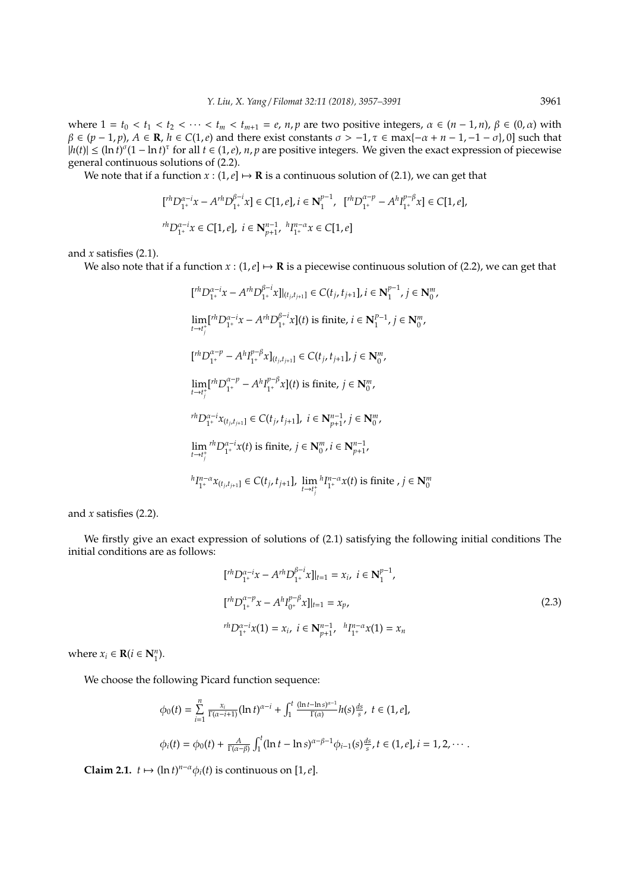where  $1 = t_0 < t_1 < t_2 < \cdots < t_m < t_{m+1} = e$ ,  $n, p$  are two positive integers,  $\alpha \in (n-1, n)$ ,  $\beta \in (0, \alpha)$  with  $\beta \in (p-1,p)$ ,  $A \in \mathbb{R}$ ,  $h \in C(1,e)$  and there exist constants  $\sigma > -1$ ,  $\tau \in \max\{-\alpha + n - 1, -1 - \sigma\}$ , 0] such that  $|h(t)| \leq (\ln t)^{\sigma} (1 - \ln t)^{\tau}$  for all  $t \in (1, e)$ , *n*, *p* are positive integers. We given the exact expression of piecewise general continuous solutions of (2.2).

We note that if a function  $x : (1, e] \mapsto \mathbf{R}$  is a continuous solution of (2.1), we can get that

$$
\label{eq:2.1} \begin{split} &\big[{}^{rh}D_{1^+}^{\alpha-i}x - A^{rh}D_{1^+}^{\beta-i}x\big] \in C[1,e], i \in \textbf{N}_1^{p-1}, \;\; [{}^{rh}D_{1^+}^{\alpha-p} - A^hI_{1^+}^{p-\beta}x] \in C[1,e],\\ &\;{}^{rh}D_{1^+}^{\alpha-i}x \in C[1,e],\; i \in \textbf{N}_{p+1}^{n-1}, \;{}^{h}I_{1^+}^{n-\alpha}x \in C[1,e] \end{split}
$$

and *x* satisfies (2.1).

We also note that if a function  $x : (1, e] \mapsto \mathbf{R}$  is a piecewise continuous solution of (2.2), we can get that

$$
[I^{rh}D_{1^+}^{\alpha-i}x - A^{rh}D_{1^+}^{\beta-i}x]|_{(t_j,t_{j+1}]}\in C(t_j,t_{j+1}], i \in \mathbb{N}_1^{p-1}, j \in \mathbb{N}_0^m,
$$
  
\n
$$
\lim_{t \to t_j^+} [I^{rh}D_{1^+}^{\alpha-i}x - A^{rh}D_{1^+}^{\beta-i}x](t) \text{ is finite, } i \in \mathbb{N}_1^{p-1}, j \in \mathbb{N}_0^m,
$$
  
\n
$$
[I^{rh}D_{1^+}^{\alpha-p} - A^{h}I_{1^+}^{p-\beta}x]_{(t_j,t_{j+1}]}\in C(t_j,t_{j+1}], j \in \mathbb{N}_0^m,
$$
  
\n
$$
\lim_{t \to t_j^+} [I^{rh}D_{1^+}^{\alpha-p} - A^{h}I_{1^+}^{p-\beta}x](t) \text{ is finite, } j \in \mathbb{N}_0^m,
$$
  
\n
$$
\lim_{t \to t_j^+} I^{rh}D_{1^+}^{\alpha-i}x(t_{j,t_{j+1}]}\in C(t_j,t_{j+1}], i \in \mathbb{N}_{p+1}^{n-1}, j \in \mathbb{N}_0^m,
$$
  
\n
$$
\lim_{t \to t_j^+} I^{rh}D_{1^+}^{\alpha-i}x(t) \text{ is finite, } j \in \mathbb{N}_0^m, i \in \mathbb{N}_{p+1}^{n-1},
$$
  
\n
$$
\lim_{t \to t_j^+} I^{rh}D_{1^+}^{\alpha}x(t_{j,t_{j+1}]}\in C(t_j,t_{j+1}], \lim_{t \to t_j^+} I^{rh}D_{1^+}^{\alpha}x(t) \text{ is finite, } j \in \mathbb{N}_0^m
$$

and *x* satisfies (2.2).

We firstly give an exact expression of solutions of (2.1) satisfying the following initial conditions The initial conditions are as follows:

$$
[thD_{1^{+}}^{\alpha-i}x - A^{h}D_{1^{+}}^{\beta-i}x]|_{t=1} = x_{i}, i \in \mathbf{N}_{1}^{p-1},
$$
  

$$
[thD_{1^{+}}^{\alpha-p}x - A^{h}I_{0^{+}}^{\beta-p}x]|_{t=1} = x_{p},
$$
  

$$
thD_{1^{+}}^{\alpha-i}x(1) = x_{i}, i \in \mathbf{N}_{p+1}^{n-1}, \quad {}^{h}I_{1^{+}}^{\alpha-\alpha}x(1) = x_{n}
$$
 (2.3)

where  $x_i \in \mathbf{R}$  ( $i \in \mathbf{N}_1^n$ ).

We choose the following Picard function sequence:

$$
\phi_0(t) = \sum_{i=1}^n \frac{x_i}{\Gamma(\alpha - i + 1)} (\ln t)^{\alpha - i} + \int_1^t \frac{(\ln t - \ln s)^{\alpha - 1}}{\Gamma(\alpha)} h(s) \frac{ds}{s}, \ t \in (1, e],
$$
  

$$
\phi_i(t) = \phi_0(t) + \frac{A}{\Gamma(\alpha - \beta)} \int_1^t (\ln t - \ln s)^{\alpha - \beta - 1} \phi_{i-1}(s) \frac{ds}{s}, \ t \in (1, e], i = 1, 2, \cdots.
$$

**Claim 2.1.**  $t \mapsto (\ln t)^{n-\alpha} \phi_i(t)$  is continuous on [1,*e*].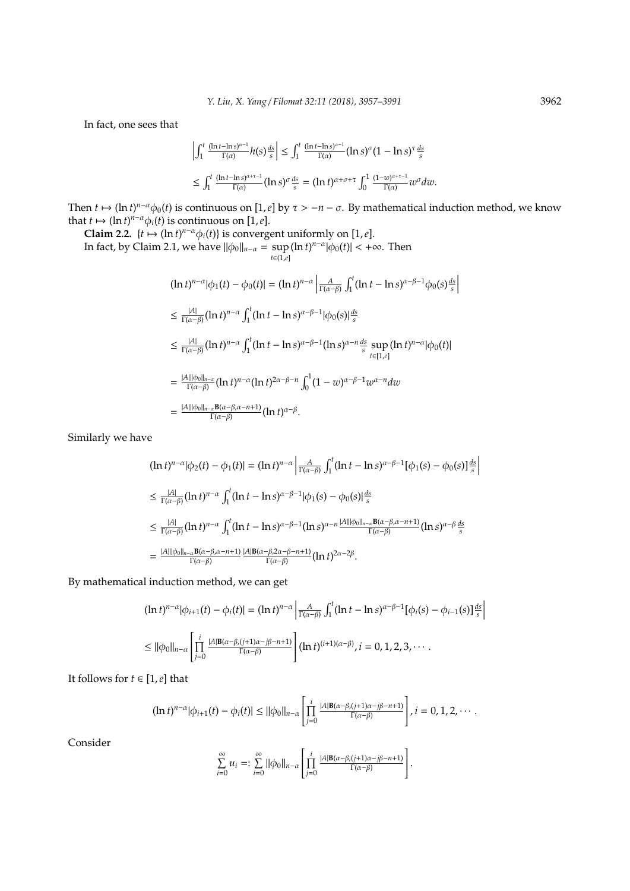In fact, one sees that

$$
\left|\int_{1}^{t} \frac{(\ln t - \ln s)^{\alpha - 1}}{\Gamma(\alpha)} h(s) \frac{ds}{s} \right| \leq \int_{1}^{t} \frac{(\ln t - \ln s)^{\alpha - 1}}{\Gamma(\alpha)} (\ln s)^{\sigma} (1 - \ln s)^{\tau} \frac{ds}{s}
$$
  

$$
\leq \int_{1}^{t} \frac{(\ln t - \ln s)^{\alpha + \tau - 1}}{\Gamma(\alpha)} (\ln s)^{\sigma} \frac{ds}{s} = (\ln t)^{\alpha + \sigma + \tau} \int_{0}^{1} \frac{(1 - w)^{\alpha + \tau - 1}}{\Gamma(\alpha)} w^{\sigma} dw.
$$

Then  $t \mapsto (\ln t)^{n-\alpha} \phi_0(t)$  is continuous on [1,*e*] by  $\tau > -n-\sigma$ . By mathematical induction method, we know that  $t \mapsto (\ln t)^{n-\alpha} \phi_i(t)$  is continuous on [1,*e*].

**Claim 2.2.**  $\{t \mapsto (\ln t)^{n-\alpha} \phi_i(t)\}$  is convergent uniformly on [1,*e*]. In fact, by Claim 2.1, we have  $\|\phi_0\|_{n-\alpha} = \sup$ *t*∈(1,*e*]  $(\ln t)^{n-\alpha} |\phi_0(t)| < +\infty$ . Then

$$
(\ln t)^{n-\alpha} |\phi_1(t) - \phi_0(t)| = (\ln t)^{n-\alpha} \left| \frac{A}{\Gamma(\alpha-\beta)} \int_1^t (\ln t - \ln s)^{\alpha-\beta-1} \phi_0(s) \frac{ds}{s} \right|
$$
  
\n
$$
\leq \frac{|A|}{\Gamma(\alpha-\beta)} (\ln t)^{n-\alpha} \int_1^t (\ln t - \ln s)^{\alpha-\beta-1} |\phi_0(s)| \frac{ds}{s}
$$
  
\n
$$
\leq \frac{|A|}{\Gamma(\alpha-\beta)} (\ln t)^{n-\alpha} \int_1^t (\ln t - \ln s)^{\alpha-\beta-1} (\ln s)^{\alpha-n} \frac{ds}{s} \sup_{t \in [1,e]} (\ln t)^{n-\alpha} |\phi_0(t)|
$$
  
\n
$$
= \frac{|A| ||\phi_0||_{n-\alpha}}{\Gamma(\alpha-\beta)} (\ln t)^{n-\alpha} (\ln t)^{2\alpha-\beta-n} \int_0^1 (1 - w)^{\alpha-\beta-1} w^{\alpha-n} dw
$$
  
\n
$$
= \frac{|A| ||\phi_0||_{n-\alpha}}{\Gamma(\alpha-\beta)} \frac{\mathbf{B}(\alpha-\beta,\alpha-n+1)}{\Gamma(\alpha-\beta)} (\ln t)^{\alpha-\beta}.
$$

Similarly we have

$$
\begin{split}\n(\ln t)^{n-\alpha}|\phi_2(t) - \phi_1(t)| &= (\ln t)^{n-\alpha} \left| \frac{A}{\Gamma(\alpha-\beta)} \int_1^t (\ln t - \ln s)^{\alpha-\beta-1} [\phi_1(s) - \phi_0(s)] \frac{ds}{s} \right| \\
&\leq \frac{|A|}{\Gamma(\alpha-\beta)} (\ln t)^{n-\alpha} \int_1^t (\ln t - \ln s)^{\alpha-\beta-1} |\phi_1(s) - \phi_0(s)| \frac{ds}{s} \\
&\leq \frac{|A|}{\Gamma(\alpha-\beta)} (\ln t)^{n-\alpha} \int_1^t (\ln t - \ln s)^{\alpha-\beta-1} (\ln s)^{\alpha-n} \frac{|A| ||\phi_0||_{n-\alpha} \mathbf{B}(\alpha-\beta,\alpha-n+1)}{\Gamma(\alpha-\beta)} (\ln s)^{\alpha-\beta} \frac{ds}{s} \\
&= \frac{|A| ||\phi_0||_{n-\alpha} \mathbf{B}(\alpha-\beta,\alpha-n+1)}{\Gamma(\alpha-\beta)} \frac{|A| \mathbf{B}(\alpha-\beta,2\alpha-\beta-n+1)}{\Gamma(\alpha-\beta)} (\ln t)^{2\alpha-2\beta}.\n\end{split}
$$

By mathematical induction method, we can get

$$
(\ln t)^{n-\alpha} |\phi_{i+1}(t) - \phi_i(t)| = (\ln t)^{n-\alpha} \left| \frac{A}{\Gamma(\alpha-\beta)} \int_1^t (\ln t - \ln s)^{\alpha-\beta-1} [\phi_i(s) - \phi_{i-1}(s)] \frac{ds}{s} \right|
$$
  
\n
$$
\leq ||\phi_0||_{n-\alpha} \left[ \prod_{j=0}^i \frac{|A| B(\alpha-\beta, (j+1)\alpha-j\beta-n+1)}{\Gamma(\alpha-\beta)} \right] (\ln t)^{(i+1)(\alpha-\beta)}, i = 0, 1, 2, 3, \cdots.
$$

It follows for  $t \in [1, e]$  that

$$
(\ln t)^{n-\alpha}|\phi_{i+1}(t)-\phi_i(t)| \leq ||\phi_0||_{n-\alpha} \left[\prod_{j=0}^i \frac{|A|B(\alpha-\beta,(j+1)\alpha-j\beta-n+1)}{\Gamma(\alpha-\beta)}\right], i=0,1,2,\cdots.
$$

Consider

$$
\sum_{i=0}^{\infty} u_i =: \sum_{i=0}^{\infty} ||\phi_0||_{n-\alpha} \left[ \prod_{j=0}^{i} \frac{|A| B(\alpha-\beta, (j+1)\alpha-j\beta-n+1)}{\Gamma(\alpha-\beta)} \right].
$$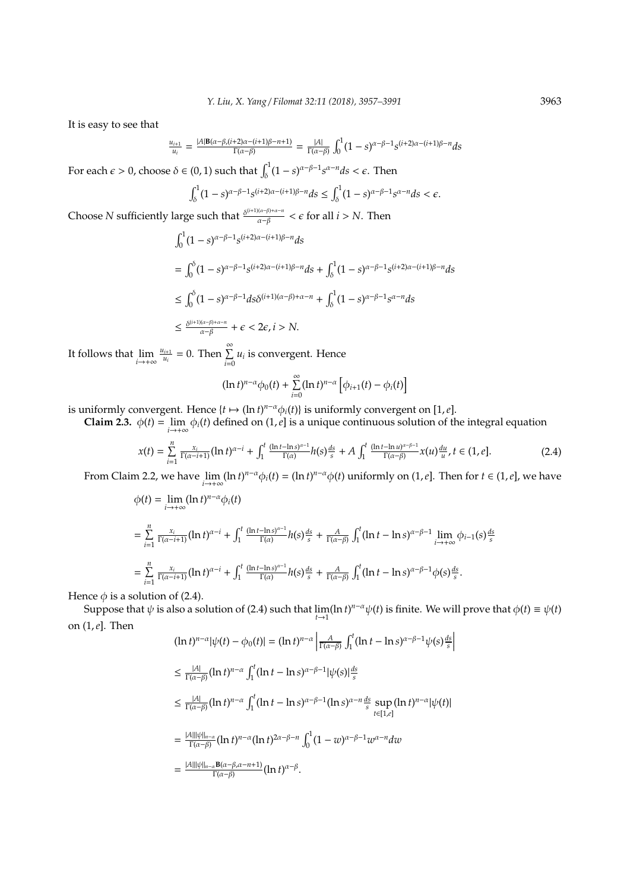It is easy to see that

$$
\frac{u_{i+1}}{u_i} = \frac{|A|\mathbf{B}(\alpha-\beta,(i+2)\alpha-(i+1)\beta-n+1)}{\Gamma(\alpha-\beta)} = \frac{|A|}{\Gamma(\alpha-\beta)} \int_0^1 (1-s)^{\alpha-\beta-1} s^{(i+2)\alpha-(i+1)\beta-n} ds
$$

For each  $\epsilon > 0$ , choose  $\delta \in (0, 1)$  such that  $\int_{\delta}^{1} (1 - s)^{\alpha - \beta - 1} s^{\alpha - n} ds < \epsilon$ . Then

$$
\int_{\delta}^{1} (1-s)^{\alpha-\beta-1} s^{(i+2)\alpha-(i+1)\beta-n} ds \leq \int_{\delta}^{1} (1-s)^{\alpha-\beta-1} s^{\alpha-n} ds < \epsilon.
$$

Choose *N* sufficiently large such that  $\frac{\delta^{(i+1)(\alpha-\beta)+\alpha-n}}{\alpha-\beta} < \epsilon$  for all  $i > N$ . Then

$$
\int_0^1 (1-s)^{\alpha-\beta-1} s^{(i+2)\alpha-(i+1)\beta-n} ds
$$
\n
$$
= \int_0^{\delta} (1-s)^{\alpha-\beta-1} s^{(i+2)\alpha-(i+1)\beta-n} ds + \int_{\delta}^1 (1-s)^{\alpha-\beta-1} s^{(i+2)\alpha-(i+1)\beta-n} ds
$$
\n
$$
\leq \int_0^{\delta} (1-s)^{\alpha-\beta-1} ds \delta^{(i+1)(\alpha-\beta)+\alpha-n} + \int_{\delta}^1 (1-s)^{\alpha-\beta-1} s^{\alpha-n} ds
$$
\n
$$
\leq \frac{\delta^{(i+1)(\alpha-\beta)+\alpha-n}}{\alpha-\beta} + \epsilon < 2\epsilon, i > N.
$$

It follows that lim *i*→+∞  $u_{i+1}$  $\frac{u_{i+1}}{u_i} = 0$ . Then  $\sum_{i=0}^{\infty} u_i$  is convergent. Hence

$$
(\ln t)^{n-\alpha}\phi_0(t)+\sum_{i=0}^{\infty}(\ln t)^{n-\alpha}\left[\phi_{i+1}(t)-\phi_i(t)\right]
$$

is uniformly convergent. Hence  $\{t \mapsto (\ln t)^{n-\alpha} \phi_i(t)\}$  is uniformly convergent on [1, *e*].

**Claim 2.3.**  $\phi(t) = \lim_{i \to +\infty} \phi_i(t)$  defined on  $(1, e]$  is a unique continuous solution of the integral equation

$$
x(t) = \sum_{i=1}^{n} \frac{x_i}{\Gamma(\alpha - i + 1)} (\ln t)^{\alpha - i} + \int_1^t \frac{(\ln t - \ln s)^{\alpha - 1}}{\Gamma(\alpha)} h(s) \frac{ds}{s} + A \int_1^t \frac{(\ln t - \ln u)^{\alpha - \beta - 1}}{\Gamma(\alpha - \beta)} x(u) \frac{du}{u}, t \in (1, e].
$$
 (2.4)

From Claim 2.2, we have  $\lim_{i\to+\infty} (\ln t)^{n-\alpha}\phi_i(t) = (\ln t)^{n-\alpha}\phi(t)$  uniformly on  $(1, e]$ . Then for  $t \in (1, e]$ , we have

$$
\begin{split} \phi(t) &= \lim_{i \to +\infty} (\ln t)^{n-\alpha} \phi_i(t) \\ &= \sum_{i=1}^n \frac{x_i}{\Gamma(\alpha - i + 1)} (\ln t)^{\alpha - i} + \int_1^t \frac{(\ln t - \ln s)^{\alpha - 1}}{\Gamma(\alpha)} h(s) \frac{ds}{s} + \frac{A}{\Gamma(\alpha - \beta)} \int_1^t (\ln t - \ln s)^{\alpha - \beta - 1} \lim_{i \to +\infty} \phi_{i-1}(s) \frac{ds}{s} \\ &= \sum_{i=1}^n \frac{x_i}{\Gamma(\alpha - i + 1)} (\ln t)^{\alpha - i} + \int_1^t \frac{(\ln t - \ln s)^{\alpha - 1}}{\Gamma(\alpha)} h(s) \frac{ds}{s} + \frac{A}{\Gamma(\alpha - \beta)} \int_1^t (\ln t - \ln s)^{\alpha - \beta - 1} \phi(s) \frac{ds}{s} .\end{split}
$$

Hence  $\phi$  is a solution of (2.4).

Suppose that  $\psi$  is also a solution of (2.4) such that  $\lim_{t\to 1}(\ln t)^{n-\alpha}\psi(t)$  is finite. We will prove that  $\phi(t) \equiv \psi(t)$ on (1,*e*]. Then

$$
(\ln t)^{n-\alpha} |\psi(t) - \phi_0(t)| = (\ln t)^{n-\alpha} \left| \frac{A}{\Gamma(\alpha-\beta)} \int_1^t (\ln t - \ln s)^{\alpha-\beta-1} \psi(s) \frac{ds}{s} \right|
$$
  
\n
$$
\leq \frac{|A|}{\Gamma(\alpha-\beta)} (\ln t)^{n-\alpha} \int_1^t (\ln t - \ln s)^{\alpha-\beta-1} |\psi(s)| \frac{ds}{s}
$$
  
\n
$$
\leq \frac{|A|}{\Gamma(\alpha-\beta)} (\ln t)^{n-\alpha} \int_1^t (\ln t - \ln s)^{\alpha-\beta-1} (\ln s)^{\alpha-n} \frac{ds}{s} \sup_{t \in [1,\epsilon]} (\ln t)^{n-\alpha} |\psi(t)|
$$
  
\n
$$
= \frac{|A| ||\psi||_{n-\alpha}}{\Gamma(\alpha-\beta)} (\ln t)^{n-\alpha} (\ln t)^{2\alpha-\beta-n} \int_0^1 (1 - w)^{\alpha-\beta-1} w^{\alpha-n} dw
$$
  
\n
$$
= \frac{|A| ||\psi||_{n-\alpha} \mathbf{B}(\alpha-\beta, \alpha-n+1)}{\Gamma(\alpha-\beta)} (\ln t)^{\alpha-\beta}.
$$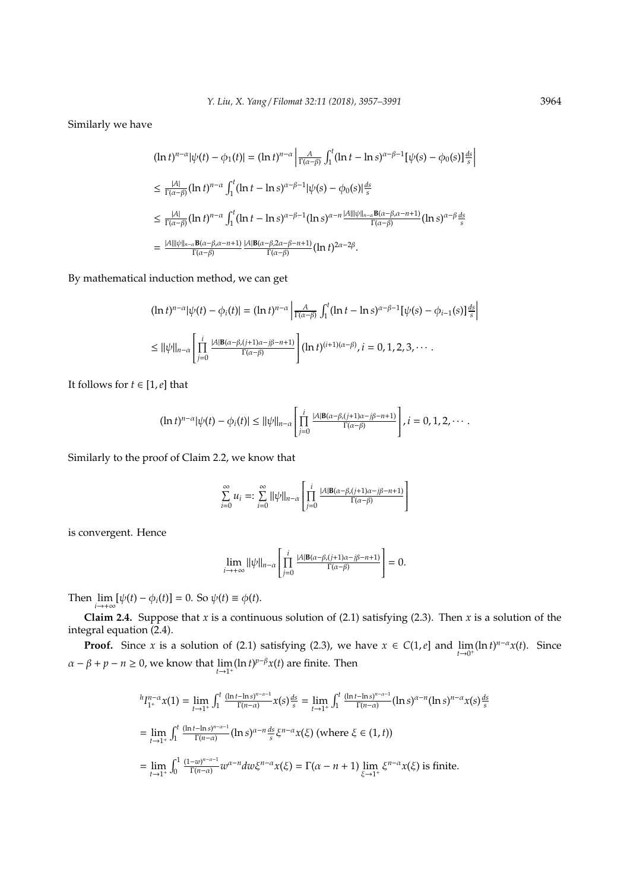Similarly we have

$$
\begin{split}\n(\ln t)^{n-\alpha}|\psi(t) - \phi_1(t)| &= (\ln t)^{n-\alpha} \left| \frac{A}{\Gamma(\alpha-\beta)} \int_1^t (\ln t - \ln s)^{\alpha-\beta-1} [\psi(s) - \phi_0(s)] \frac{ds}{s} \right| \\
&\leq \frac{|A|}{\Gamma(\alpha-\beta)} (\ln t)^{n-\alpha} \int_1^t (\ln t - \ln s)^{\alpha-\beta-1} |\psi(s) - \phi_0(s)| \frac{ds}{s} \\
&\leq \frac{|A|}{\Gamma(\alpha-\beta)} (\ln t)^{n-\alpha} \int_1^t (\ln t - \ln s)^{\alpha-\beta-1} (\ln s)^{\alpha-n} \frac{|A| ||\psi||_{n-\alpha} \mathbf{B}(\alpha-\beta,\alpha-n+1)}{\Gamma(\alpha-\beta)} (\ln s)^{\alpha-\beta} \frac{ds}{s} \\
&= \frac{|A| ||\psi||_{n-\alpha} \mathbf{B}(\alpha-\beta,\alpha-n+1)}{\Gamma(\alpha-\beta)} \frac{|A| \mathbf{B}(\alpha-\beta,2\alpha-\beta-n+1)}{\Gamma(\alpha-\beta)} (\ln t)^{2\alpha-2\beta}.\n\end{split}
$$

By mathematical induction method, we can get

$$
(\ln t)^{n-\alpha}|\psi(t) - \phi_i(t)| = (\ln t)^{n-\alpha} \left| \frac{A}{\Gamma(\alpha-\beta)} \int_1^t (\ln t - \ln s)^{\alpha-\beta-1} [\psi(s) - \phi_{i-1}(s)] \frac{ds}{s} \right|
$$
  
\n
$$
\leq ||\psi||_{n-\alpha} \left[ \prod_{j=0}^i \frac{|A|B(\alpha-\beta, (j+1)\alpha-j\beta-n+1)}{\Gamma(\alpha-\beta)} \right] (\ln t)^{(i+1)(\alpha-\beta)}, i = 0, 1, 2, 3, \cdots.
$$

It follows for  $t \in [1, e]$  that

$$
(\ln t)^{n-\alpha}|\psi(t)-\phi_i(t)|\leq ||\psi||_{n-\alpha}\left[\prod_{j=0}^i\frac{|A|\mathbf{B}(\alpha-\beta,(j+1)\alpha-j\beta-n+1)|}{\Gamma(\alpha-\beta)}\right], i=0,1,2,\cdots.
$$

Similarly to the proof of Claim 2.2, we know that

$$
\sum_{i=0}^{\infty} u_i =: \sum_{i=0}^{\infty} ||\psi||_{n-\alpha} \left[ \prod_{j=0}^{i} \frac{|A| B(\alpha-\beta,(j+1)\alpha-j\beta-n+1)}{\Gamma(\alpha-\beta)} \right]
$$

is convergent. Hence

$$
\lim_{i\to+\infty}||\psi||_{n-\alpha}\left[\prod_{j=0}^{i}\frac{|A|\mathbf{B}(\alpha-\beta,(j+1)\alpha-j\beta-n+1)}{\Gamma(\alpha-\beta)}\right]=0.
$$

Then  $\lim_{i \to +\infty} [\psi(t) - \phi_i(t)] = 0$ . So  $\psi(t) \equiv \phi(t)$ .

**Claim 2.4.** Suppose that *x* is a continuous solution of (2.1) satisfying (2.3). Then *x* is a solution of the integral equation (2.4).

**Proof.** Since *x* is a solution of (2.1) satisfying (2.3), we have  $x \in C(1, e]$  and  $\lim_{t \to 0^+} (\ln t)^{n-\alpha}x(t)$ . Since  $\alpha - \beta + p - n \ge 0$ , we know that  $\lim_{t \to 1^+} (\ln t)^{p-\beta} x(t)$  are finite. Then

$$
{}^{h}I_{1^{+}}^{n-\alpha}x(1) = \lim_{t \to 1^{+}} \int_{1}^{t} \frac{(\ln t - \ln s)^{n-\alpha-1}}{\Gamma(n-\alpha)} x(s) \frac{ds}{s} = \lim_{t \to 1^{+}} \int_{1}^{t} \frac{(\ln t - \ln s)^{n-\alpha-1}}{\Gamma(n-\alpha)} (\ln s)^{\alpha-n} (\ln s)^{n-\alpha} x(s) \frac{ds}{s}
$$
  
\n
$$
= \lim_{t \to 1^{+}} \int_{1}^{t} \frac{(\ln t - \ln s)^{n-\alpha-1}}{\Gamma(n-\alpha)} (\ln s)^{\alpha-n} \frac{ds}{s} \xi^{n-\alpha} x(\xi) \text{ (where } \xi \in (1, t))
$$
  
\n
$$
= \lim_{t \to 1^{+}} \int_{0}^{1} \frac{(1-w)^{n-\alpha-1}}{\Gamma(n-\alpha)} w^{\alpha-n} dw \xi^{n-\alpha} x(\xi) = \Gamma(\alpha - n + 1) \lim_{\xi \to 1^{+}} \xi^{n-\alpha} x(\xi) \text{ is finite.}
$$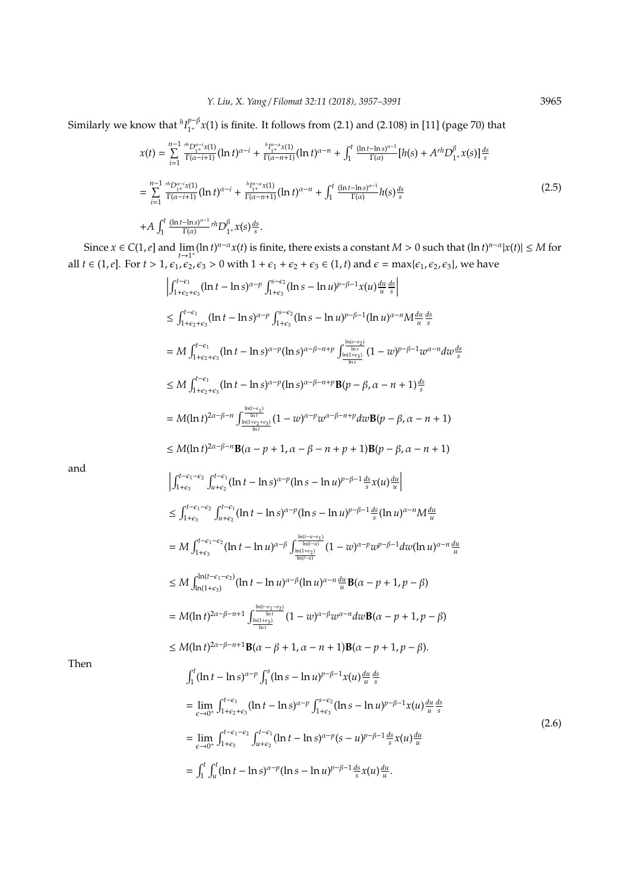Similarly we know that  ${}^hI_{1+}^{p-\beta}$  $_{1^+}^{p-p}$ x(1) is finite. It follows from (2.1) and (2.108) in [11] (page 70) that

$$
x(t) = \sum_{i=1}^{n-1} \frac{^{n}D_{1}^{\alpha-i}x(1)}{\Gamma(\alpha-i+1)} (\ln t)^{\alpha-i} + \frac{^{n}I_{1}^{n-\alpha}x(1)}{\Gamma(\alpha-n+1)} (\ln t)^{\alpha-n} + \int_{1}^{t} \frac{(\ln t - \ln s)^{\alpha-1}}{\Gamma(\alpha)} [h(s) + A^{rh}D_{1}^{\beta}x(s)] \frac{ds}{s}
$$
  
\n
$$
= \sum_{i=1}^{n-1} \frac{^{n}D_{1}^{\alpha-i}x(1)}{\Gamma(\alpha-i+1)} (\ln t)^{\alpha-i} + \frac{^{h}I_{1}^{n-\alpha}x(1)}{\Gamma(\alpha-n+1)} (\ln t)^{\alpha-n} + \int_{1}^{t} \frac{(\ln t - \ln s)^{\alpha-1}}{\Gamma(\alpha)} h(s) \frac{ds}{s}
$$
  
\n
$$
+ A \int_{1}^{t} \frac{(\ln t - \ln s)^{\alpha-1}}{\Gamma(\alpha)} r^{h} D_{1}^{\beta}x(s) \frac{ds}{s}.
$$
\n(2.5)

Since  $x \in C(1, e]$  and  $\lim_{t \to 1^+} (\ln t)^{n-\alpha} x(t)$  is finite, there exists a constant  $M > 0$  such that  $(\ln t)^{n-\alpha} |x(t)| \le M$  for all  $t \in (1, e]$ . For  $t > 1$ ,  $\epsilon_1$ ,  $\epsilon_2$ ,  $\epsilon_3 > 0$  with  $1 + \epsilon_1 + \epsilon_2 + \epsilon_3 \in (1, t)$  and  $\epsilon = \max{\epsilon_1, \epsilon_2, \epsilon_3}$ , we have

$$
\int_{1+e_2+e_3}^{1-e_1} (\ln t - \ln s)^{\alpha-p} \int_{1+e_3}^{e_1-e_2} (\ln s - \ln u)^{p-\beta-1} x(u) \frac{du}{u} \frac{ds}{s} \n\leq \int_{1+e_2+e_3}^{e_1-e_1} (\ln t - \ln s)^{\alpha-p} \int_{1+e_3}^{e_2-e_2} (\ln s - \ln u)^{p-\beta-1} (\ln u)^{\alpha-1} M \frac{du}{u} \frac{ds}{s} \n= M \int_{1+e_2+e_3}^{1-e_1} (\ln t - \ln s)^{\alpha-p} (\ln s)^{\alpha-\beta-n+p} \int_{\frac{\ln(n-e_3)}{\ln n}}^{e_1-e_2} (1-w)^{p-\beta-1} w^{\alpha-n} dw \frac{ds}{s} \n\leq M \int_{1+e_2+e_3}^{1-e_1} (\ln t - \ln s)^{\alpha-p} (\ln s)^{\alpha-\beta-n+p} B(p - \beta, \alpha - n + 1) \frac{ds}{s} \n= M(\ln t)^{2\alpha-\beta-n} \int_{\frac{\ln(n+e_3)}{\ln n}}^{e_1-e_2} (1-w)^{\alpha-p} w^{\alpha-p-n+p} d\omega B(p - \beta, \alpha - n + 1) \n\leq M(\ln t)^{2\alpha-\beta-n} B(\alpha - p + 1, \alpha - \beta - n + p + 1) B(p - \beta, \alpha - n + 1) \n\int_{1+e_3}^{t-e_1-e_2} \int_{u+e_2}^{t-e_1} (\ln t - \ln s)^{\alpha-p} (\ln s - \ln u)^{p-\beta-1} \frac{ds}{s} x(u) \frac{du}{u} \n\leq \int_{1+e_3}^{t-e_1-e_2} \int_{u+e_2}^{t-e_1} (\ln t - \ln s)^{\alpha-p} (\ln s - \ln u)^{p-\beta-1} \frac{ds}{s} (\ln u)^{\alpha-n} M \frac{du}{u} \n= M \int_{1+e_3}^{t-e_1-e_2} \int_{u+e_2}^{t-e_1} (\ln t - \ln s)^{\alpha-p} (\ln s - \ln u)^{p-\beta-1} \frac{ds}{s} (\ln u)^{\alpha-n} M \frac{du}{u} \n\leq M \int_{\ln(1+e_3)}^{h(t-e
$$

and

Then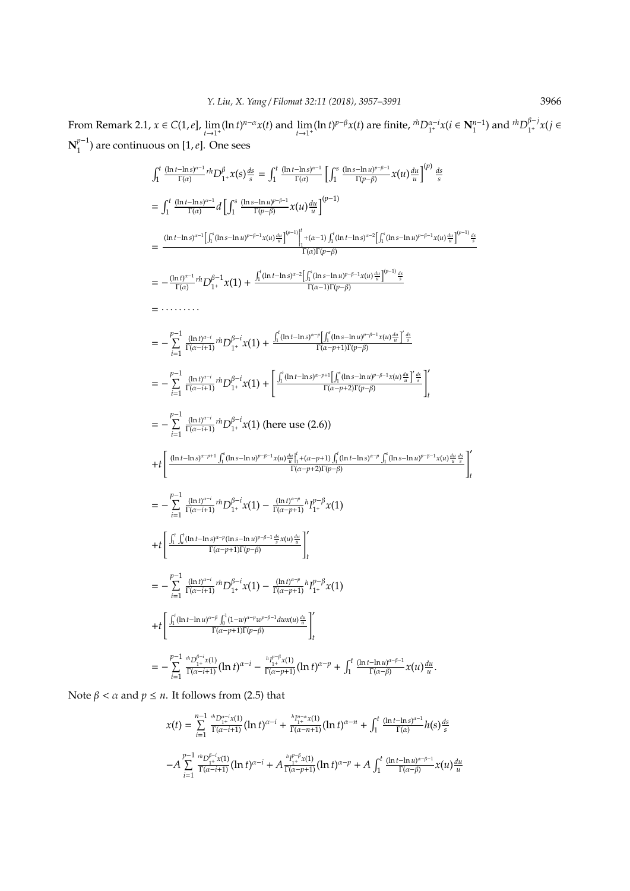From Remark 2.1,  $x \in C(1, e]$ ,  $\lim_{t \to 1^+} (\ln t)^{n-\alpha} x(t)$  and  $\lim_{t \to 1^+} (\ln t)^{p-\beta} x(t)$  are finite,  ${}^{rh}D_{1^+}^{\alpha-i} x(t \in N_1^{n-1})$  and  ${}^{rh}D_{1^+}^{\beta-j}$ 1 <sup>+</sup> *x*(*j* ∈  $N_1^{p-1}$  $\binom{p-1}{1}$  are continuous on [1, *e*]. One sees

$$
\int_{1}^{t} \frac{(\ln t - \ln s)^{n-1}}{\Gamma(\alpha)} r^{h} D_{1}^{0} x(s) \frac{ds}{s} = \int_{1}^{t} \frac{(\ln t - \ln s)^{n-1}}{\Gamma(\alpha)} \int_{1}^{s} \frac{(\ln s - \ln t)^{p-p-1}}{\Gamma(p-p)} x(u) \frac{du}{u} \Big|^{(p)} \frac{ds}{s}
$$
\n
$$
= \int_{1}^{t} \frac{(\ln t - \ln s)^{n-1}}{\Gamma(\alpha)} d \left[ \int_{1}^{s} \frac{(\ln s - \ln t)^{p-p-1}}{\Gamma(p-p)} x(u) \frac{du}{u} \right]^{(p-1)} \frac{1}{\Gamma(\alpha)} \int_{1}^{s} (\ln t - \ln s)^{n-2} \left[ \int_{1}^{s} (\ln s - \ln u)^{p-p-1} x(u) \frac{du}{u} \right]^{(p-1)} \frac{ds}{\Gamma(\alpha)\Gamma(p-p)} \right]
$$
\n
$$
= \frac{(\ln t)^{n-1}}{\Gamma(\alpha)} r^{h} D_{1}^{0} x x(1) + \frac{\int_{1}^{t} (\ln t - \ln s)^{n-2} \left[ \int_{1}^{s} (\ln s - \ln u)^{p-p-1} x(u) \frac{du}{u} \right]^{(p-1)} \frac{ds}{u}}{\Gamma(\alpha-1)\Gamma(p-p)} \right]
$$
\n
$$
= - \frac{\int_{i=1}^{p-1} (\ln t)^{n-i}}{\Gamma(\alpha-i+1)} r^{h} D_{1}^{0} x x(1) + \frac{\int_{1}^{t} (\ln t - \ln s)^{n-p} \left[ \int_{1}^{s} (\ln s - \ln u)^{p-p-1} x(u) \frac{du}{u} \right]^{s} \frac{ds}{u}}{\Gamma(\alpha-p+1)\Gamma(p-p)} \right]
$$
\n
$$
= - \sum_{i=1}^{p-1} \frac{(\ln t)^{n-i}}{\Gamma(\alpha-i+1)} r^{h} D_{1}^{0} x^{i} x(1) + \left[ \frac{\int_{1}^{t} (\ln t - \ln s)^{n-p-1} \left[ \int_{1}^{s} (\ln s - \ln u)^{p-p-1} x(u) \frac{du}{u} \right]^{s} \frac{ds}{s}} \right]_{t}^{t}
$$
\n
$$
= - \sum_{i=1}^{p-
$$

Note  $\beta < \alpha$  and  $p \leq n$ . It follows from (2.5) that

$$
x(t) = \sum_{i=1}^{n-1} \frac{{}^{n}D_{1+}^{\alpha-i}x(1)}{\Gamma(\alpha-i+1)} (\ln t)^{\alpha-i} + \frac{{}^{h}I_{1+}^{n-\alpha}x(1)}{\Gamma(\alpha-n+1)} (\ln t)^{\alpha-n} + \int_{1}^{t} \frac{(\ln t - \ln s)^{\alpha-1}}{\Gamma(\alpha)} h(s) \frac{ds}{s}
$$
  
- $A \sum_{i=1}^{p-1} \frac{{}^{n}D_{1+}^{\beta-i}x(1)}{\Gamma(\alpha-i+1)} (\ln t)^{\alpha-i} + A \frac{{}^{h}I_{1+}^{p-\beta}x(1)}{\Gamma(\alpha-p+1)} (\ln t)^{\alpha-p} + A \int_{1}^{t} \frac{(\ln t - \ln u)^{\alpha-\beta-1}}{\Gamma(\alpha-\beta)} x(u) \frac{du}{u}$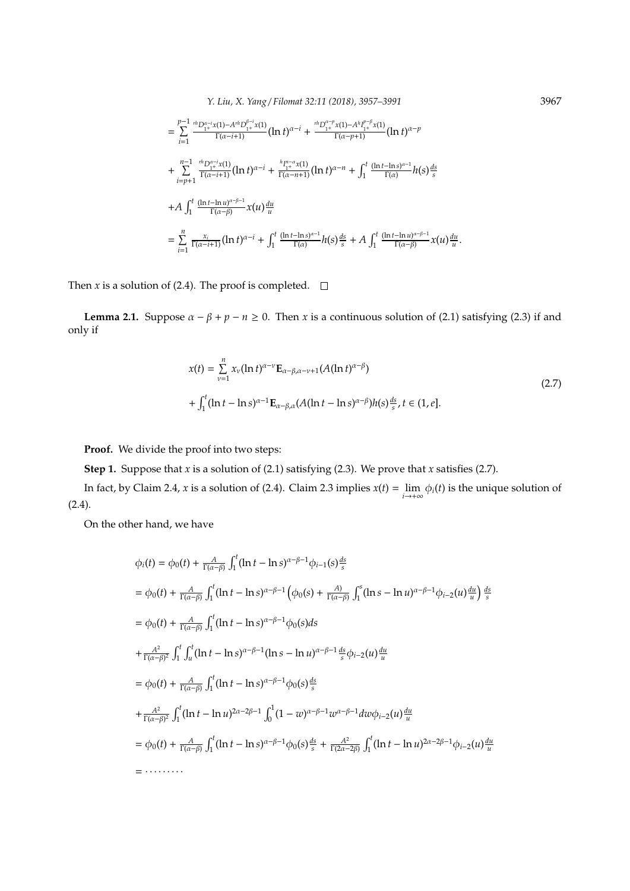*Y. Liu, X. Yang* / *Filomat 32:11 (2018), 3957–3991* 3967

$$
= \sum_{i=1}^{p-1} \frac{{}^{n}D_{1}^{\alpha-i}x(1)-A^{rh}D_{1^{+}}^{\beta-i}x(1)}{\Gamma(\alpha-i+1)} (\ln t)^{\alpha-i} + \frac{{}^{n}D_{1^{+}}^{\alpha-p}x(1)-A^{h}I_{1^{+}}^{\beta-p}x(1)}{\Gamma(\alpha-p+1)} (\ln t)^{\alpha-p} + \sum_{i=p+1}^{n-1} \frac{{}^{n}D_{1^{+}}^{\alpha-i}x(1)}{\Gamma(\alpha-i+1)} (\ln t)^{\alpha-i} + \frac{{}^{h}I_{1^{+}}^{\alpha-\alpha}x(1)}{\Gamma(\alpha-n+1)} (\ln t)^{\alpha-n} + \int_{1}^{t} \frac{(\ln t - \ln s)^{\alpha-1}}{\Gamma(\alpha)} h(s) \frac{ds}{s} + A \int_{1}^{t} \frac{(\ln t - \ln u)^{\alpha-\beta-1}}{\Gamma(\alpha-\beta)} x(u) \frac{du}{u} = \sum_{i=1}^{n} \frac{x_{i}}{\Gamma(\alpha-i+1)} (\ln t)^{\alpha-i} + \int_{1}^{t} \frac{(\ln t - \ln s)^{\alpha-1}}{\Gamma(\alpha)} h(s) \frac{ds}{s} + A \int_{1}^{t} \frac{(\ln t - \ln u)^{\alpha-\beta-1}}{\Gamma(\alpha-\beta)} x(u) \frac{du}{u}.
$$

Then *x* is a solution of (2.4). The proof is completed.  $\Box$ 

**Lemma 2.1.** Suppose  $\alpha - \beta + p - n \ge 0$ . Then *x* is a continuous solution of (2.1) satisfying (2.3) if and only if

$$
x(t) = \sum_{\nu=1}^{n} x_{\nu} (\ln t)^{\alpha-\nu} \mathbf{E}_{\alpha-\beta,\alpha-\nu+1}(A(\ln t)^{\alpha-\beta})
$$
  
+ 
$$
\int_{1}^{t} (\ln t - \ln s)^{\alpha-1} \mathbf{E}_{\alpha-\beta,\alpha}(A(\ln t - \ln s)^{\alpha-\beta}) h(s) \frac{ds}{s}, t \in (1, e].
$$
 (2.7)

**Proof.** We divide the proof into two steps:

**Step 1.** Suppose that *x* is a solution of (2.1) satisfying (2.3). We prove that *x* satisfies (2.7).

In fact, by Claim 2.4, *x* is a solution of (2.4). Claim 2.3 implies  $x(t) = \lim_{i \to +\infty} \phi_i(t)$  is the unique solution of (2.4).

On the other hand, we have

$$
\phi_i(t) = \phi_0(t) + \frac{A}{\Gamma(\alpha-\beta)} \int_1^t (\ln t - \ln s)^{\alpha-\beta-1} \phi_{i-1}(s) \frac{ds}{s}
$$
\n
$$
= \phi_0(t) + \frac{A}{\Gamma(\alpha-\beta)} \int_1^t (\ln t - \ln s)^{\alpha-\beta-1} \left(\phi_0(s) + \frac{A}{\Gamma(\alpha-\beta)} \int_1^s (\ln s - \ln u)^{\alpha-\beta-1} \phi_{i-2}(u) \frac{du}{u}\right) \frac{ds}{s}
$$
\n
$$
= \phi_0(t) + \frac{A}{\Gamma(\alpha-\beta)} \int_1^t (\ln t - \ln s)^{\alpha-\beta-1} \phi_0(s) ds
$$
\n
$$
+ \frac{A^2}{\Gamma(\alpha-\beta)^2} \int_1^t \int_u^t (\ln t - \ln s)^{\alpha-\beta-1} (\ln s - \ln u)^{\alpha-\beta-1} \frac{ds}{s} \phi_{i-2}(u) \frac{du}{u}
$$
\n
$$
= \phi_0(t) + \frac{A}{\Gamma(\alpha-\beta)} \int_1^t (\ln t - \ln s)^{\alpha-\beta-1} \phi_0(s) \frac{ds}{s}
$$
\n
$$
+ \frac{A^2}{\Gamma(\alpha-\beta)^2} \int_1^t (\ln t - \ln u)^{2\alpha-2\beta-1} \int_0^1 (1 - w)^{\alpha-\beta-1} w^{\alpha-\beta-1} dw \phi_{i-2}(u) \frac{du}{u}
$$
\n
$$
= \phi_0(t) + \frac{A}{\Gamma(\alpha-\beta)} \int_1^t (\ln t - \ln s)^{\alpha-\beta-1} \phi_0(s) \frac{ds}{s} + \frac{A^2}{\Gamma(2\alpha-2\beta)} \int_1^t (\ln t - \ln u)^{2\alpha-2\beta-1} \phi_{i-2}(u) \frac{du}{u}
$$
\n
$$
= \cdots \cdots \cdots
$$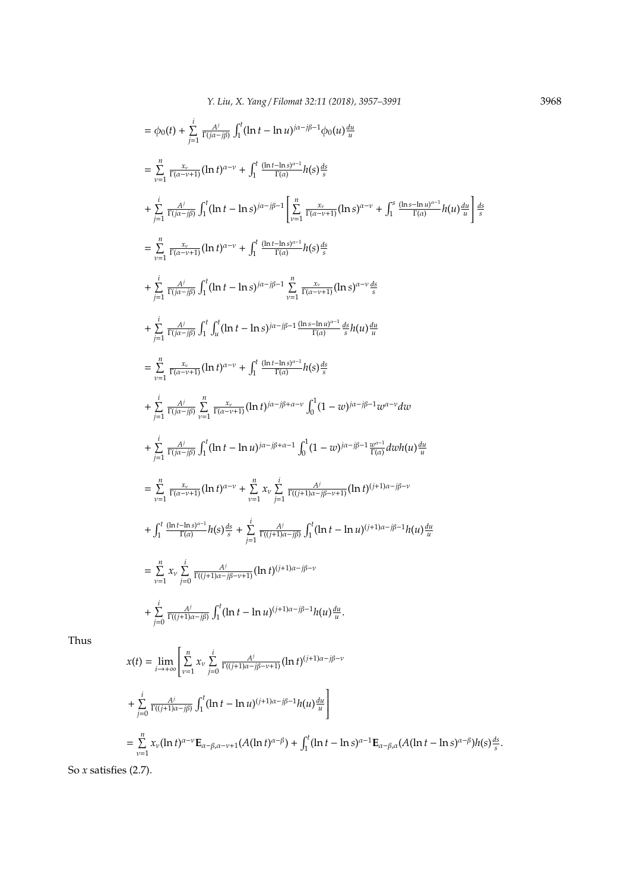$$
= \phi_0(t) + \sum_{j=1}^{i} \frac{A^{j}}{\Gamma(j\alpha-j\beta)} \int_1^t (\ln t - \ln u)^{j\alpha-j\beta-1} \phi_0(u) \frac{du}{u}
$$
  
\n
$$
= \sum_{\nu=1}^{n} \frac{x_{\nu}}{\Gamma(\alpha-\nu+1)} (\ln t)^{\alpha-\nu} + \int_1^t \frac{(\ln t - \ln s)^{\alpha-1}}{\Gamma(\alpha)} h(s) \frac{ds}{s}
$$
  
\n
$$
+ \sum_{j=1}^{i} \frac{A^{j}}{\Gamma(j\alpha-j\beta)} \int_1^t (\ln t - \ln s)^{j\alpha-j\beta-1} \left[ \sum_{\nu=1}^{n} \frac{x_{\nu}}{\Gamma(\alpha-\nu+1)} (\ln s)^{\alpha-\nu} + \int_1^s \frac{(\ln s - \ln u)^{\alpha-1}}{\Gamma(\alpha)} h(u) \frac{du}{u} \right]
$$
  
\n
$$
= \sum_{\nu=1}^{n} \frac{x_{\nu}}{\Gamma(\alpha-\nu+1)} (\ln t)^{\alpha-\nu} + \int_1^t \frac{(\ln t - \ln s)^{\alpha-1}}{\Gamma(\alpha)} h(s) \frac{ds}{s}
$$
  
\n
$$
+ \sum_{j=1}^{i} \frac{A^{j}}{\Gamma(j\alpha-j\beta)} \int_1^t (\ln t - \ln s)^{j\alpha-j\beta-1} \sum_{\nu=1}^{n} \frac{x_{\nu}}{\Gamma(\alpha-\nu+1)} (\ln s)^{\alpha-\nu} \frac{ds}{s}
$$
  
\n
$$
+ \sum_{j=1}^{i} \frac{A^{j}}{\Gamma(j\alpha-j\beta)} \int_1^t \int_0^t (\ln t - \ln s)^{j\alpha-j\beta-1} \frac{\ln s - \ln u^{\gamma-1}}{\Gamma(\alpha)} \frac{ds}{s} h(u) \frac{du}{u}
$$
  
\n
$$
= \sum_{\nu=1}^{n} \frac{x_{\nu}}{\Gamma(\alpha-\nu+1)} (\ln t)^{\alpha-\nu} + \int_1^t \frac{(\ln t - \ln s)^{\alpha-1}}{\Gamma(\alpha)} h(s) \frac{ds}{s}
$$
  
\n
$$
+ \sum_{j=1}^{i} \frac{A^{j}}{\Gamma(j\alpha-j\beta)} \int_{1}^t \int_1^t (\ln t - \ln u)^{j\alpha-j\beta+\alpha-\nu} \int_0^1 (
$$

Thus

$$
x(t) = \lim_{i \to +\infty} \left[ \sum_{\nu=1}^{n} x_{\nu} \sum_{j=0}^{i} \frac{A^{j}}{\Gamma((j+1)\alpha - j\beta - \nu+1)} (\ln t)^{(j+1)\alpha - j\beta - \nu} + \sum_{j=0}^{i} \frac{A^{j}}{\Gamma((j+1)\alpha - j\beta)} \int_{1}^{t} (\ln t - \ln u)^{(j+1)\alpha - j\beta - 1} h(u) \frac{du}{u} \right]
$$
  
= 
$$
\sum_{\nu=1}^{n} x_{\nu} (\ln t)^{\alpha - \nu} \mathbf{E}_{\alpha - \beta, \alpha - \nu+1} (A(\ln t)^{\alpha - \beta}) + \int_{1}^{t} (\ln t - \ln s)^{\alpha - 1} \mathbf{E}_{\alpha - \beta, \alpha} (A(\ln t - \ln s)^{\alpha - \beta}) h(s) \frac{ds}{s}.
$$

So *x* satisfies (2.7).

*ds s*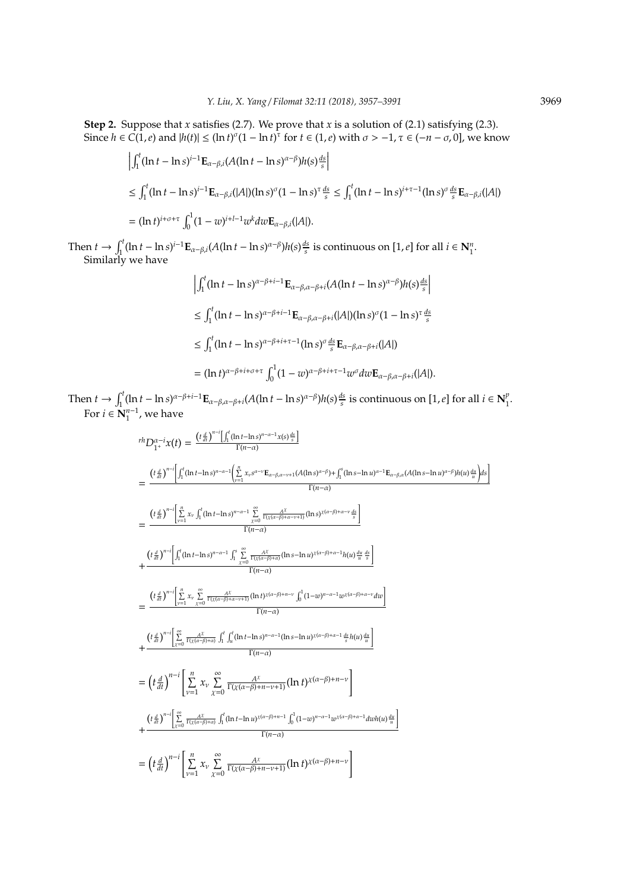**Step 2.** Suppose that *x* satisfies (2.7). We prove that *x* is a solution of (2.1) satisfying (2.3). Since  $h \in C(1, e)$  and  $|h(t)| \le (\ln t)^{\sigma} (1 - \ln t)^{\tau}$  for  $t \in (1, e)$  with  $\sigma > -1$ ,  $\tau \in (-n - \sigma, 0]$ , we know

$$
\left| \int_{1}^{t} (\ln t - \ln s)^{i-1} \mathbf{E}_{\alpha - \beta, i} (A(\ln t - \ln s)^{\alpha - \beta}) h(s) \frac{ds}{s} \right|
$$
  
\n
$$
\leq \int_{1}^{t} (\ln t - \ln s)^{i-1} \mathbf{E}_{\alpha - \beta, i} (|A|) (\ln s)^{\sigma} (1 - \ln s)^{\tau} \frac{ds}{s} \leq \int_{1}^{t} (\ln t - \ln s)^{i+\tau-1} (\ln s)^{\sigma} \frac{ds}{s} \mathbf{E}_{\alpha - \beta, i} (|A|)
$$
  
\n
$$
= (\ln t)^{i+\sigma+\tau} \int_{0}^{1} (1 - w)^{i+l-1} w^{k} dw \mathbf{E}_{\alpha - \beta, i} (|A|).
$$

Then  $t \to \int_1^t (\ln t - \ln s)^{i-1} \mathbf{E}_{\alpha-\beta,i}(A(\ln t - \ln s)^{\alpha-\beta}) h(s) \frac{ds}{s}$  is continuous on  $[1, e]$  for all  $i \in \mathbb{N}_1^n$ . Similarly we have

$$
\left| \int_{1}^{t} (\ln t - \ln s)^{\alpha - \beta + i - 1} \mathbf{E}_{\alpha - \beta, \alpha - \beta + i} (A(\ln t - \ln s)^{\alpha - \beta}) h(s) \frac{ds}{s} \right|
$$
  
\n
$$
\leq \int_{1}^{t} (\ln t - \ln s)^{\alpha - \beta + i - 1} \mathbf{E}_{\alpha - \beta, \alpha - \beta + i} (|A|) (\ln s)^{\sigma} (1 - \ln s)^{\tau} \frac{ds}{s}
$$
  
\n
$$
\leq \int_{1}^{t} (\ln t - \ln s)^{\alpha - \beta + i + \tau - 1} (\ln s)^{\sigma} \frac{ds}{s} \mathbf{E}_{\alpha - \beta, \alpha - \beta + i} (|A|)
$$
  
\n
$$
= (\ln t)^{\alpha - \beta + i + \sigma + \tau} \int_{0}^{1} (1 - w)^{\alpha - \beta + i + \tau - 1} w^{\sigma} dw \mathbf{E}_{\alpha - \beta, \alpha - \beta + i} (|A|).
$$

Then  $t \to \int_1^t (\ln t - \ln s)^{\alpha - \beta + i - 1} \mathbf{E}_{\alpha - \beta, \alpha - \beta + i} (A(\ln t - \ln s)^{\alpha - \beta}) h(s) \frac{ds}{s}$  is continuous on [1, e] for all  $i \in \mathbb{N}_1^{\beta}$  $\frac{1}{1}$ For  $i \in \mathbb{N}_1^{n-1}$ , we have

$$
r^{h}D_{1+}^{\alpha-i}x(t) = \frac{(t\frac{d}{dt})^{n-i}\int_{1}^{t}(\ln t - \ln s)^{n-\alpha-1}x(s)^{\frac{ds}{s}}}{\Gamma(n-\alpha)}
$$
\n
$$
= \frac{(t\frac{d}{dt})^{n-i}\int_{1}^{t}(\ln t - \ln s)^{n-\alpha-1}\left(\sum_{\nu=1}^{n} x_{\nu}s^{\alpha-\nu}E_{\alpha-\beta,\alpha-\nu+1}(A(\ln s)^{\alpha-\beta}) + \int_{1}^{a}(\ln s - \ln u)^{\alpha-1}E_{\alpha-\beta,\alpha}(A(\ln s - \ln u)^{\alpha-\beta})h(u)^{\frac{du}{u}}\right)ds}{\Gamma(n-\alpha)}
$$
\n
$$
= \frac{(t\frac{d}{dt})^{n-i}\left[\sum_{\nu=1}^{n} x_{\nu}\int_{1}^{t}(\ln t - \ln s)^{n-\alpha-1}\sum_{\lambda=0}^{\infty}\frac{A^{\lambda}}{\Gamma(x(\alpha-\beta)+\alpha-\nu+1)}(\ln s)^{x(\alpha-\beta)+\alpha-\nu+\frac{ds}{s}}\right]}{\Gamma(n-\alpha)}
$$
\n
$$
+ \frac{(t\frac{d}{dt})^{n-i}\left[\int_{1}^{t}(\ln t - \ln s)^{n-\alpha-1}\int_{1}^{s}\sum_{\lambda=0}^{\infty}\frac{A^{\lambda}}{\Gamma(x(\alpha-\beta)+\alpha-\nu+1)}(\ln s - \ln u)^{x(\alpha-\beta)+\alpha-1}h(u)\frac{u}{u}\frac{ds}{s}\right]}{\Gamma(n-\alpha)}
$$
\n
$$
= \frac{(t\frac{d}{dt})^{n-i}\left[\sum_{\nu=1}^{n} x_{\nu}\sum_{\lambda=0}^{\infty}\frac{A^{\lambda}}{\Gamma(x(\alpha-\beta)+\alpha-\nu+1)}(\ln t)^{x(\alpha-\beta)+n-\nu}\int_{0}^{t} (1-w)^{n-\alpha-1}w^{x(\alpha-\beta)+\alpha-\nu}dw\right]}{\Gamma(n-\alpha)}
$$
\n
$$
+ \frac{(t\frac{d}{dt})^{n-i}\left[\sum_{\nu=1}^{\infty} x_{\nu}\sum_{\lambda=0}^{\infty}\frac{A^{\lambda}}{\Gamma(x(\alpha-\beta)+n-\nu+1)}(\ln t)^{x(\alpha-\beta)+n-\nu}\right]}{\Gamma(n-\alpha)}
$$
\n
$$
= \left(t\frac{d}{dt}\right)^{n-i}\left[\sum_{\nu=0
$$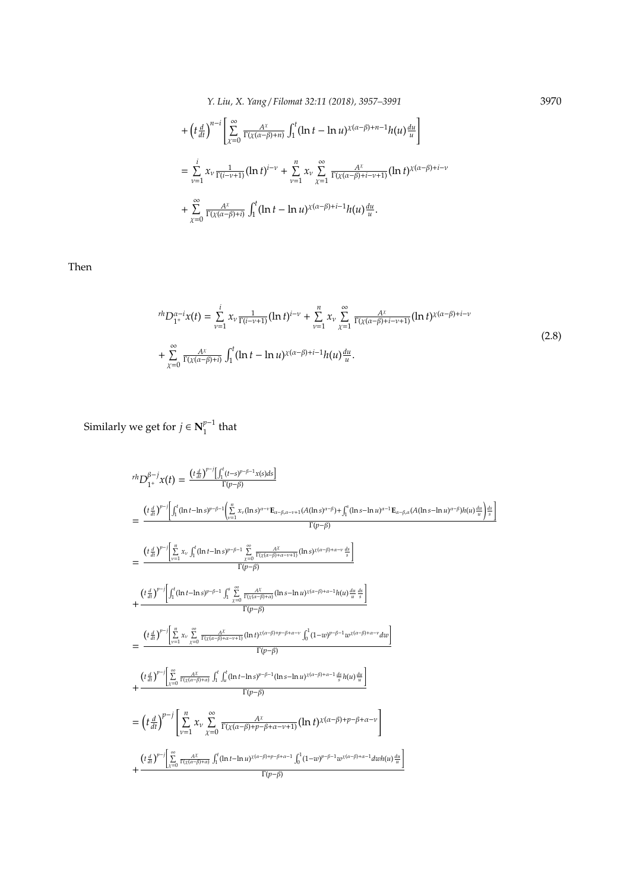*Y. Liu, X. Yang* / *Filomat 32:11 (2018), 3957–3991* 3970

$$
+\left(t\frac{d}{dt}\right)^{n-i}\left[\sum_{\chi=0}^{\infty}\frac{A^{\chi}}{\Gamma(\chi(\alpha-\beta)+n)}\int_{1}^{t}(\ln t-\ln u)^{\chi(\alpha-\beta)+n-1}h(u)\frac{du}{u}\right]
$$
  

$$
=\sum_{\nu=1}^{i}x_{\nu}\frac{1}{\Gamma(i-\nu+1)}(\ln t)^{i-\nu}+\sum_{\nu=1}^{n}x_{\nu}\sum_{\chi=1}^{\infty}\frac{A^{\chi}}{\Gamma(\chi(\alpha-\beta)+i-\nu+1)}(\ln t)^{\chi(\alpha-\beta)+i-\nu}
$$
  

$$
+\sum_{\chi=0}^{\infty}\frac{A^{\chi}}{\Gamma(\chi(\alpha-\beta)+i)}\int_{1}^{t}(\ln t-\ln u)^{\chi(\alpha-\beta)+i-1}h(u)\frac{du}{u}.
$$

Then

$$
{}^{rh}D_{1^+}^{\alpha-i}x(t) = \sum_{\nu=1}^{i} x_{\nu} \frac{1}{\Gamma(i-\nu+1)} (\ln t)^{i-\nu} + \sum_{\nu=1}^{n} x_{\nu} \sum_{\chi=1}^{\infty} \frac{A^{\chi}}{\Gamma(\chi(\alpha-\beta)+i-\nu+1)} (\ln t)^{\chi(\alpha-\beta)+i-\nu}
$$
  
+ 
$$
\sum_{\chi=0}^{\infty} \frac{A^{\chi}}{\Gamma(\chi(\alpha-\beta)+i)} \int_{1}^{t} (\ln t - \ln u)^{\chi(\alpha-\beta)+i-1} h(u) \frac{du}{u}.
$$
 (2.8)

Similarly we get for  $j \in N_1^{p-1}$  $\int_1^{p-1}$  that

$$
r h D_{1}^{\beta-j} x(t) = \frac{(t \frac{d}{dt})^{p-j} \left[ \int_{1}^{t} (t-s)^{p-\beta-1} x(s) ds \right]}{ \Gamma(p-\beta)}
$$
\n
$$
= \frac{(t \frac{d}{dt})^{p-j} \left[ \int_{1}^{t} (ln t - ln s)^{p-\beta-1} \left( \frac{n}{\nu-1} x_{\nu} (ln s)^{\alpha-\nu} E_{\alpha-\beta,\alpha-\nu+1} (A(ln s)^{\alpha-\beta}) + \int_{1}^{\infty} (ln s - ln u)^{\alpha-1} E_{\alpha-\beta,\alpha} (A(ln s - ln u)^{\alpha-\beta}) h(u) \frac{du}{u} \right] \frac{ds}{s}}{ \Gamma(p-\beta)}
$$
\n
$$
= \frac{(t \frac{d}{dt})^{p-j} \left[ \sum_{\nu=1}^{n} x_{\nu} \int_{1}^{t} (ln t - ln s)^{p-\beta-1} \sum_{\lambda=0}^{\infty} \frac{A^{\lambda}}{\Gamma(x(\alpha-\beta)+\alpha-\nu+1)} (ln s)^{\chi(\alpha-\beta)+\alpha-\nu} \frac{ds}{s} \right]}{\Gamma(p-\beta)}
$$
\n
$$
+ \frac{(t \frac{d}{dt})^{p-j} \left[ \int_{1}^{t} (ln t - ln s)^{p-\beta-1} \int_{1}^{s} \sum_{\lambda=0}^{\infty} \frac{A^{\lambda}}{\Gamma(x(\alpha-\beta)+\alpha-\nu+1)} (ln s - ln u)^{\chi(\alpha-\beta)+\alpha-1} h(u) \frac{du}{u} \frac{ds}{s} \right]}{\Gamma(p-\beta)}
$$
\n
$$
= \frac{(t \frac{d}{dt})^{p-j} \left[ \sum_{\nu=1}^{n} x_{\nu} \sum_{\lambda=0}^{\infty} \frac{A^{\lambda}}{\Gamma(x(\alpha-\beta)+\alpha-\nu+1)} (ln t)^{\chi(\alpha-\beta)+\rho-\beta+\alpha-\nu} \int_{0}^{1} (1-u)^{p-\beta-1} t^{\nu} (a-\beta+\alpha-\nu) du \right]}{\Gamma(p-\beta)}
$$
\n
$$
+ \frac{(t \frac{d}{dt})^{p-j} \left[ \sum_{\lambda=0}^{\infty} \frac{A^{\lambda}}{\Gamma(x(\alpha-\beta)+\alpha)} \int_{1}^{t} \int_{u}^{t} (ln t - ln s)^{p-\beta-1} (ln s - ln u)^{\chi(\alpha-\beta)+\alpha
$$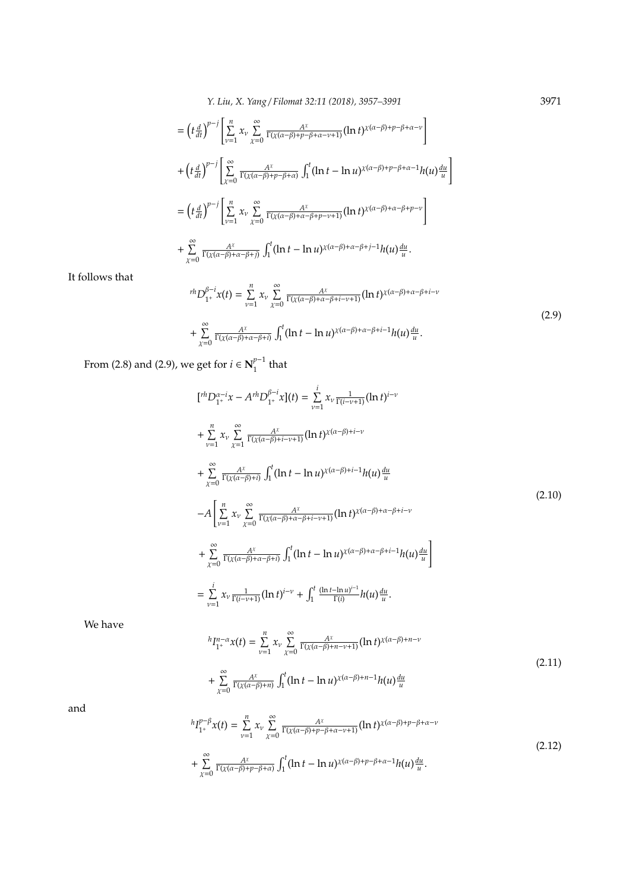*Y. Liu, X. Yang* / *Filomat 32:11 (2018), 3957–3991* 3971

$$
= \left(t\frac{d}{dt}\right)^{p-j} \left[\sum_{\nu=1}^{n} x_{\nu} \sum_{\chi=0}^{\infty} \frac{A^{\chi}}{\Gamma(\chi(\alpha-\beta)+p-\beta+\alpha-\nu+1)} (\ln t)^{\chi(\alpha-\beta)+p-\beta+\alpha-\nu}\right] + \left(t\frac{d}{dt}\right)^{p-j} \left[\sum_{\chi=0}^{\infty} \frac{A^{\chi}}{\Gamma(\chi(\alpha-\beta)+p-\beta+\alpha)} \int_{1}^{t} (\ln t - \ln u)^{\chi(\alpha-\beta)+p-\beta+\alpha-1} h(u) \frac{du}{u}\right] = \left(t\frac{d}{dt}\right)^{p-j} \left[\sum_{\nu=1}^{n} x_{\nu} \sum_{\chi=0}^{\infty} \frac{A^{\chi}}{\Gamma(\chi(\alpha-\beta)+\alpha-\beta+p-\nu+1)} (\ln t)^{\chi(\alpha-\beta)+\alpha-\beta+p-\nu}\right] + \sum_{\chi=0}^{\infty} \frac{A^{\chi}}{\Gamma(\chi(\alpha-\beta)+\alpha-\beta+\beta)} \int_{1}^{t} (\ln t - \ln u)^{\chi(\alpha-\beta)+\alpha-\beta+j-1} h(u) \frac{du}{u}.
$$

It follows that

$$
{}^{rh}D_{1^+}^{\beta-i}x(t) = \sum_{\nu=1}^n x_{\nu} \sum_{\chi=0}^{\infty} \frac{A^{\chi}}{\Gamma(\chi(\alpha-\beta)+\alpha-\beta+i-\nu+1)} (\ln t)^{\chi(\alpha-\beta)+\alpha-\beta+i-\nu}
$$
  
+ 
$$
\sum_{\chi=0}^{\infty} \frac{A^{\chi}}{\Gamma(\chi(\alpha-\beta)+\alpha-\beta+i)} \int_1^t (\ln t - \ln u)^{\chi(\alpha-\beta)+\alpha-\beta+i-1} h(u) \frac{du}{u}.
$$
 (2.9)

From (2.8) and (2.9), we get for  $i \in N_1^{p-1}$  $\int_1^{p-1}$  that

$$
[t^{h}D_{1^{+}}^{\alpha-i}x - A^{rh}D_{1^{+}}^{\beta-i}x](t) = \sum_{\nu=1}^{i} x_{\nu} \frac{1}{\Gamma(i-\nu+1)} (\ln t)^{i-\nu} + \sum_{\nu=1}^{n} x_{\nu} \sum_{\chi=1}^{\infty} \frac{A^{\chi}}{\Gamma(\chi(\alpha-\beta)+i-\nu+1)} (\ln t)^{\chi(\alpha-\beta)+i-\nu} + \sum_{\chi=0}^{\infty} \frac{A^{\chi}}{\Gamma(\chi(\alpha-\beta)+i)} \int_{1}^{t} (\ln t - \ln u)^{\chi(\alpha-\beta)+i-1} h(u) \frac{du}{u} - A \left[ \sum_{\nu=1}^{n} x_{\nu} \sum_{\chi=0}^{\infty} \frac{A^{\chi}}{\Gamma(\chi(\alpha-\beta)+\alpha-\beta+i-\nu+1)} (\ln t)^{\chi(\alpha-\beta)+\alpha-\beta+i-\nu} + \sum_{\chi=0}^{\infty} \frac{A^{\chi}}{\Gamma(\chi(\alpha-\beta)+\alpha-\beta+i)} \int_{1}^{t} (\ln t - \ln u)^{\chi(\alpha-\beta)+\alpha-\beta+i-1} h(u) \frac{du}{u} \right] = \sum_{\nu=1}^{i} x_{\nu} \frac{1}{\Gamma(i-\nu+1)} (\ln t)^{i-\nu} + \int_{1}^{t} \frac{(\ln t - \ln u)^{i-1}}{\Gamma(i)} h(u) \frac{du}{u}.
$$
 (2.10)

We have

$$
{}^{h}I_{1^{+}}^{n-\alpha}x(t) = \sum_{\nu=1}^{n} x_{\nu} \sum_{\chi=0}^{\infty} \frac{A^{\chi}}{\Gamma(\chi(\alpha-\beta)+n-\nu+1)} (\ln t)^{\chi(\alpha-\beta)+n-\nu}
$$
  
+ 
$$
\sum_{\chi=0}^{\infty} \frac{A^{\chi}}{\Gamma(\chi(\alpha-\beta)+n)} \int_{1}^{t} (\ln t - \ln u)^{\chi(\alpha-\beta)+n-1} h(u) \frac{du}{u}
$$
 (2.11)

and

$$
{}^{h}I_{1^{+}}^{p-\beta}x(t) = \sum_{\nu=1}^{n} x_{\nu} \sum_{\chi=0}^{\infty} \frac{A^{\chi}}{\Gamma(\chi(\alpha-\beta)+p-\beta+\alpha-\nu+1)} (\ln t)^{\chi(\alpha-\beta)+p-\beta+\alpha-\nu}
$$
  
+ 
$$
\sum_{\chi=0}^{\infty} \frac{A^{\chi}}{\Gamma(\chi(\alpha-\beta)+p-\beta+\alpha)} \int_{1}^{t} (\ln t - \ln u)^{\chi(\alpha-\beta)+p-\beta+\alpha-1} h(u) \frac{du}{u}.
$$
 (2.12)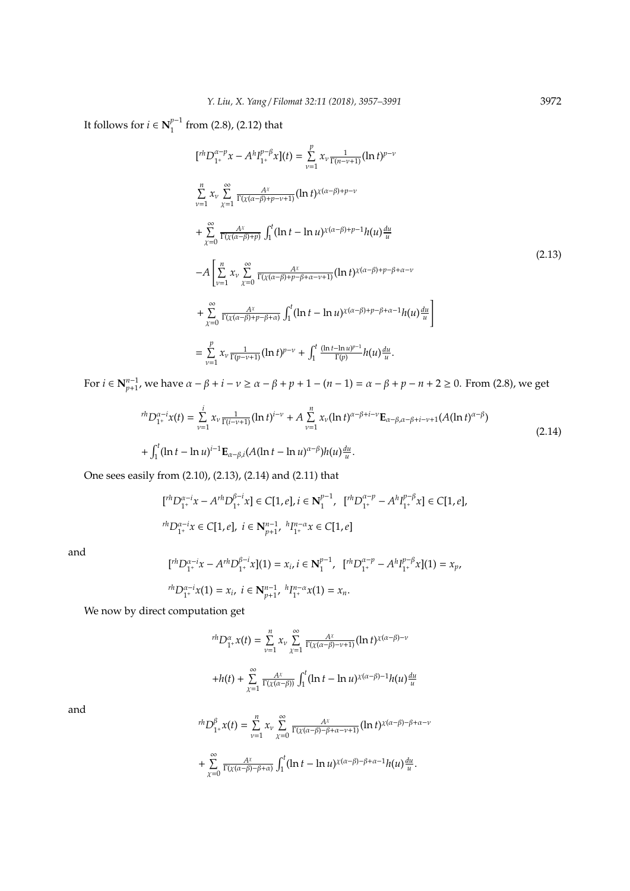It follows for  $i \in \mathbf{N}_1^{p-1}$  $\int_{1}^{\rho}$  from (2.8), (2.12) that

$$
[I^{h}D_{1^{+}}^{\alpha-p}x - A^{h}I_{1^{+}}^{p-\beta}x](t) = \sum_{\nu=1}^{p} x_{\nu} \frac{1}{\Gamma(n-\nu+1)} (\ln t)^{p-\nu}
$$
  
\n
$$
\sum_{\nu=1}^{n} x_{\nu} \sum_{\chi=1}^{\infty} \frac{A^{\chi}}{\Gamma(\chi(\alpha-\beta)+p-\nu+1)} (\ln t)^{\chi(\alpha-\beta)+p-\nu}
$$
  
\n+
$$
\sum_{\chi=0}^{\infty} \frac{A^{\chi}}{\Gamma(\chi(\alpha-\beta)+p)} \int_{1}^{t} (\ln t - \ln u)^{\chi(\alpha-\beta)+p-1} h(u) \frac{du}{u}
$$
  
\n-
$$
A \left[ \sum_{\nu=1}^{n} x_{\nu} \sum_{\chi=0}^{\infty} \frac{A^{\chi}}{\Gamma(\chi(\alpha-\beta)+p-\beta+\alpha-\nu+1)} (\ln t)^{\chi(\alpha-\beta)+p-\beta+\alpha-\nu}
$$
  
\n+
$$
\sum_{\chi=0}^{\infty} \frac{A^{\chi}}{\Gamma(\chi(\alpha-\beta)+p-\beta+\alpha)} \int_{1}^{t} (\ln t - \ln u)^{\chi(\alpha-\beta)+p-\beta+\alpha-1} h(u) \frac{du}{u} \right]
$$
  
\n=
$$
\sum_{\nu=1}^{p} x_{\nu} \frac{1}{\Gamma(p-\nu+1)} (\ln t)^{p-\nu} + \int_{1}^{t} \frac{(\ln t - \ln u)^{p-1}}{\Gamma(p)} h(u) \frac{du}{u}.
$$

For *i* ∈  $N_{p+1}^{n-1}$ , we have  $\alpha - \beta + i - \nu \ge \alpha - \beta + p + 1 - (n - 1) = \alpha - \beta + p - n + 2 \ge 0$ . From (2.8), we get

$$
{}^{rh}D_{1^+}^{\alpha-i}x(t) = \sum_{\nu=1}^i x_{\nu} \frac{1}{\Gamma(i-\nu+1)} (\ln t)^{i-\nu} + A \sum_{\nu=1}^n x_{\nu} (\ln t)^{\alpha-\beta+i-\nu} \mathbf{E}_{\alpha-\beta,\alpha-\beta+i-\nu+1} (A(\ln t)^{\alpha-\beta})
$$
  
+ 
$$
\int_1^t (\ln t - \ln u)^{i-1} \mathbf{E}_{\alpha-\beta,i} (A(\ln t - \ln u)^{\alpha-\beta}) h(u) \frac{du}{u}.
$$
 (2.14)

One sees easily from (2.10), (2.13), (2.14) and (2.11) that

$$
\label{eq:2.1} \begin{split} &\big[{}^{rh}D_{1^+}^{\alpha-i}x - A^{rh}D_{1^+}^{\beta-i}x\big] \in C[1,e], i \in \textbf{N}_1^{p-1}, \;\; [{}^{rh}D_{1^+}^{\alpha-p} - A^hI_{1^+}^{p-\beta}x] \in C[1,e],\\ &\hspace{.2in} {}^{rh}D_{1^+}^{\alpha-i}x \in C[1,e], \; i \in \textbf{N}_{p+1}^{n-1}, \; {}^{h}I_{1^+}^{n-\alpha}x \in C[1,e] \end{split}
$$

and

$$
\begin{aligned} [^{rh}D_{1^+}^{\alpha-i}x - A^{rh}D_{1^+}^{\beta-i}x](1) &= x_i, i \in \mathbf{N}_1^{p-1}, \ [^{rh}D_{1^+}^{\alpha-p} - A^{h}I_{1^+}^{p-\beta}x](1) = x_p, \\ &\text{r}^{rh}D_{1^+}^{\alpha-i}x(1) = x_i, \ i \in \mathbf{N}_{p+1}^{n-1}, \ {^hI}_{1^+}^{n-\alpha}x(1) = x_n. \end{aligned}
$$

We now by direct computation get

$$
{}^{rh}D_{1^+}^{\alpha}x(t) = \sum_{\nu=1}^n x_{\nu} \sum_{\chi=1}^{\infty} \frac{A^{\chi}}{\Gamma(\chi(\alpha-\beta)-\nu+1)} (\ln t)^{\chi(\alpha-\beta)-\nu}
$$

$$
+h(t) + \sum_{\chi=1}^{\infty} \frac{A^{\chi}}{\Gamma(\chi(\alpha-\beta))} \int_1^t (\ln t - \ln u)^{\chi(\alpha-\beta)-1} h(u) \frac{du}{u}
$$

and

$$
{}^{rh}D_{1^+}^{\beta}x(t) = \sum_{\nu=1}^n x_{\nu} \sum_{\chi=0}^{\infty} \frac{A^{\chi}}{\Gamma(\chi(\alpha-\beta)-\beta+\alpha-\nu+1)} (\ln t)^{\chi(\alpha-\beta)-\beta+\alpha-\nu}
$$

$$
+ \sum_{\chi=0}^{\infty} \frac{A^{\chi}}{\Gamma(\chi(\alpha-\beta)-\beta+\alpha)} \int_1^t (\ln t - \ln u)^{\chi(\alpha-\beta)-\beta+\alpha-1} h(u) \frac{du}{u}.
$$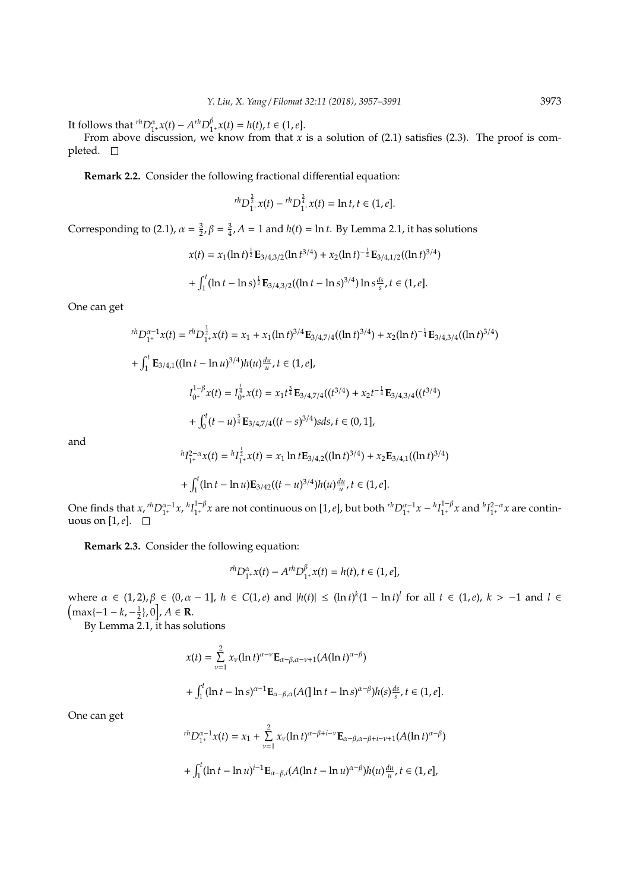It follows that  ${}^{rh}D_{1^+}^{\alpha}x(t) - A^{rh}D_1^{\beta}$  $h_{1^+}^{\beta} x(t) = h(t), t \in (1, e].$ 

From above discussion, we know from that *x* is a solution of (2.1) satisfies (2.3). The proof is completed.  $\square$ 

**Remark 2.2.** Consider the following fractional differential equation:

$$
{}^{rh}D^{\frac{3}{2}}_{1^+}x(t) - {}^{rh}D^{\frac{3}{4}}_{1^+}x(t) = \ln t, t \in (1, e].
$$

Corresponding to (2.1),  $\alpha = \frac{3}{2}$ ,  $\beta = \frac{3}{4}$ ,  $A = 1$  and  $h(t) = \ln t$ . By Lemma 2.1, it has solutions

$$
x(t) = x_1(\ln t)^{\frac{1}{2}} \mathbf{E}_{3/4,3/2}(\ln t^{3/4}) + x_2(\ln t)^{-\frac{1}{2}} \mathbf{E}_{3/4,1/2}((\ln t)^{3/4})
$$

$$
+ \int_1^t (\ln t - \ln s)^{\frac{1}{2}} \mathbf{E}_{3/4,3/2}((\ln t - \ln s)^{3/4}) \ln s^{\frac{ds}{s}}, t \in (1, e].
$$

One can get

$$
{}^{rh}D_{1^+}^{\alpha-1}x(t) = {}^{rh}D_{1^+}^{\frac{1}{2}}x(t) = x_1 + x_1(\ln t)^{3/4} \mathbf{E}_{3/4,7/4}((\ln t)^{3/4}) + x_2(\ln t)^{-\frac{1}{4}} \mathbf{E}_{3/4,3/4}((\ln t)^{3/4})
$$
  
+ 
$$
\int_1^t \mathbf{E}_{3/4,1}((\ln t - \ln u)^{3/4})h(u)\frac{du}{u}, t \in (1, e],
$$
  

$$
I_{0^+}^{1-\beta}x(t) = I_{0^+}^{\frac{1}{4}}x(t) = x_1 t^{\frac{3}{4}} \mathbf{E}_{3/4,7/4}((t^{3/4}) + x_2 t^{-\frac{1}{4}} \mathbf{E}_{3/4,3/4}((t^{3/4}) + \int_0^t (t - u)^{\frac{3}{4}} \mathbf{E}_{3/4,7/4}((t - s)^{3/4})s ds, t \in (0, 1],
$$

and

$$
{}^{h}I_{1^+}^{2-\alpha}x(t) = {}^{h}I_{1^+}^{\frac{1}{2}}x(t) = x_1 \ln t \mathbf{E}_{3/4,2}((\ln t)^{3/4}) + x_2 \mathbf{E}_{3/4,1}((\ln t)^{3/4})
$$

$$
+ \int_1^t (\ln t - \ln u) \mathbf{E}_{3/42}((t - u)^{3/4}) h(u) \frac{du}{u}, t \in (1, e].
$$

One finds that  $x$ ,  $^{rh}D_{1^+}^{\alpha-1}x$ ,  $^{h}I_{1^+}^{1-\beta}$  $\int_{1^+}^{1-\beta} x$  are not continuous on [1, *e*], but both  ${}^{rh}D_{1^+}^{\alpha-1}x - {}^{h}I_{1^+}^{1-\beta}$  $_{1^+}^{1-\beta}$ *x* and  $_{1^+}^{h}$  $_{1^+}^{2-\alpha}$ *x* are continuous on [1,*e*].

**Remark 2.3.** Consider the following equation:

$$
{}^{rh}D_{1^+}^\alpha x(t) - A^{rh}D_{1^+}^\beta x(t) = h(t), t \in (1, e],
$$

where *α* ∈ (1, 2),  $β$  ∈ (0, *α* − 1],  $h$  ∈ C(1, *e*) and  $|h(t)| ≤$  (ln *t*)<sup>*k*</sup>(1 − ln *t*)<sup>*l*</sup> for all *t* ∈ (1, *e*), *k* > −1 and *l* ∈  $\left(\max\{-1-k,-\frac{1}{2}\},0\right], A \in \mathbf{R}.$ 

By Lemma 2.1, it has solutions

$$
x(t) = \sum_{\nu=1}^{2} x_{\nu} (\ln t)^{\alpha-\nu} \mathbf{E}_{\alpha-\beta,\alpha-\nu+1}(A(\ln t)^{\alpha-\beta})
$$
  
+ 
$$
\int_{1}^{t} (\ln t - \ln s)^{\alpha-1} \mathbf{E}_{\alpha-\beta,\alpha}(A(\ln t - \ln s)^{\alpha-\beta}) h(s) \frac{ds}{s}, t \in (1, e].
$$

One can get

$$
{}^{rh}D_{1^+}^{\alpha-1}x(t) = x_1 + \sum_{\nu=1}^2 x_\nu (\ln t)^{\alpha-\beta+i-\nu} \mathbf{E}_{\alpha-\beta,\alpha-\beta+i-\nu+1}(A(\ln t)^{\alpha-\beta})
$$
  
+ 
$$
\int_1^t (\ln t - \ln u)^{i-1} \mathbf{E}_{\alpha-\beta,i}(A(\ln t - \ln u)^{\alpha-\beta}) h(u) \frac{du}{u}, t \in (1, e],
$$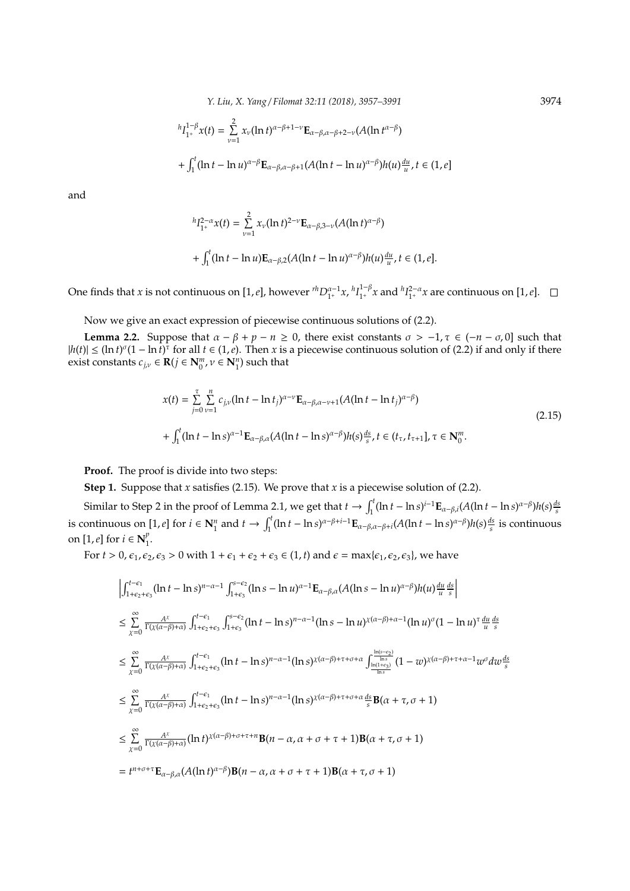*Y. Liu, X. Yang* / *Filomat 32:11 (2018), 3957–3991* 3974

$$
{}^{h}I_{1^{+}}^{1-\beta}x(t) = \sum_{\nu=1}^{2} x_{\nu}(\ln t)^{\alpha-\beta+1-\nu} \mathbf{E}_{\alpha-\beta,\alpha-\beta+2-\nu}(A(\ln t^{\alpha-\beta})
$$
  
+ 
$$
\int_{1}^{t} (\ln t - \ln u)^{\alpha-\beta} \mathbf{E}_{\alpha-\beta,\alpha-\beta+1}(A(\ln t - \ln u)^{\alpha-\beta})h(u) \frac{du}{u}, t \in (1, e]
$$

and

$$
{}^{h}I_{1^{+}}^{2-\alpha}x(t) = \sum_{\nu=1}^{2} x_{\nu}(\ln t)^{2-\nu} \mathbf{E}_{\alpha-\beta,3-\nu}(A(\ln t)^{\alpha-\beta})
$$
  
+ 
$$
\int_{1}^{t} (\ln t - \ln u) \mathbf{E}_{\alpha-\beta,2}(A(\ln t - \ln u)^{\alpha-\beta}) h(u) \frac{du}{u}, t \in (1, e].
$$

One finds that *x* is not continuous on [1,*e*], however  ${}^{rh}D_{1^+}^{\alpha-1}x$ ,  ${}^{h}I_{1^+}^{1-\beta}$  $\int_{1^+}^{1-\beta} x$  and  $hI_{1^+}^{2-\alpha}x$  are continuous on [1, *e*].

Now we give an exact expression of piecewise continuous solutions of (2.2).

**Lemma 2.2.** Suppose that  $\alpha - \beta + p - n \ge 0$ , there exist constants  $\sigma > -1$ ,  $\tau \in (-n - \sigma, 0]$  such that  $|h(t)| \leq (\ln t)^{\sigma} (1 - \ln t)^{\tau}$  for all  $t \in (1, e)$ . Then *x* is a piecewise continuous solution of (2.2) if and only if there exist constants  $c_{j,\nu} \in \mathbf{R}(j \in \mathbf{N}_0^m, \nu \in \mathbf{N}_1^n)$  such that

$$
x(t) = \sum_{j=0}^{\tau} \sum_{\nu=1}^{n} c_{j,\nu} (\ln t - \ln t_j)^{\alpha-\nu} \mathbf{E}_{\alpha-\beta,\alpha-\nu+1} (A(\ln t - \ln t_j)^{\alpha-\beta})
$$
  
+ 
$$
\int_{1}^{t} (\ln t - \ln s)^{\alpha-1} \mathbf{E}_{\alpha-\beta,\alpha} (A(\ln t - \ln s)^{\alpha-\beta}) h(s) \frac{ds}{s}, t \in (t_{\tau}, t_{\tau+1}], \tau \in \mathbf{N}_{0}^{m}.
$$
 (2.15)

**Proof.** The proof is divide into two steps:

**Step 1.** Suppose that *x* satisfies (2.15). We prove that *x* is a piecewise solution of (2.2).

Similar to Step 2 in the proof of Lemma 2.1, we get that  $t \to \int_1^t (\ln t - \ln s)^{i-1} \mathbf{E}_{\alpha-\beta,i} (A(\ln t - \ln s)^{\alpha-\beta}) h(s) \frac{ds}{s}$ is continuous on [1, e] for  $i \in \mathbb{N}_1^n$  and  $t \to \int_1^t (\ln t - \ln s)^{\alpha - \beta + i - 1} \mathbf{E}_{\alpha - \beta, \alpha - \beta + i} (A(\ln t - \ln s)^{\alpha - \beta}) h(s) \frac{ds}{s}$  is continuous on [1, *e*] for  $i \in \mathbb{N}_1^p$  $\frac{p}{1}$ .

For  $t > 0$ ,  $\epsilon_1$ ,  $\epsilon_2$ ,  $\epsilon_3 > 0$  with  $1 + \epsilon_1 + \epsilon_2 + \epsilon_3 \in (1, t)$  and  $\epsilon = \max{\{\epsilon_1, \epsilon_2, \epsilon_3\}}$ , we have

$$
\begin{split}\n&\left|\int_{1+\epsilon_2+\epsilon_3}^{t-\epsilon_1} (\ln t - \ln s)^{n-\alpha-1} \int_{1+\epsilon_3}^{s-\epsilon_2} (\ln s - \ln u)^{\alpha-1} \mathbf{E}_{\alpha-\beta,\alpha}(A(\ln s - \ln u)^{\alpha-\beta}) h(u) \frac{du}{u} \frac{ds}{s}\right| \\
&\leq \sum_{\chi=0}^{\infty} \frac{A^{\chi}}{\Gamma(\chi(\alpha-\beta)+\alpha)} \int_{1+\epsilon_2+\epsilon_3}^{t-\epsilon_1} \int_{1+\epsilon_2}^{s-\epsilon_2} (\ln t - \ln s)^{n-\alpha-1} (\ln s - \ln u)^{\chi(\alpha-\beta)+\alpha-1} (\ln u)^{\sigma} (1 - \ln u)^{\tau} \frac{du}{u} \frac{ds}{s} \\
&\leq \sum_{\chi=0}^{\infty} \frac{A^{\chi}}{\Gamma(\chi(\alpha-\beta)+\alpha)} \int_{1+\epsilon_2+\epsilon_3}^{t-\epsilon_1} (\ln t - \ln s)^{n-\alpha-1} (\ln s)^{\chi(\alpha-\beta)+\tau+\sigma+\alpha} \int_{\frac{\ln(1+\epsilon_2)}{\ln s}}^{\frac{\ln(s-\epsilon_2)}{\ln s}} (1 - w)^{\chi(\alpha-\beta)+\tau+\alpha-1} w^{\sigma} dw \frac{ds}{s} \\
&\leq \sum_{\chi=0}^{\infty} \frac{A^{\chi}}{\Gamma(\chi(\alpha-\beta)+\alpha)} \int_{1+\epsilon_2+\epsilon_3}^{t-\epsilon_1} (\ln t - \ln s)^{n-\alpha-1} (\ln s)^{\chi(\alpha-\beta)+\tau+\sigma+\alpha} \frac{ds}{s} \mathbf{B}(\alpha+\tau,\sigma+1) \\
&\leq \sum_{\chi=0}^{\infty} \frac{A^{\chi}}{\Gamma(\chi(\alpha-\beta)+\alpha)} (\ln t)^{\chi(\alpha-\beta)+\sigma+\tau+n} \mathbf{B}(n-\alpha,\alpha+\sigma+\tau+1) \mathbf{B}(\alpha+\tau,\sigma+1) \\
&= t^{n+\sigma+\tau} \mathbf{E}_{\alpha-\beta,\alpha} (A(\ln t)^{\alpha-\beta}) \mathbf{B}(n-\alpha,\alpha+\sigma+\tau+1) \mathbf{B}(\alpha+\tau,\sigma+1)\n\end{split}
$$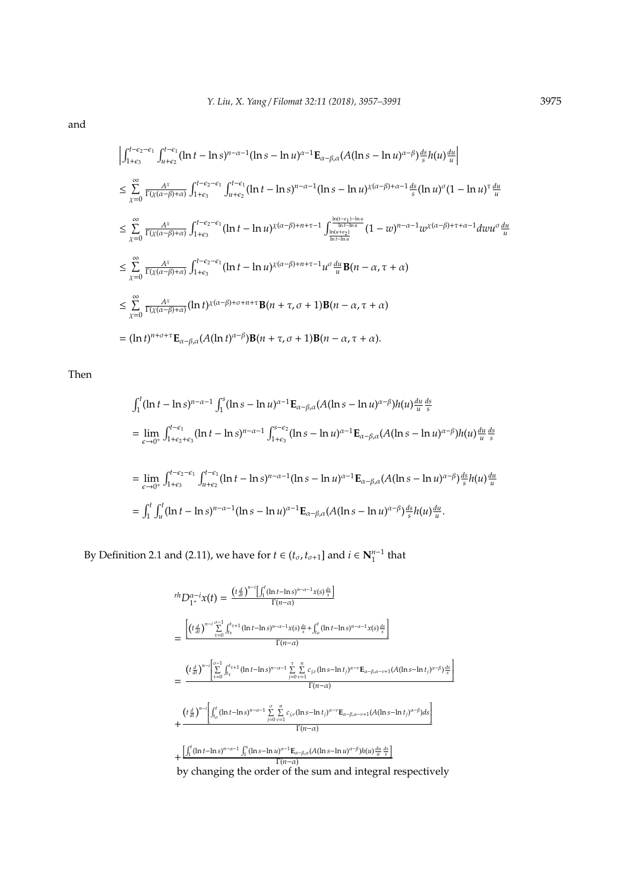and

$$
\begin{split}\n&\left|\int_{1+\epsilon_3}^{t-\epsilon_2-\epsilon_1} \int_{u+\epsilon_2}^{t-\epsilon_1} (\ln t - \ln s)^{n-\alpha-1} (\ln s - \ln u)^{\alpha-1} \mathbf{E}_{\alpha-\beta,\alpha}(A(\ln s - \ln u)^{\alpha-\beta}) \frac{ds}{s} h(u) \frac{du}{u}\right| \\
&\leq \sum_{\chi=0}^{\infty} \frac{A^{\chi}}{\Gamma(\chi(\alpha-\beta)+\alpha)} \int_{1+\epsilon_3}^{t-\epsilon_2-\epsilon_1} \int_{u+\epsilon_2}^{t-\epsilon_1} (\ln t - \ln s)^{n-\alpha-1} (\ln s - \ln u)^{\chi(\alpha-\beta)+\alpha-1} \frac{ds}{s} (\ln u)^{\sigma} (1 - \ln u)^{\tau} \frac{du}{u} \\
&\leq \sum_{\chi=0}^{\infty} \frac{A^{\chi}}{\Gamma(\chi(\alpha-\beta)+\alpha)} \int_{1+\epsilon_3}^{t-\epsilon_2-\epsilon_1} (\ln t - \ln u)^{\chi(\alpha-\beta)+n+\tau-1} \int_{\frac{\ln(t+\epsilon_2)}{\ln t - \ln u}}^{\frac{\ln(t-\epsilon_1)-\ln u}{\ln t - \ln u}} (1 - w)^{n-\alpha-1} w^{\chi(\alpha-\beta)+\tau+\alpha-1} dw u^{\sigma} \frac{du}{u} \\
&\leq \sum_{\chi=0}^{\infty} \frac{A^{\chi}}{\Gamma(\chi(\alpha-\beta)+\alpha)} \int_{1+\epsilon_3}^{t-\epsilon_2-\epsilon_1} (\ln t - \ln u)^{\chi(\alpha-\beta)+n+\tau-1} u^{\sigma} \frac{du}{u} \mathbf{B}(n - \alpha, \tau + \alpha) \\
&\leq \sum_{\chi=0}^{\infty} \frac{A^{\chi}}{\Gamma(\chi(\alpha-\beta)+\alpha)} (\ln t)^{\chi(\alpha-\beta)+\sigma+n+\tau} \mathbf{B}(n + \tau, \sigma + 1) \mathbf{B}(n - \alpha, \tau + \alpha) \\
&= (\ln t)^{n+\sigma+\tau} \mathbf{E}_{\alpha-\beta,\alpha} (A(\ln t)^{\alpha-\beta}) \mathbf{B}(n + \tau, \sigma + 1) \mathbf{B}(n - \alpha, \tau + \alpha).\n\end{split}
$$

Then

$$
\int_{1}^{t} (\ln t - \ln s)^{n-\alpha-1} \int_{1}^{s} (\ln s - \ln u)^{\alpha-1} \mathbf{E}_{\alpha-\beta,\alpha}(A(\ln s - \ln u)^{\alpha-\beta}) h(u) \frac{du}{u} \frac{ds}{s}
$$
\n
$$
= \lim_{\epsilon \to 0^{+}} \int_{1+\epsilon_{2}+\epsilon_{3}}^{t-\epsilon_{1}} (\ln t - \ln s)^{n-\alpha-1} \int_{1+\epsilon_{3}}^{s-\epsilon_{2}} (\ln s - \ln u)^{\alpha-1} \mathbf{E}_{\alpha-\beta,\alpha}(A(\ln s - \ln u)^{\alpha-\beta}) h(u) \frac{du}{u} \frac{ds}{s}
$$
\n
$$
= \lim_{\epsilon \to 0^{+}} \int_{1+\epsilon_{3}}^{t-\epsilon_{2}-\epsilon_{1}} \int_{u+\epsilon_{2}}^{t-\epsilon_{1}} (\ln t - \ln s)^{n-\alpha-1} (\ln s - \ln u)^{\alpha-1} \mathbf{E}_{\alpha-\beta,\alpha}(A(\ln s - \ln u)^{\alpha-\beta}) \frac{ds}{s} h(u) \frac{du}{u}
$$
\n
$$
= \int_{1}^{t} \int_{u}^{t} (\ln t - \ln s)^{n-\alpha-1} (\ln s - \ln u)^{\alpha-1} \mathbf{E}_{\alpha-\beta,\alpha}(A(\ln s - \ln u)^{\alpha-\beta}) \frac{ds}{s} h(u) \frac{du}{u}.
$$

By Definition 2.1 and (2.11), we have for  $t \in (t_{\sigma}, t_{\sigma+1}]$  and  $i \in \mathbb{N}_1^{n-1}$  that

$$
r h D_{1^+}^{\alpha-1} x(t) = \frac{\left(t \frac{d}{dt}\right)^{n-i} \left[\int_1^t (\ln t - \ln s)^{n-\alpha-1} x(s) \frac{ds}{s}\right]}{\Gamma(n-\alpha)}
$$
\n
$$
= \frac{\left[\left(t \frac{d}{dt}\right)^{n-i} \sum_{\tau=0}^{\sigma-1} \int_{t_{\tau}}^{t_{\tau+1}} (\ln t - \ln s)^{n-\alpha-1} x(s) \frac{ds}{s} + \int_{t_{\sigma}}^t (\ln t - \ln s)^{n-\alpha-1} x(s) \frac{ds}{s}\right]}{\Gamma(n-\alpha)}
$$
\n
$$
= \frac{\left(t \frac{d}{dt}\right)^{n-i} \left[\sum_{\tau=0}^{\sigma-1} \int_{t_{\tau}}^{t_{\tau+1}} (\ln t - \ln s)^{n-\alpha-1} \sum_{j=0}^{\tau} \sum_{\nu=1}^n c_{j\nu} (\ln s - \ln t_j)^{\alpha-\nu} E_{\alpha-\beta,\alpha-\nu+1} (A(\ln s - \ln t_j)^{\alpha-\beta}) \frac{ds}{s}\right]}{\Gamma(n-\alpha)}
$$
\n+ 
$$
\frac{\left(t \frac{d}{dt}\right)^{n-i} \left[\int_{t_{\sigma}}^t (\ln t - \ln s)^{n-\alpha-1} \sum_{j=0}^{\sigma} \sum_{\nu=1}^n c_{j\nu} (\ln s - \ln t_j)^{\alpha-\nu} E_{\alpha-\beta,\alpha-\nu+1} (A(\ln s - \ln t_j)^{\alpha-\beta}) ds\right]}{\Gamma(n-\alpha)}
$$
\n+ 
$$
\frac{\left[\int_1^t (\ln t - \ln s)^{n-\alpha-1} \int_1^s (\ln s - \ln u)^{\alpha-1} E_{\alpha-\beta,\alpha} (A(\ln s - \ln u)^{\alpha-\beta}) h(u) \frac{du}{u} \frac{ds}{s}\right]}{\Gamma(n-\alpha)}
$$
\nby changing the order of the sum and integral respectively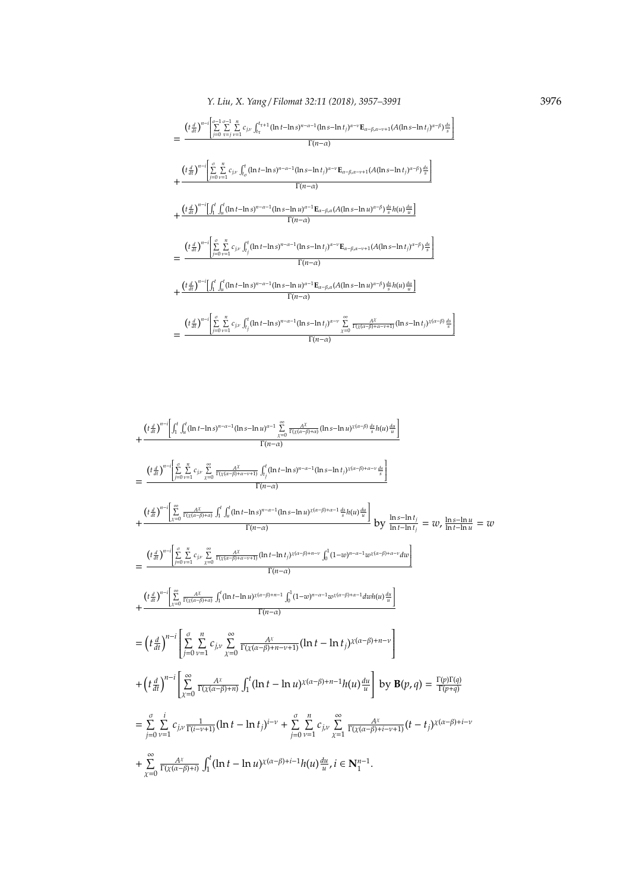$$
= \frac{\left(t\frac{d}{dt}\right)^{n-i}\left[\sum_{j=0}^{n-1}\sum_{\tau=j}^{n}c_{j,\nu}\int_{t_{\tau}}^{t_{\tau+1}}(\ln t - \ln s)^{n-\alpha-1}(\ln s - \ln t_{j})^{\alpha-\nu}\mathbf{E}_{\alpha-\beta,\alpha-\nu+1}(A(\ln s - \ln t_{j})^{\alpha-\beta})\frac{ds}{s}\right]}{\Gamma(n-\alpha)}
$$
\n
$$
+ \frac{\left(t\frac{d}{dt}\right)^{n-i}\left[\sum_{j=0}^{n}\sum_{\nu=1}^{n}c_{j,\nu}\int_{t_{\sigma}}^{t}(\ln t - \ln s)^{n-\alpha-1}(\ln s - \ln t_{j})^{\alpha-\nu}\mathbf{E}_{\alpha-\beta,\alpha-\nu+1}(A(\ln s - \ln t_{j})^{\alpha-\beta})\frac{ds}{s}\right]}{\Gamma(n-\alpha)}
$$
\n
$$
+ \frac{\left(t\frac{d}{dt}\right)^{n-i}\left[\int_{1}^{t}\int_{u}^{t}(\ln t - \ln s)^{n-\alpha-1}(\ln s - \ln u)^{\alpha-1}\mathbf{E}_{\alpha-\beta,\alpha}(\mathbf{A}(\ln s - \ln u)^{\alpha-\beta})\frac{ds}{s}h(u)\frac{du}{u}\right]}{\Gamma(n-\alpha)}
$$
\n
$$
= \frac{\left(t\frac{d}{dt}\right)^{n-i}\left[\int_{1}^{t}\int_{u}^{t}(\ln t - \ln s)^{n-\alpha-1}(\ln s - \ln t_{j})^{\alpha-\nu}\mathbf{E}_{\alpha-\beta,\alpha-\nu+1}(A(\ln s - \ln t_{j})^{\alpha-\beta})\frac{ds}{s}\right]}{\Gamma(n-\alpha)}
$$
\n
$$
+ \frac{\left(t\frac{d}{dt}\right)^{n-i}\left[\int_{1}^{t}\int_{u}^{t}(\ln t - \ln s)^{n-\alpha-1}(\ln s - \ln u)^{\alpha-1}\mathbf{E}_{\alpha-\beta,\alpha}(\mathbf{A}(\ln s - \ln u)^{\alpha-\beta})\frac{ds}{s}h(u)\frac{du}{u}\right]}{\Gamma(n-\alpha)}
$$
\n
$$
= \frac{\left(t\frac{d}{dt}\right)^{n-i}\left[\int_{1}^{t}\int_{u}^{t}(\ln t - \ln s)^{n-\alpha-1}(\ln s - \ln u)^{\alpha-1}\mathbf{E}_{\alpha-\beta,\alpha}(A(\ln s - \ln u)^{\alpha-\beta
$$

$$
+\frac{\left(t\frac{d}{dt}\right)^{n-i}\left[\int_{1}^{t}\int_{u}^{t}(\ln t-\ln s)^{n-\alpha-1}(\ln s-\ln u)^{\alpha-1}\sum_{x=0}^{\infty}\frac{A^{x}}{\Gamma(x(\alpha-\beta)+\alpha)}(\ln s-\ln u)^{x(\alpha-\beta)}\frac{ds}{s}h(u)\frac{du}{u}\right]}{\Gamma(n-\alpha)}=\frac{\left(t\frac{d}{dt}\right)^{n-i}\left[\sum_{n=0}^{\infty}\sum_{y=1}^{n}c_{j\nu}\sum_{x=0}^{\infty}\frac{A^{x}}{\Gamma(x(\alpha-\beta)+\alpha-y)}\int_{t_{j}}^{t}(\ln t-\ln s)^{n-\alpha-1}(\ln s-\ln t_{j})^{x(\alpha-\beta)+\alpha-\nu}\frac{ds}{s}\right]}{\Gamma(n-\alpha)}++\frac{\left(t\frac{d}{dt}\right)^{n-i}\left[\sum_{x=0}^{\infty}\frac{A^{x}}{\Gamma(x(\alpha-\beta)+\alpha)}\int_{1}^{t}\int_{u}^{t}(\ln t-\ln s)^{n-\alpha-1}(\ln s-\ln u)^{x(\alpha-\beta)+\alpha-1}\frac{ds}{s}h(u)\frac{du}{u}\right]}{\Gamma(n-\alpha)}\frac{b\mathbf{y}\frac{\ln s-\ln t_{j}}{\ln t-\ln t_{j}}=w, \frac{\ln s-\ln u}{\ln t-\ln u}=w=\frac{\left(t\frac{d}{dt}\right)^{n-i}\left[\sum_{j=0}^{\infty}\sum_{y=1}^{n}c_{j\nu}\sum_{x=0}^{\infty}\frac{A^{x}}{\Gamma(x(\alpha-\beta)+\alpha-y+1)}(\ln t-\ln t_{j})^{x(\alpha-\beta)+n-\nu}\int_{0}^{1}(1-w)^{n-\alpha-1}w^{x(\alpha-\beta)+\alpha-\nu}dw\right]}{\Gamma(n-\alpha)}=\left(t\frac{d}{dt}\right)^{n-i}\left[\sum_{j=0}^{\infty}\sum_{y=1}^{n}c_{j\nu}\sum_{x=0}^{\infty}\frac{A^{x}}{\Gamma(x(\alpha-\beta)+n-\nu+1)}(\ln t-\ln t_{j})^{x(\alpha-\beta)+n-1}h(u)\frac{du}{u}\right]+ \left(t\frac{d}{dt}\right)^{n-i}\left[\sum_{y=0}^{\infty}\sum_{y=1}^{n}c_{j\nu}\sum_{x=0}^{\infty}\frac{A^{x}}{\Gamma(x(\alpha-\beta)+n-\nu+1
$$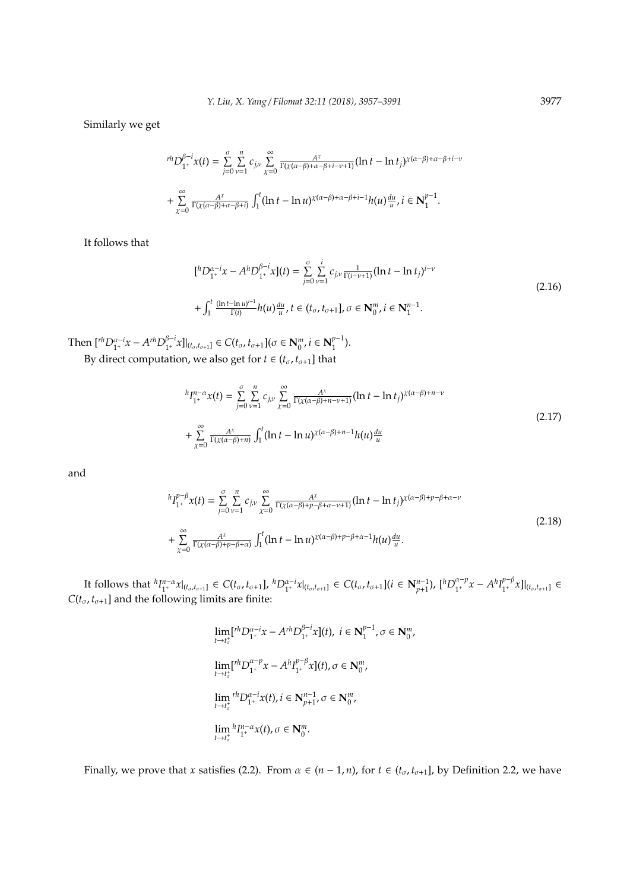Similarly we get

$$
{}^{rh}D_{1^+}^{\beta-i}x(t) = \sum_{j=0}^{\sigma}\sum_{\nu=1}^{n}c_{j\nu}\sum_{\chi=0}^{\infty}\frac{A^{\chi}}{\Gamma(\chi(\alpha-\beta)+\alpha-\beta+i-\nu+1)}(\ln t - \ln t_j)^{\chi(\alpha-\beta)+\alpha-\beta+i-\nu+1}
$$
  
+ 
$$
\sum_{\chi=0}^{\infty}\frac{A^{\chi}}{\Gamma(\chi(\alpha-\beta)+\alpha-\beta+i)}\int_{1}^{t}(\ln t - \ln u)^{\chi(\alpha-\beta)+\alpha-\beta+i-1}h(u)\frac{du}{u}, i \in \mathbb{N}_{1}^{p-1}.
$$

It follows that

$$
\begin{aligned} \n\left[ {}^{h}D_{1^{+}}^{\alpha-i}x - A^{h}D_{1^{+}}^{\beta-i}x \right] (t) &= \sum_{j=0}^{\sigma} \sum_{\nu=1}^{i} c_{j,\nu} \frac{1}{\Gamma(i-\nu+1)} (\ln t - \ln t_{j})^{i-\nu} \\ \n&+ \int_{1}^{t} \frac{(\ln t - \ln u)^{i-1}}{\Gamma(i)} h(u) \frac{du}{u}, t \in (t_{\sigma}, t_{\sigma+1}], \sigma \in \mathbb{N}_{0}^{m}, i \in \mathbb{N}_{1}^{n-1}. \n\end{aligned} \tag{2.16}
$$

Then  $\left[ {}^{rh}D_{1^+}^{\alpha-i}x - A^{rh}D_{1^+}^{\beta-i} \right]$  $\int_{1^+}^{\beta-i} x \, ||_{(t_\sigma,t_{\sigma+1}]} \in C(t_\sigma,t_{\sigma+1}](\sigma \in \mathbf{N}_0^m, i \in \mathbf{N}_1^{p-1})$  $\binom{p-1}{1}$ .

By direct computation, we also get for *t* ∈ ( $t_{\sigma}$ ,  $t_{\sigma+1}$ ] that

$$
{}^{h}I_{1^{+}}^{n-\alpha}x(t) = \sum_{j=0}^{\sigma} \sum_{\nu=1}^{n} c_{j\nu} \sum_{\chi=0}^{\infty} \frac{A^{\chi}}{\Gamma(\chi(\alpha-\beta)+n-\nu+1)} (\ln t - \ln t_{j})^{\chi(\alpha-\beta)+n-\nu}
$$
  
+ 
$$
\sum_{\chi=0}^{\infty} \frac{A^{\chi}}{\Gamma(\chi(\alpha-\beta)+n)} \int_{1}^{t} (\ln t - \ln u)^{\chi(\alpha-\beta)+n-1} h(u) \frac{du}{u}
$$
 (2.17)

and

$$
{}^{h}I_{1^{+}}^{p-\beta}x(t) = \sum_{j=0}^{\sigma} \sum_{\nu=1}^{n} c_{j\nu} \sum_{\chi=0}^{\infty} \frac{A^{\chi}}{\Gamma(\chi(\alpha-\beta)+p-\beta+\alpha-\nu+1)} (\ln t - \ln t_{j})^{\chi(\alpha-\beta)+p-\beta+\alpha-\nu}
$$
  
+ 
$$
\sum_{\chi=0}^{\infty} \frac{A^{\chi}}{\Gamma(\chi(\alpha-\beta)+p-\beta+\alpha)} \int_{1}^{t} (\ln t - \ln u)^{\chi(\alpha-\beta)+p-\beta+\alpha-1} h(u) \frac{du}{u}.
$$
 (2.18)

It follows that  ${}^hI_{1^+}^{n-\alpha}x|_{(t_\sigma,t_{\sigma+1}]}\in C(t_\sigma,t_{\sigma+1}], {}^hD_{1^+}^{\alpha-i}x|_{(t_\sigma,t_{\sigma+1}]}\in C(t_\sigma,t_{\sigma+1}](i\in \mathbf{N}_{p+1}^{n-1}),$   $[{}^hD_{1^+}^{\alpha-p}$  $A_1^{a-p}x - A^h I_{1^+}^{p-\beta}$ <sup>*p*-β</sup> $x$ ]<sub> $(t_σ, t_{σ+1}]$ </sub> ∈  $C(t_{\sigma}, t_{\sigma+1}]$  and the following limits are finite:

$$
\begin{aligned}\n&\lim_{t \to t_o^+} [t^h D_{1^+}^{\alpha - i} x - A^{rh} D_{1^+}^{\beta - i} x](t), \ i \in \mathbb{N}_1^{p-1}, \sigma \in \mathbb{N}_0^m, \\
&\lim_{t \to t_o^+} [t^h D_{1^+}^{\alpha - p} x - A^h I_{1^+}^{p - \beta} x](t), \sigma \in \mathbb{N}_0^m, \\
&\lim_{t \to t_o^+} {}^{rh} D_{1^+}^{\alpha - i} x(t), i \in \mathbb{N}_{p+1}^{m-1}, \sigma \in \mathbb{N}_0^m, \\
&\lim_{t \to t_o^+} {}^{h} I_{1^+}^{n - \alpha} x(t), \sigma \in \mathbb{N}_0^m.\n\end{aligned}
$$

Finally, we prove that *x* satisfies (2.2). From  $\alpha \in (n-1,n)$ , for  $t \in (t_{\sigma}, t_{\sigma+1}]$ , by Definition 2.2, we have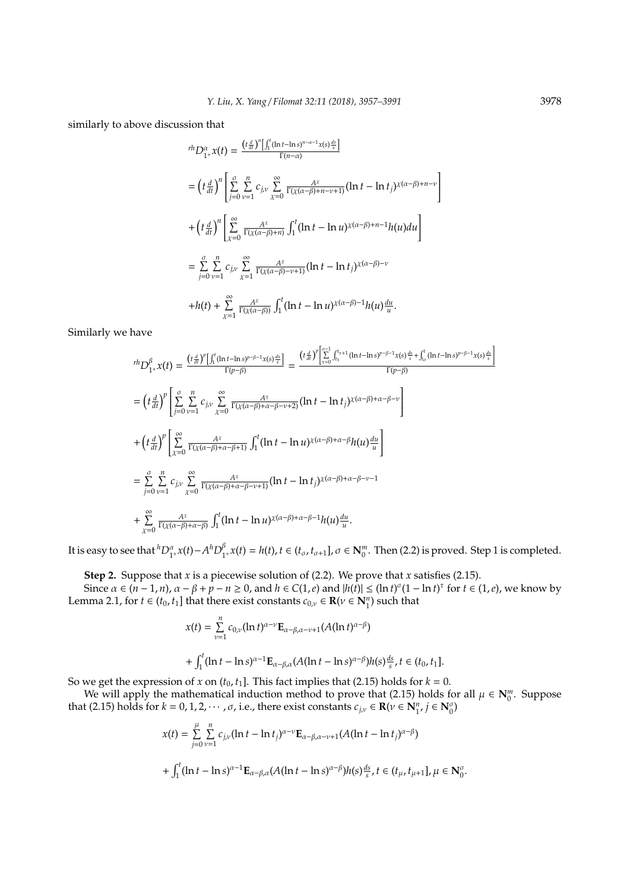similarly to above discussion that

$$
{}^{rh}D_{1^+}^{\alpha}x(t) = \frac{(t\frac{d}{dt})^n \left[\int_1^t (\ln t - \ln s)^{n-\alpha-1}x(s)\frac{ds}{s}\right]}{\Gamma(n-\alpha)}
$$
  
\n
$$
= \left(t\frac{d}{dt}\right)^n \left[\sum_{j=0}^{\sigma} \sum_{\nu=1}^n c_{j,\nu} \sum_{\chi=0}^{\infty} \frac{A^{\chi}}{\Gamma(\chi(\alpha-\beta)+n-\nu+1)} (\ln t - \ln t_j)^{\chi(\alpha-\beta)+n-\nu}\right]
$$
  
\n
$$
+ \left(t\frac{d}{dt}\right)^n \left[\sum_{\chi=0}^{\infty} \frac{A^{\chi}}{\Gamma(\chi(\alpha-\beta)+n)} \int_1^t (\ln t - \ln u)^{\chi(\alpha-\beta)+n-1} h(u) du\right]
$$
  
\n
$$
= \sum_{j=0}^{\sigma} \sum_{\nu=1}^n c_{j,\nu} \sum_{\chi=1}^{\infty} \frac{A^{\chi}}{\Gamma(\chi(\alpha-\beta)-\nu+1)} (\ln t - \ln t_j)^{\chi(\alpha-\beta)-\nu}
$$
  
\n
$$
+h(t) + \sum_{\chi=1}^{\infty} \frac{A^{\chi}}{\Gamma(\chi(\alpha-\beta))} \int_1^t (\ln t - \ln u)^{\chi(\alpha-\beta)-1} h(u) \frac{du}{u}.
$$

Similarly we have

$$
{}^{rh}D_{1^+}^{\beta}x(t) = \frac{(t\frac{d}{dt})^p \left[\int_1^t (\ln t - \ln s)^{p-\beta-1}x(s)\frac{ds}{s}\right]}{\Gamma(p-\beta)} = \frac{(t\frac{d}{dt})^p \left[\sum_{\tau=0}^{\sigma-1} \int_{t_{\tau}^+}^{t_{\tau+1}} (\ln t - \ln s)^{p-\beta-1}x(s)\frac{ds}{s} + \int_{t_{\sigma}}^t (\ln t - \ln s)^{p-\beta-1}x(s)\frac{ds}{s}\right]}{\Gamma(p-\beta)}
$$
  
\n
$$
= \left(t\frac{d}{dt}\right)^p \left[\sum_{j=0}^{\sigma} \sum_{\nu=1}^n c_{j\nu} \sum_{\chi=0}^{\infty} \frac{A^{\chi}}{\Gamma(\chi(\alpha-\beta)+\alpha-\beta-\nu+2)} (\ln t - \ln t_j) \chi(\alpha-\beta)+\alpha-\beta-\nu\right]
$$
  
\n+  $\left(t\frac{d}{dt}\right)^p \left[\sum_{\chi=0}^{\infty} \frac{A^{\chi}}{\Gamma(\chi(\alpha-\beta)+\alpha-\beta+1)} \int_1^t (\ln t - \ln u) \chi(\alpha-\beta)+\alpha-\beta h(u)\frac{du}{u}\right]$   
\n=  $\sum_{j=0}^{\sigma} \sum_{\nu=1}^n c_{j\nu} \sum_{\chi=0}^{\infty} \frac{A^{\chi}}{\Gamma(\chi(\alpha-\beta)+\alpha-\beta-\nu+1)} (\ln t - \ln t_j) \chi(\alpha-\beta)+\alpha-\beta-\nu-1$   
\n+  $\sum_{\chi=0}^{\infty} \frac{A^{\chi}}{\Gamma(\chi(\alpha-\beta)+\alpha-\beta)} \int_1^t (\ln t - \ln u) \chi(\alpha-\beta)+\alpha-\beta-\ln(u)\frac{du}{u}.$ 

It is easy to see that  ${}^h D_{1^+}^\alpha x(t) - A^h D_1^\beta$  $\int_{1^+}^{\beta} x(t) = h(t), t \in (t_{\sigma}, t_{\sigma+1}], \sigma \in \mathbb{N}_0^m$ . Then (2.2) is proved. Step 1 is completed.

**Step 2.** Suppose that *x* is a piecewise solution of (2.2). We prove that *x* satisfies (2.15).

Since  $\alpha \in (n-1, n)$ ,  $\alpha - \beta + p - n \ge 0$ , and  $h \in C(1, e)$  and  $|h(t)| \le (\ln t)^{\sigma} (1 - \ln t)^{\tau}$  for  $t \in (1, e)$ , we know by Lemma 2.1, for  $t \in (t_0, t_1]$  that there exist constants  $c_{0,\nu} \in \mathbf{R}(\nu \in \mathbf{N}_1^n)$  such that

$$
x(t) = \sum_{\nu=1}^{n} c_{0,\nu} (\ln t)^{\alpha-\nu} \mathbf{E}_{\alpha-\beta,\alpha-\nu+1}(A(\ln t)^{\alpha-\beta})
$$
  
+ 
$$
\int_{1}^{t} (\ln t - \ln s)^{\alpha-1} \mathbf{E}_{\alpha-\beta,\alpha}(A(\ln t - \ln s)^{\alpha-\beta}) h(s) \frac{ds}{s}, t \in (t_0, t_1].
$$

So we get the expression of *x* on  $(t_0, t_1]$ . This fact implies that (2.15) holds for  $k = 0$ .

We will apply the mathematical induction method to prove that (2.15) holds for all  $\mu \in \mathbb{N}_0^m$ . Suppose that (2.15) holds for  $k = 0, 1, 2, \cdots, \sigma$ , i.e., there exist constants  $c_{j,v} \in \mathbb{R}(\nu \in \mathbb{N}_1^n, j \in \mathbb{N}_0^{\sigma})$ 

$$
x(t) = \sum_{j=0}^{\mu} \sum_{\nu=1}^{n} c_{j\nu} (\ln t - \ln t_j)^{\alpha-\nu} \mathbf{E}_{\alpha-\beta,\alpha-\nu+1} (A(\ln t - \ln t_j)^{\alpha-\beta})
$$
  
+ 
$$
\int_{1}^{t} (\ln t - \ln s)^{\alpha-1} \mathbf{E}_{\alpha-\beta,\alpha} (A(\ln t - \ln s)^{\alpha-\beta}) h(s) \frac{ds}{s}, t \in (t_{\mu}, t_{\mu+1}], \mu \in \mathbf{N}_{0}^{\sigma}
$$

.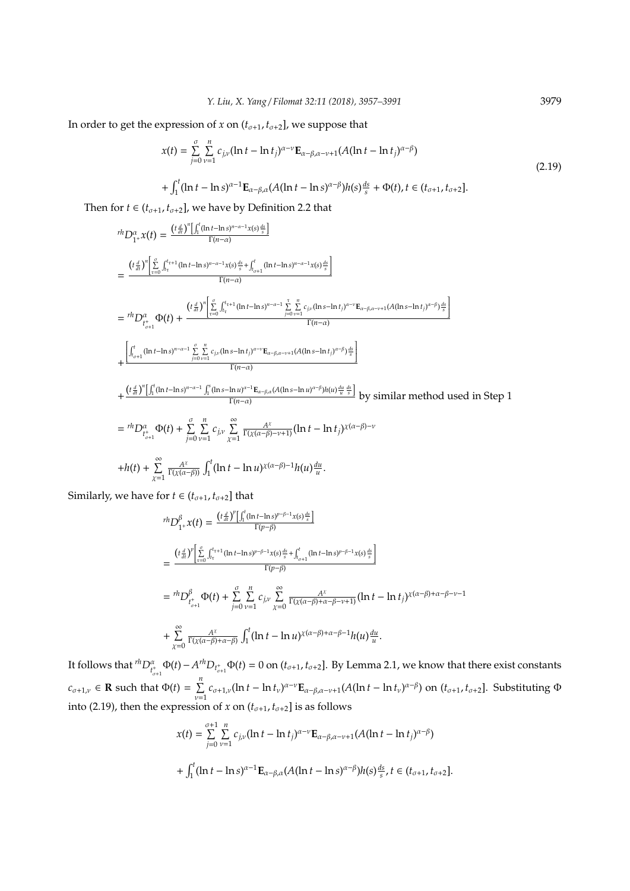In order to get the expression of *x* on  $(t_{\sigma+1}, t_{\sigma+2}]$ , we suppose that

$$
x(t) = \sum_{j=0}^{\sigma} \sum_{\nu=1}^{n} c_{j\nu} (\ln t - \ln t_j)^{\alpha-\nu} \mathbf{E}_{\alpha-\beta,\alpha-\nu+1} (A(\ln t - \ln t_j)^{\alpha-\beta})
$$
  
+ 
$$
\int_{1}^{t} (\ln t - \ln s)^{\alpha-1} \mathbf{E}_{\alpha-\beta,\alpha} (A(\ln t - \ln s)^{\alpha-\beta}) h(s) \frac{ds}{s} + \Phi(t), t \in (t_{\sigma+1}, t_{\sigma+2}].
$$
 (2.19)

Then for *t* ∈ ( $t_{\sigma+1}$ ,  $t_{\sigma+2}$ ], we have by Definition 2.2 that

$$
{}^{rh}D_{1+}^{\alpha}x(t) = \frac{(t\frac{d}{dt})^{n}\left[\int_{1}^{t}(\ln t - \ln s)^{n-\alpha-1}x(s)\frac{ds}{s}\right]}{\Gamma(n-\alpha)}
$$
\n
$$
= \frac{(t\frac{d}{dt})^{n}\left[\sum_{t=0}^{a}\int_{t_{\tau}}^{t_{\tau+1}}(\ln t - \ln s)^{n-\alpha-1}x(s)\frac{ds}{s} + \int_{a_{\tau+1}}^{t}(\ln t - \ln s)^{n-\alpha-1}x(s)\frac{ds}{s}\right]}{\Gamma(n-\alpha)}
$$
\n
$$
= {}^{rh}D_{t_{\sigma+1}^{\alpha}}^{\alpha}\Phi(t) + \frac{(t\frac{d}{dt})^{n}\left[\sum_{\tau=0}^{\sigma}\int_{t_{\tau}}^{t_{\tau+1}}(\ln t - \ln s)^{n-\alpha-1}\sum_{j=0}^{\tau}\sum_{\nu=1}^{n}c_{j\nu}(\ln s - \ln t_{j})^{\alpha-\nu}\mathbf{E}_{\alpha-\beta,\alpha-\nu+1}(A(\ln s - \ln t_{j})^{\alpha-\beta})\frac{ds}{s}\right]}{\Gamma(n-\alpha)}
$$
\n
$$
+ \frac{\left[\int_{t_{\sigma+1}^{t}}^{t}(\ln t - \ln s)^{n-\alpha-1}\sum_{j=0}^{\sigma}\sum_{\nu=1}^{n}c_{j\nu}(\ln s - \ln t_{j})^{\alpha-\nu}\mathbf{E}_{\alpha-\beta,\alpha-\nu+1}(A(\ln s - \ln t_{j})^{\alpha-\beta})\frac{ds}{s}\right]}{\Gamma(n-\alpha)}
$$
\n
$$
+ \frac{(t\frac{d}{dt})^{n}\left[\int_{1}^{t}(\ln t - \ln s)^{n-\alpha-1}\int_{1}^{s}(\ln s - \ln u)^{\alpha-1}\mathbf{E}_{\alpha-\beta,\alpha}(A(\ln s - \ln u)^{\alpha-\beta})h(u)\frac{du}{u}\frac{ds}{s}\right]}{\Gamma(n-\alpha)}
$$
 by similar method used in Step 1\n
$$
= {}^{rh}D_{t_{\sigma+1}^{\alpha}}^{\alpha}\Phi(t) + \sum_{j=0}^{\sigma}\sum_{\nu=1}^{n}c_{j\nu}\sum_{\chi=1}^{\infty}\frac{A^{\chi}}{\Gamma(\chi(\alpha-\beta)-\nu+1)}(\ln t - \ln t_{j})\chi(\alpha-\beta)-\nu
$$
\n
$$
+
$$

Similarly, we have for  $t \in (t_{\sigma+1}, t_{\sigma+2}]$  that

$$
{}^{rh}D_{1+}^{\beta}x(t) = \frac{(t\frac{d}{dt})^{p} \left[\int_{1}^{t} (\ln t - \ln s)^{p-\beta-1}x(s)\frac{ds}{s}\right]}{\Gamma(p-\beta)}
$$
  
\n
$$
= \frac{(t\frac{d}{dt})^{p} \left[\sum_{\tau=0}^{a} \int_{t_{\tau}}^{t_{\tau+1}} (\ln t - \ln s)^{p-\beta-1}x(s)\frac{ds}{s} + \int_{t_{\sigma+1}}^{t} (\ln t - \ln s)^{p-\beta-1}x(s)\frac{ds}{s}\right]}{\Gamma(p-\beta)}
$$
  
\n
$$
= {}^{rh}D_{t_{\sigma+1}^{A}}^{\beta} \Phi(t) + \sum_{j=0}^{a} \sum_{\nu=1}^{n} c_{j\nu} \sum_{\chi=0}^{\infty} \frac{A^{\chi}}{\Gamma(\chi(\alpha-\beta)+\alpha-\beta-\nu+1)} (\ln t - \ln t_{j})^{\chi(\alpha-\beta)+\alpha-\beta-\nu-1}
$$
  
\n+  $\sum_{\chi=0}^{\infty} \frac{A^{\chi}}{\Gamma(\chi(\alpha-\beta)+\alpha-\beta)} \int_{1}^{t} (\ln t - \ln u)^{\chi(\alpha-\beta)+\alpha-\beta-1} h(u)\frac{du}{u}.$ 

It follows that  ${}^{rh}D_{t_{\sigma+1}^*}^{\alpha}\Phi(t) - A^{rh}D_{t_{\sigma+1}^*}\Phi(t) = 0$  on  $(t_{\sigma+1}, t_{\sigma+2}]$ . By Lemma 2.1, we know that there exist constants σ+1  $c_{\sigma+1,\nu} \in \mathbf{R}$  such that  $\Phi(t) = \sum_{n=1}^{\infty}$  $\sum_{\nu=1}^{n} c_{\sigma+1,\nu} (\ln t - \ln t_{\nu})^{\alpha-\nu} \mathbf{E}_{\alpha-\beta,\alpha-\nu+1}(A(\ln t - \ln t_{\nu})^{\alpha-\beta})$  on  $(t_{\sigma+1}, t_{\sigma+2}]$ . Substituting  $\Phi$ into (2.19), then the expression of *x* on  $(t_{\sigma+1}, t_{\sigma+2}]$  is as follows

$$
x(t) = \sum_{j=0}^{\sigma+1} \sum_{\nu=1}^{n} c_{j,\nu} (\ln t - \ln t_j)^{\alpha-\nu} \mathbf{E}_{\alpha-\beta,\alpha-\nu+1} (A(\ln t - \ln t_j)^{\alpha-\beta})
$$
  
+ 
$$
\int_{1}^{t} (\ln t - \ln s)^{\alpha-1} \mathbf{E}_{\alpha-\beta,\alpha} (A(\ln t - \ln s)^{\alpha-\beta}) h(s) \frac{ds}{s}, t \in (t_{\sigma+1}, t_{\sigma+2}].
$$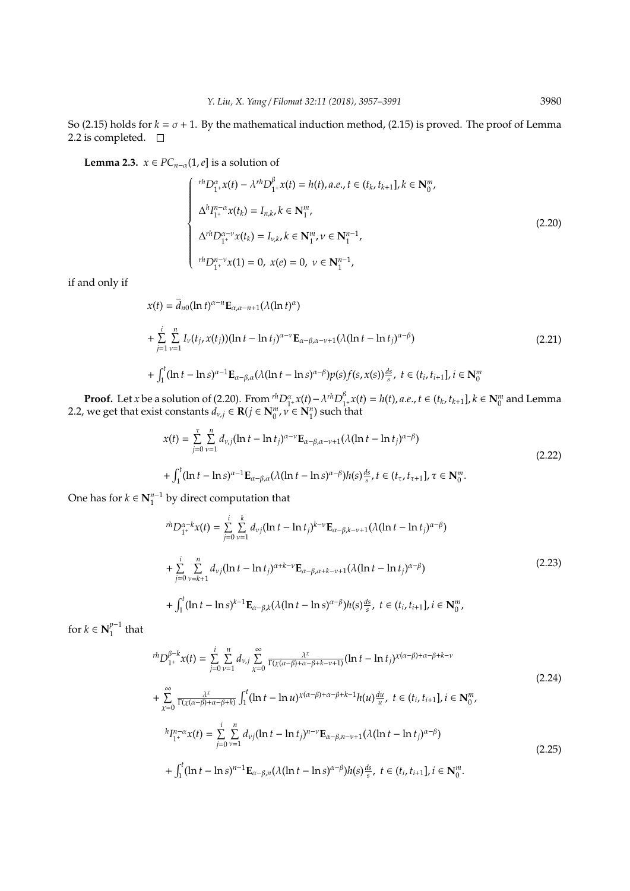So (2.15) holds for  $k = \sigma + 1$ . By the mathematical induction method, (2.15) is proved. The proof of Lemma 2.2 is completed. □

**Lemma 2.3.**  $x \in PC_{n-\alpha}(1, e]$  is a solution of

$$
\begin{cases}\n\ ^{rh}D_{1+}^{\alpha}x(t) - \lambda^{rh}D_{1+}^{\beta}x(t) = h(t), a.e., t \in (t_k, t_{k+1}], k \in \mathbf{N}_0^m, \\
\Delta^h I_{1+}^{n-\alpha}x(t_k) = I_{n,k}, k \in \mathbf{N}_1^m, \\
\Delta^{rh}D_{1+}^{\alpha-\nu}x(t_k) = I_{\nu,k}, k \in \mathbf{N}_1^m, \nu \in \mathbf{N}_1^{n-1}, \\
\ ^{rh}D_{1+}^{n-\nu}x(1) = 0, \ x(e) = 0, \ \nu \in \mathbf{N}_1^{n-1},\n\end{cases}
$$
\n(2.20)

if and only if

$$
x(t) = \overline{d}_{n0}(\ln t)^{\alpha - n} \mathbf{E}_{\alpha, \alpha - n + 1}(\lambda(\ln t)^{\alpha})
$$
  
+ 
$$
\sum_{j=1}^{i} \sum_{\nu=1}^{n} I_{\nu}(t_{j}, x(t_{j}))(\ln t - \ln t_{j})^{\alpha - \nu} \mathbf{E}_{\alpha - \beta, \alpha - \nu + 1}(\lambda(\ln t - \ln t_{j})^{\alpha - \beta})
$$
  
+ 
$$
\int_{1}^{t} (\ln t - \ln s)^{\alpha - 1} \mathbf{E}_{\alpha - \beta, \alpha}(\lambda(\ln t - \ln s)^{\alpha - \beta}) p(s) f(s, x(s)) \frac{ds}{s}, \ t \in (t_{i}, t_{i+1}], i \in \mathbb{N}_{0}^{m}
$$
 (2.21)

**Proof.** Let *x* be a solution of (2.20). From  ${}^{rh}D_{1+}^{\alpha}x(t) - \lambda {}^{rh}D_{1}^{\beta}$  $\int_{1^+}^{\beta} x(t) = h(t)$ , *a.e.*,  $t \in (t_k, t_{k+1}]$ ,  $k \in \mathbb{N}_0^m$  and Lemma 2.2, we get that exist constants  $d_{v,j} \in \mathbf{R}(j \in \mathbf{N}_0^m, v \in \mathbf{N}_1^n)$  such that

$$
x(t) = \sum_{j=0}^{\tau} \sum_{\nu=1}^{n} d_{\nu,j} (\ln t - \ln t_j)^{\alpha - \nu} \mathbf{E}_{\alpha - \beta, \alpha - \nu + 1} (\lambda (\ln t - \ln t_j)^{\alpha - \beta})
$$
  
+ 
$$
\int_{1}^{t} (\ln t - \ln s)^{\alpha - 1} \mathbf{E}_{\alpha - \beta, \alpha} (\lambda (\ln t - \ln s)^{\alpha - \beta}) h(s) \frac{ds}{s}, t \in (t_{\tau}, t_{\tau+1}], \tau \in \mathbb{N}_{0}^{m}.
$$
 (2.22)

One has for  $k \in \mathbb{N}_1^{n-1}$  by direct computation that

$$
{}^{rh}D_{1^+}^{\alpha-k}x(t) = \sum_{j=0}^{i} \sum_{\nu=1}^{k} d_{\nu j}(\ln t - \ln t_j)^{k-\nu} \mathbf{E}_{\alpha-\beta,k-\nu+1}(\lambda(\ln t - \ln t_j)^{\alpha-\beta})
$$
  
+ 
$$
\sum_{j=0}^{i} \sum_{\nu=k+1}^{n} d_{\nu j}(\ln t - \ln t_j)^{\alpha+k-\nu} \mathbf{E}_{\alpha-\beta,\alpha+k-\nu+1}(\lambda(\ln t - \ln t_j)^{\alpha-\beta})
$$
  
+ 
$$
\int_{1}^{t} (\ln t - \ln s)^{k-1} \mathbf{E}_{\alpha-\beta,k}(\lambda(\ln t - \ln s)^{\alpha-\beta})h(s) \frac{ds}{s}, \ t \in (t_i, t_{i+1}], i \in \mathbb{N}_0^m,
$$
 (2.23)

for *k* ∈  $N_1^{p-1}$  $\int_1^{p-1}$  that

$$
{}^{rh}D_{1^+}^{\beta-k}x(t) = \sum_{j=0}^{i} \sum_{\nu=1}^{n} d_{\nu,j} \sum_{\chi=0}^{\infty} \frac{\lambda^{\chi}}{\Gamma(\chi(\alpha-\beta)+\alpha-\beta+k-\nu+1)} (\ln t - \ln t_j)^{\chi(\alpha-\beta)+\alpha-\beta+k-\nu}
$$
  
+ 
$$
\sum_{\chi=0}^{\infty} \frac{\lambda^{\chi}}{\Gamma(\chi(\alpha-\beta)+\alpha-\beta+k)} \int_{1}^{t} (\ln t - \ln u)^{\chi(\alpha-\beta)+\alpha-\beta+k-1} h(u) \frac{du}{u}, \ t \in (t_i, t_{i+1}], i \in \mathbb{N}_0^m,
$$
  

$$
{}^{h}I_{1^+}^{n-\alpha}x(t) = \sum_{j=0}^{i} \sum_{\nu=1}^{n} d_{\nu,j} (\ln t - \ln t_j)^{n-\nu} \mathbf{E}_{\alpha-\beta,n-\nu+1}(\lambda(\ln t - \ln t_j)^{\alpha-\beta})
$$
  
+ 
$$
\int_{1}^{t} (\ln t - \ln s)^{n-1} \mathbf{E}_{\alpha-\beta,n}(\lambda(\ln t - \ln s)^{\alpha-\beta}) h(s) \frac{ds}{s}, \ t \in (t_i, t_{i+1}], i \in \mathbb{N}_0^m.
$$
  
(2.25)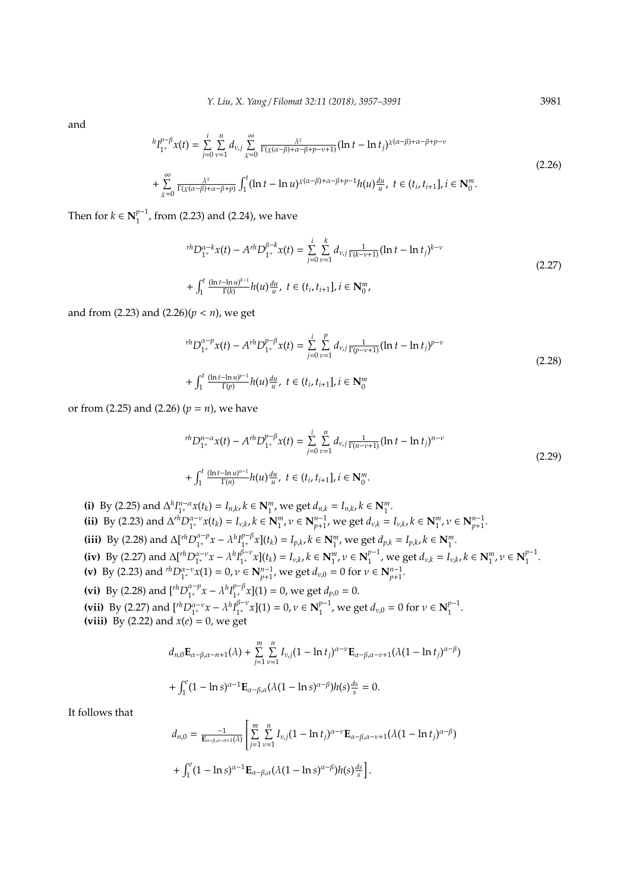and

$$
{}^{h}I_{1^{+}}^{p-\beta}x(t) = \sum_{j=0}^{i} \sum_{\nu=1}^{n} d_{\nu,j} \sum_{\chi=0}^{\infty} \frac{\lambda^{\chi}}{\Gamma(\chi(\alpha-\beta)+\alpha-\beta+p-\nu+1)} (\ln t - \ln t_{j})^{\chi(\alpha-\beta)+\alpha-\beta+p-\nu}
$$
  
+ 
$$
\sum_{\chi=0}^{\infty} \frac{\lambda^{\chi}}{\Gamma(\chi(\alpha-\beta)+\alpha-\beta+p)} \int_{1}^{t} (\ln t - \ln u)^{\chi(\alpha-\beta)+\alpha-\beta+p-1} h(u) \frac{du}{u}, \ t \in (t_{i}, t_{i+1}], i \in \mathbb{N}_{0}^{m}.
$$
 (2.26)

Then for  $k \in \mathbb{N}_1^{p-1}$  $1^{p-1}$ , from (2.23) and (2.24), we have

$$
{}^{rh}D_{1^+}^{\alpha-k}x(t) - A^{rh}D_{1^+}^{\beta-k}x(t) = \sum_{j=0}^{i} \sum_{\nu=1}^{k} d_{\nu,j} \frac{1}{\Gamma(k-\nu+1)} (\ln t - \ln t_j)^{k-\nu}
$$
  
+ 
$$
\int_{1}^{t} \frac{(\ln t - \ln u)^{k-1}}{\Gamma(k)} h(u) \frac{du}{u}, \ t \in (t_i, t_{i+1}], i \in \mathbb{N}_{0}^{m},
$$
 (2.27)

and from (2.23) and (2.26)(*p* < *n*), we get

$$
{}^{rh}D_{1^+}^{\alpha-p}x(t) - A^{rh}D_{1^+}^{p-\beta}x(t) = \sum_{j=0}^{i} \sum_{\nu=1}^{p} d_{\nu,j} \frac{1}{\Gamma(p-\nu+1)} (\ln t - \ln t_j)^{p-\nu}
$$
  
+ 
$$
\int_1^t \frac{(\ln t - \ln u)^{p-1}}{\Gamma(p)} h(u) \frac{du}{u}, \ t \in (t_i, t_{i+1}], i \in \mathbb{N}_0^m
$$
 (2.28)

or from (2.25) and (2.26) (*p* = *n*), we have

$$
{}^{rh}D_{1^+}^{n-\alpha}x(t) - A^{rh}D_{1^+}^{p-\beta}x(t) = \sum_{j=0}^{i} \sum_{\nu=1}^{n} d_{\nu,j} \frac{1}{\Gamma(n-\nu+1)} (\ln t - \ln t_j)^{n-\nu}
$$
  
+ 
$$
\int_1^t \frac{(\ln t - \ln u)^{n-1}}{\Gamma(n)} h(u) \frac{du}{u}, \ t \in (t_i, t_{i+1}], i \in \mathbb{N}_0^m.
$$
 (2.29)

(i) By (2.25) and  $\Delta^h I_{1^+}^{n-\alpha} x(t_k) = I_{n,k}$ ,  $k \in \mathbb{N}_1^m$ , we get  $d_{n,k} = I_{n,k}$ ,  $k \in \mathbb{N}_1^m$ . (ii) By (2.23) and  $\Delta^{r\bar{h}}D_{1^+}^{\alpha-\nu}x(t_k) = I_{\nu,k}$ ,  $k \in \mathbb{N}_{1}^{m}$ ,  $\nu \in \mathbb{N}_{p+1}^{n-1}$ , we get  $d_{\nu,k} = I_{\nu,k}$ ,  $k \in \mathbb{N}_{1}^{m}$ ,  $\nu \in \mathbb{N}_{p+1}^{n-1}$ . **(iii)** By (2.28) and  $\Delta[\binom{rh}{r}$ <sup> $\alpha - p$ </sup>  $\lambda^{a-p}_{1^+} x - \lambda^h I_{1^+}^{p-\beta}$  $p^{-\beta}$ <sub>1</sub>,  $\chi$ <sub>1</sub>(*t*<sub>k</sub>) = *I*<sub>*p*,*k*</sub>, *k* ∈ **N**<sup>*m*</sup><sub>1</sub>, we get *d*<sub>*p*,*k*</sub> = *I*<sub>*p*,*k*</sub>, *k* ∈ **N**<sup>*m*</sup><sub>1</sub>. **(iv)** By (2.27) and  $\Delta[\int_{1^+}^{h} D_{1^+}^{\alpha-\nu} x - \lambda^h I_{1^+}^{\beta-\nu}]$  $[\bar{\beta}_{1^+} v x](t_k) = I_{\nu,k}, k \in \mathbf{N}_1^m, \nu \in \mathbf{N}_1^{p-1}$  $\int_{1}^{p-1}$ , we get  $d_{\nu,k} = I_{\nu,k}$ ,  $k \in \mathbb{N}_1^m$ ,  $\nu \in \mathbb{N}_1^{p-1}$  $\frac{1}{1}$ . **(v)** By (2.23) and  ${}^{rh}D_{1^+}^{\alpha-\nu}x(1) = 0$ ,  $\nu \in \mathbb{N}_{p+1}^{n-1}$ , we get  $d_{\nu,0} = 0$  for  $\nu \in \mathbb{N}_{p+1}^{n-1}$ . **(vi)** By (2.28) and  $\left[\int_{1}^{h} D_{1}^{\alpha-p} x - \lambda^{h} I_{1}^{p-\beta} x\right]$  (1) = 0, we get  $d_{p,0} = 0$ . (vii) By (2.27) and  $\left[ {}^{rh}D_{1^+}^{\alpha-\nu}x - \lambda^hI_{1^+}^{\beta-\nu} \right]$  $_{1^+}^{\beta-v}x$ ](1) = 0,  $v \in \mathbb{N}_1^{p-1}$  $_{1}^{p-1}$ , we get  $d_{\nu,0} = 0$  for  $\nu \in \mathbf{N}_{1}^{p-1}$  $\frac{1}{1}$ . **(viii)** By (2.22) and *x*(*e*) = 0, we get

$$
d_{n,0} \mathbf{E}_{\alpha-\beta,\alpha-n+1}(\lambda) + \sum_{j=1}^{m} \sum_{\nu=1}^{n} I_{\nu,j} (1 - \ln t_j)^{\alpha-\nu} \mathbf{E}_{\alpha-\beta,\alpha-\nu+1}(\lambda (1 - \ln t_j)^{\alpha-\beta})
$$
  
+ 
$$
\int_{1}^{e} (1 - \ln s)^{\alpha-1} \mathbf{E}_{\alpha-\beta,\alpha}(\lambda (1 - \ln s)^{\alpha-\beta}) h(s) \frac{ds}{s} = 0.
$$

It follows that

$$
d_{n,0} = \frac{-1}{\mathbf{E}_{\alpha-\beta,\alpha-n+1}(\lambda)} \left[ \sum_{j=1}^{m} \sum_{\nu=1}^{n} I_{\nu,j} (1 - \ln t_j)^{\alpha-\nu} \mathbf{E}_{\alpha-\beta,\alpha-\nu+1} (\lambda (1 - \ln t_j)^{\alpha-\beta}) + \int_{1}^{e} (1 - \ln s)^{\alpha-1} \mathbf{E}_{\alpha-\beta,\alpha} (\lambda (1 - \ln s)^{\alpha-\beta}) h(s) \frac{ds}{s} \right].
$$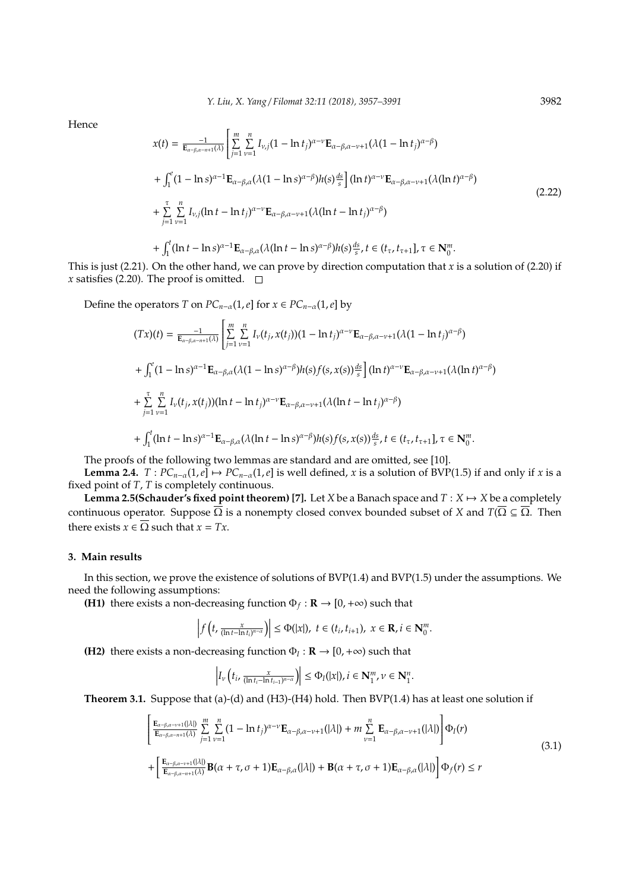Hence

$$
x(t) = \frac{-1}{\mathbf{E}_{\alpha-\beta,\alpha-n+1}(\lambda)} \left[ \sum_{j=1}^{m} \sum_{\nu=1}^{n} I_{\nu,j} (1 - \ln t_j)^{\alpha-\nu} \mathbf{E}_{\alpha-\beta,\alpha-\nu+1} (\lambda (1 - \ln t_j)^{\alpha-\beta}) + \int_{1}^{e} (1 - \ln s)^{\alpha-1} \mathbf{E}_{\alpha-\beta,\alpha} (\lambda (1 - \ln s)^{\alpha-\beta}) h(s) \frac{ds}{s} \right] (\ln t)^{\alpha-\nu} \mathbf{E}_{\alpha-\beta,\alpha-\nu+1} (\lambda (\ln t)^{\alpha-\beta}) + \sum_{j=1}^{\tau} \sum_{\nu=1}^{n} I_{\nu,j} (\ln t - \ln t_j)^{\alpha-\nu} \mathbf{E}_{\alpha-\beta,\alpha-\nu+1} (\lambda (\ln t - \ln t_j)^{\alpha-\beta}) + \int_{1}^{t} (\ln t - \ln s)^{\alpha-1} \mathbf{E}_{\alpha-\beta,\alpha} (\lambda (\ln t - \ln s)^{\alpha-\beta}) h(s) \frac{ds}{s}, t \in (t_{\tau}, t_{\tau+1}], \tau \in \mathbb{N}_{0}^{m}.
$$
\n(2.22)

This is just (2.21). On the other hand, we can prove by direction computation that *x* is a solution of (2.20) if *x* satisfies (2.20). The proof is omitted.  $\Box$ 

Define the operators *T* on  $PC_{n-\alpha}(1,e]$  for  $x \in PC_{n-\alpha}(1,e]$  by

 $\overline{a}$ 

$$
(Tx)(t) = \frac{-1}{\mathbf{E}_{\alpha-\beta,\alpha-n+1}(\lambda)} \left[ \sum_{j=1}^{m} \sum_{\nu=1}^{n} I_{\nu}(t_j, x(t_j)) (1 - \ln t_j)^{\alpha-\nu} \mathbf{E}_{\alpha-\beta,\alpha-\nu+1}(\lambda (1 - \ln t_j)^{\alpha-\beta}) + \int_{1}^{e} (1 - \ln s)^{\alpha-1} \mathbf{E}_{\alpha-\beta,\alpha}(\lambda (1 - \ln s)^{\alpha-\beta}) h(s) f(s, x(s)) \frac{ds}{s} \right] (\ln t)^{\alpha-\nu} \mathbf{E}_{\alpha-\beta,\alpha-\nu+1}(\lambda (\ln t)^{\alpha-\beta}) + \sum_{j=1}^{\tau} \sum_{\nu=1}^{n} I_{\nu}(t_j, x(t_j)) (\ln t - \ln t_j)^{\alpha-\nu} \mathbf{E}_{\alpha-\beta,\alpha-\nu+1}(\lambda (\ln t - \ln t_j)^{\alpha-\beta}) + \int_{1}^{t} (\ln t - \ln s)^{\alpha-1} \mathbf{E}_{\alpha-\beta,\alpha}(\lambda (\ln t - \ln s)^{\alpha-\beta}) h(s) f(s, x(s)) \frac{ds}{s}, t \in (t_{\tau}, t_{\tau+1}], \tau \in \mathbb{N}_{0}^{m}.
$$

The proofs of the following two lemmas are standard and are omitted, see [10].

**Lemma 2.4.**  $T: PC_{n-\alpha}(1, e] \mapsto PC_{n-\alpha}(1, e)$  is well defined, *x* is a solution of BVP(1.5) if and only if *x* is a fixed point of *T*, *T* is completely continuous.

**Lemma 2.5(Schauder's fixed point theorem) [7].** Let *X* be a Banach space and  $T : X \mapsto X$  be a completely continuous operator. Suppose  $\overline{\Omega}$  is a nonempty closed convex bounded subset of *X* and  $T(\overline{\Omega} \subseteq \overline{\Omega}$ . Then there exists  $x \in \overline{\Omega}$  such that  $x = Tx$ .

#### **3. Main results**

In this section, we prove the existence of solutions of BVP(1.4) and BVP(1.5) under the assumptions. We need the following assumptions:

**(H1)** there exists a non-decreasing function  $\Phi_f : \mathbf{R} \to [0, +\infty)$  such that

$$
\left|f\left(t,\frac{x}{(\ln t-\ln t_i)^{n-\alpha}}\right)\right|\leq \Phi(|x|),\ t\in (t_i,t_{i+1}),\ x\in\mathbf{R}, i\in\mathbf{N}_0^m.
$$

**(H2)** there exists a non-decreasing function  $\Phi_I : \mathbf{R} \to [0, +\infty)$  such that

$$
\left|I_{\nu}\left(t_{i},\frac{x}{(\ln t_{i}-\ln t_{i-1})^{n-\alpha}}\right)\right|\leq\Phi_{I}(|x|),i\in\mathbf{N}_{1}^{m},\nu\in\mathbf{N}_{1}^{n}.
$$

**Theorem 3.1.** Suppose that (a)-(d) and (H3)-(H4) hold. Then BVP(1.4) has at least one solution if

$$
\left[\frac{\mathbf{E}_{\alpha-\beta,\alpha-\nu+1}(\lambda)}{\mathbf{E}_{\alpha-\beta,\alpha-\nu+1}(\lambda)}\sum_{j=1}^{m}\sum_{\nu=1}^{n}(1-\ln t_{j})^{\alpha-\nu}\mathbf{E}_{\alpha-\beta,\alpha-\nu+1}(|\lambda|)+m\sum_{\nu=1}^{n}\mathbf{E}_{\alpha-\beta,\alpha-\nu+1}(|\lambda|)\right]\Phi_{I}(r)
$$
\n
$$
+\left[\frac{\mathbf{E}_{\alpha-\beta,\alpha-\nu+1}(\lambda)}{\mathbf{E}_{\alpha-\beta,\alpha-\nu+1}(\lambda)}\mathbf{B}(\alpha+\tau,\sigma+1)\mathbf{E}_{\alpha-\beta,\alpha}(|\lambda|)+\mathbf{B}(\alpha+\tau,\sigma+1)\mathbf{E}_{\alpha-\beta,\alpha}(|\lambda|)\right]\Phi_{f}(r)\leq r
$$
\n(3.1)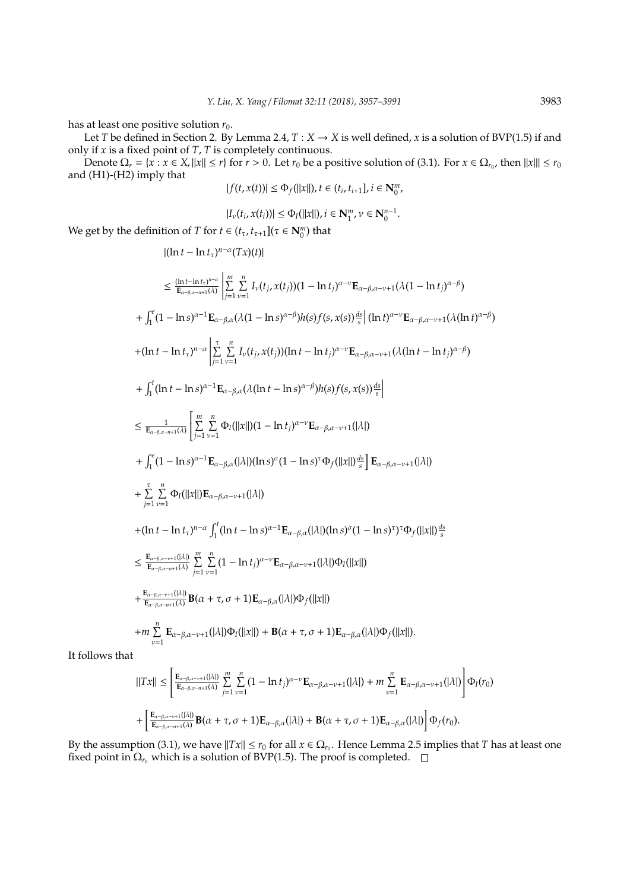has at least one positive solution  $r_0$ .

Let *T* be defined in Section 2. By Lemma 2.4,  $T : X \to X$  is well defined, *x* is a solution of BVP(1.5) if and only if *x* is a fixed point of *T*, *T* is completely continuous.

Denote  $\Omega_r = \{x : x \in X, ||x|| \leq r\}$  for  $r > 0$ . Let  $r_0$  be a positive solution of (3.1). For  $x \in \Omega_{r_0}$ , then  $||x||| \leq r_0$ and (H1)-(H2) imply that | *f*(*t*, *x*(*t*))| ≤ Φ*f*(||*x*||), *t* ∈ (*t<sup>i</sup>*

$$
|f(t, x(t))| \leq \Phi_f(||x||), t \in (t_i, t_{i+1}], i \in \mathbb{N}_0^m,
$$

$$
|I_{\nu}(t_i,x(t_i))| \leq \Phi_{I}(||x||), i \in \mathbf{N}^m_1, \nu \in \mathbf{N}^{n-1}_0.
$$

We get by the definition of *T* for  $t \in (t_\tau, t_{\tau+1}](\tau \in \mathbb{N}_0^m)$  that

$$
|(\ln t - \ln t_{\tau})^{n-\alpha}(Tx)(t)|
$$
\n
$$
\leq \frac{(\ln t - \ln t_{\tau})^{n-\alpha}}{\mathbb{E}_{\alpha-\beta,\alpha-n+1}(\lambda)} \Bigg| \sum_{j=1}^{m} \sum_{\nu=1}^{n} I_{\nu}(t_{j},x(t_{j}))(1 - \ln t_{j})^{\alpha-\nu} \mathbf{E}_{\alpha-\beta,\alpha-\nu+1}(\lambda(1 - \ln t_{j})^{\alpha-\beta})
$$
\n
$$
+ \int_{1}^{e} (1 - \ln s)^{\alpha-1} \mathbf{E}_{\alpha-\beta,\alpha}(\lambda(1 - \ln s)^{\alpha-\beta}) h(s) f(s, x(s)) \frac{ds}{s} |(\ln t)^{\alpha-\nu} \mathbf{E}_{\alpha-\beta,\alpha-\nu+1}(\lambda(\ln t)^{\alpha-\beta})
$$
\n
$$
+ (\ln t - \ln t_{\tau})^{n-\alpha} \Bigg| \sum_{j=1}^{n} \sum_{\nu=1}^{n} I_{\nu}(t_{j},x(t_{j}))( \ln t - \ln t_{j})^{\alpha-\nu} \mathbf{E}_{\alpha-\beta,\alpha-\nu+1}(\lambda(\ln t - \ln t_{j})^{\alpha-\beta})
$$
\n
$$
+ \int_{1}^{t} (\ln t - \ln s)^{\alpha-1} \mathbf{E}_{\alpha-\beta,\alpha}(\lambda(\ln t - \ln s)^{\alpha-\beta}) h(s) f(s, x(s)) \frac{ds}{s} \Bigg|
$$
\n
$$
\leq \frac{1}{\mathbb{E}_{\alpha-\beta,\alpha-n+1}(\lambda)} \Bigg| \sum_{j=1}^{m} \sum_{\nu=1}^{n} \Phi_{f}(|x||)(1 - \ln t_{j})^{\alpha-\nu} \mathbf{E}_{\alpha-\beta,\alpha-\nu+1}(|\lambda|)
$$
\n
$$
+ \int_{1}^{e} (1 - \ln s)^{\alpha-1} \mathbf{E}_{\alpha-\beta,\alpha}(|\lambda|)(\ln s)^{\sigma}(1 - \ln s)^{\tau} \Phi_{f}(|x||) \frac{ds}{s} \Bigg| \mathbf{E}_{\alpha-\beta,\alpha-\nu+1}(|\lambda|)
$$
\n
$$
+ (\ln t - \ln t_{\tau})^{n-\alpha} \int_{1}^{t} (\ln t - \ln s)^{\alpha-1} \mathbf{E}_{\alpha-\beta,\alpha-\nu+1}(|\lambda|)(\ln s)^{\sigma}(1 -
$$

It follows that

$$
||Tx|| \leq \left[ \frac{\mathbf{E}_{\alpha-\beta,\alpha-\nu+1}(\lambda|)}{\mathbf{E}_{\alpha-\beta,\alpha-n+1}(\lambda)} \sum_{j=1}^{m} \sum_{\nu=1}^{n} (1 - \ln t_j)^{\alpha-\nu} \mathbf{E}_{\alpha-\beta,\alpha-\nu+1}(|\lambda|) + m \sum_{\nu=1}^{n} \mathbf{E}_{\alpha-\beta,\alpha-\nu+1}(|\lambda|) \right] \Phi_I(r_0)
$$
  
+ 
$$
\left[ \frac{\mathbf{E}_{\alpha-\beta,\alpha-\nu+1}(\lambda|)}{\mathbf{E}_{\alpha-\beta,\alpha-n+1}(\lambda)} \mathbf{B}(\alpha+\tau,\sigma+1) \mathbf{E}_{\alpha-\beta,\alpha}(|\lambda|) + \mathbf{B}(\alpha+\tau,\sigma+1) \mathbf{E}_{\alpha-\beta,\alpha}(|\lambda|) \right] \Phi_f(r_0).
$$

By the assumption (3.1), we have  $||Tx|| \le r_0$  for all  $x \in \Omega_{r_0}$ . Hence Lemma 2.5 implies that *T* has at least one fixed point in  $\Omega_{r_0}$  which is a solution of BVP(1.5). The proof is completed.  $\square$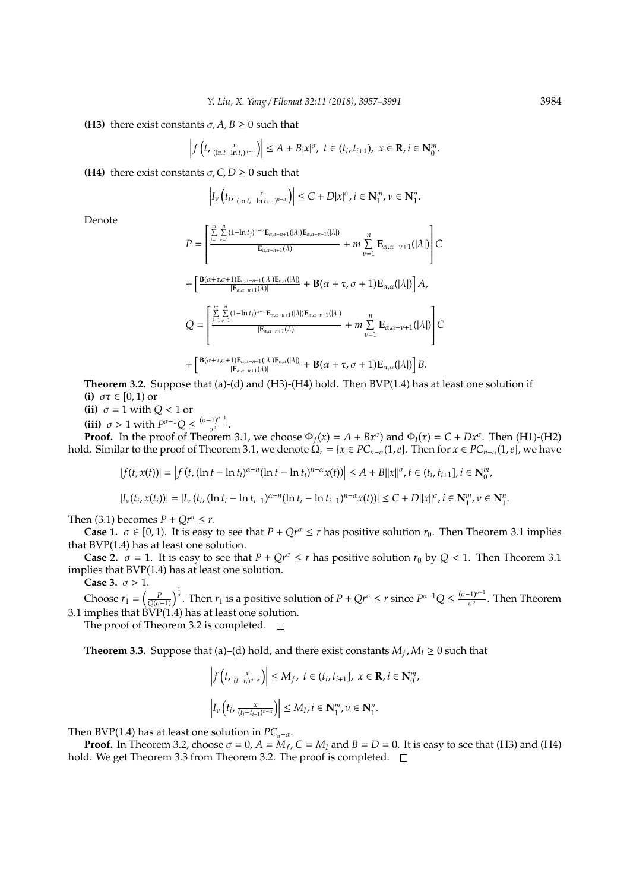**(H3)** there exist constants  $\sigma$ ,  $A$ ,  $B > 0$  such that

$$
\left|f\left(t,\tfrac{x}{(\ln t-\ln t_i)^{n-\alpha}}\right)\right|\leq A+B|x|^{\sigma},\ t\in(t_i,t_{i+1}),\ x\in\mathbf{R},i\in\mathbf{N}_0^m.
$$

**(H4)** there exist constants  $\sigma$ ,  $C$ ,  $D \ge 0$  such that

$$
\left| I_{\nu}\left(t_{i}, \frac{x}{(\ln t_{i}-\ln t_{i-1})^{n-\alpha}}\right)\right| \leq C + D|x|^{\sigma}, i \in \mathbf{N}_{1}^{m}, \nu \in \mathbf{N}_{1}^{n}.
$$

Denote

$$
P = \left[\frac{\sum\limits_{j=1}^{m} \sum\limits_{\nu=1}^{n} (1-\ln t_j)^{\alpha-\nu} \mathbf{E}_{\alpha,\alpha-n+1}(|\lambda|) \mathbf{E}_{\alpha,\alpha-\nu+1}(|\lambda|)}{|\mathbf{E}_{\alpha,\alpha-n+1}(\lambda)|} + m \sum\limits_{\nu=1}^{n} \mathbf{E}_{\alpha,\alpha-\nu+1}(|\lambda|) \right] C
$$
  
+ 
$$
\left[\frac{\mathbf{B}(\alpha+\tau,\sigma+1)\mathbf{E}_{\alpha,\alpha-n+1}(|\lambda|) \mathbf{E}_{\alpha,\alpha}(|\lambda|)}{|\mathbf{E}_{\alpha,\alpha-n+1}(\lambda)|} + \mathbf{B}(\alpha+\tau,\sigma+1)\mathbf{E}_{\alpha,\alpha}(|\lambda|) \right] A,
$$
  

$$
Q = \left[\frac{\sum\limits_{j=1}^{m} \sum\limits_{\nu=1}^{n} (1-\ln t_j)^{\alpha-\nu} \mathbf{E}_{\alpha,\alpha-n+1}(|\lambda|) \mathbf{E}_{\alpha,\alpha-\nu+1}(|\lambda|)}{|\mathbf{E}_{\alpha,\alpha-n+1}(\lambda)|} + m \sum\limits_{\nu=1}^{n} \mathbf{E}_{\alpha,\alpha-\nu+1}(|\lambda|) \right] C
$$
  
+ 
$$
\left[\frac{\mathbf{B}(\alpha+\tau,\sigma+1)\mathbf{E}_{\alpha,\alpha-n+1}(|\lambda|) \mathbf{E}_{\alpha,\alpha}(|\lambda|)}{|\mathbf{E}_{\alpha,\alpha-n+1}(\lambda)|} + \mathbf{B}(\alpha+\tau,\sigma+1)\mathbf{E}_{\alpha,\alpha}(|\lambda|) \right] B.
$$

**Theorem 3.2.** Suppose that (a)-(d) and (H3)-(H4) hold. Then BVP(1.4) has at least one solution if **(i)**  $\sigma\tau \in [0, 1)$  or

**(ii)**  $\sigma = 1$  with  $Q < 1$  or

**(iii)**  $\sigma > 1$  with  $P^{\sigma-1}Q \leq \frac{(\sigma-1)^{\sigma-1}}{\sigma^{\sigma}}$  $rac{11}{\sigma^{\sigma}}$ .

**Proof.** In the proof of Theorem 3.1, we choose  $\Phi_f(x) = A + Bx^\sigma$  and  $\Phi_I(x) = C + Dx^\sigma$ . Then (H1)-(H2) hold. Similar to the proof of Theorem 3.1, we denote  $\Omega_r = \{x \in PC_{n-\alpha}(1,e]$ . Then for  $x \in PC_{n-\alpha}(1,e]$ , we have

$$
|f(t, x(t))| = |f(t, (\ln t - \ln t_i)^{\alpha - n}(\ln t - \ln t_i)^{n - \alpha}x(t))| \le A + B||x||^{\sigma}, t \in (t_i, t_{i+1}], i \in \mathbb{N}_0^m,
$$

$$
|I_{\nu}(t_i,x(t_i))|=|I_{\nu}(t_i,( \ln t_i-\ln t_{i-1})^{\alpha-n}(\ln t_i-\ln t_{i-1})^{n-\alpha}x(t))|\leq C+D\|x\|^{\sigma}, i\in\mathbb{N}_1^m, \nu\in\mathbb{N}_1^n.
$$

Then (3.1) becomes  $P + Qr^{\sigma} \leq r$ .

**Case 1.**  $\sigma \in [0, 1)$ . It is easy to see that  $P + Qr^{\sigma} \le r$  has positive solution  $r_0$ . Then Theorem 3.1 implies that BVP(1.4) has at least one solution.

**Case 2.**  $\sigma = 1$ . It is easy to see that  $P + Qr^{\sigma} \leq r$  has positive solution  $r_0$  by  $Q < 1$ . Then Theorem 3.1 implies that BVP(1.4) has at least one solution.

**Case 3.**  $\sigma > 1$ .

Choose  $r_1 = \left(\frac{p}{Q(\sigma-1)}\right)^{\frac{1}{\sigma}}$ . Then  $r_1$  is a positive solution of  $P + Qr^{\sigma} \leq r$  since  $P^{\sigma-1}Q \leq \frac{(\sigma-1)^{\sigma-1}}{\sigma^{\sigma}}$  $\frac{\tau_{1}}{\sigma^{\sigma}}$ . Then Theorem 3.1 implies that  $\widehat{BVP}(1.4)$  has at least one solution.

The proof of Theorem 3.2 is completed.  $\square$ 

 $\mathbb{R}^{\mathbb{Z}}$ 

**Theorem 3.3.** Suppose that (a)–(d) hold, and there exist constants  $M_f$ ,  $M_I \geq 0$  such that

$$
\left| f\left(t, \frac{x}{(t-t_i)^{n-\alpha}}\right) \right| \le M_f, \ t \in (t_i, t_{i+1}], \ x \in \mathbf{R}, i \in \mathbf{N}_0^m,
$$
  

$$
\left| I_\nu\left(t_i, \frac{x}{(t_i-t_{i-1})^{n-\alpha}}\right) \right| \le M_I, i \in \mathbf{N}_1^m, \nu \in \mathbf{N}_1^n.
$$

Then BVP(1.4) has at least one solution in  $PC_{n-\alpha}$ .

**Proof.** In Theorem 3.2, choose  $\sigma = 0$ ,  $A = M_f$ ,  $C = M_I$  and  $B = D = 0$ . It is easy to see that (H3) and (H4) hold. We get Theorem 3.3 from Theorem 3.2. The proof is completed.  $\square$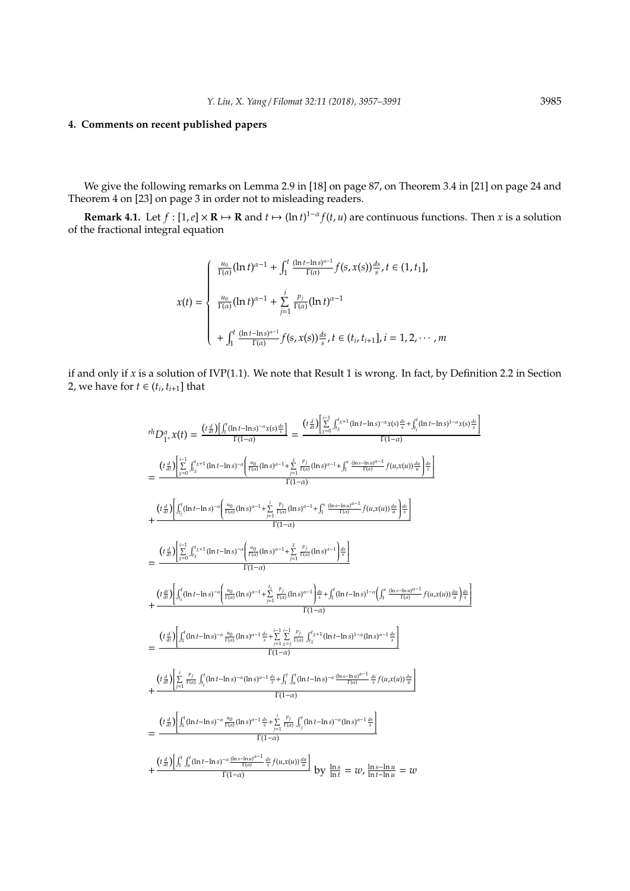## **4. Comments on recent published papers**

We give the following remarks on Lemma 2.9 in [18] on page 87, on Theorem 3.4 in [21] on page 24 and Theorem 4 on [23] on page 3 in order not to misleading readers.

**Remark 4.1.** Let  $f : [1,e] \times \mathbf{R} \mapsto \mathbf{R}$  and  $t \mapsto (\ln t)^{1-\alpha} f(t, u)$  are continuous functions. Then *x* is a solution of the fractional integral equation

$$
x(t) = \begin{cases} \frac{u_0}{\Gamma(\alpha)} (\ln t)^{\alpha - 1} + \int_1^t \frac{(\ln t - \ln s)^{\alpha - 1}}{\Gamma(\alpha)} f(s, x(s)) \frac{ds}{s}, t \in (1, t_1], \\ \frac{u_0}{\Gamma(\alpha)} (\ln t)^{\alpha - 1} + \sum_{j=1}^i \frac{p_j}{\Gamma(\alpha)} (\ln t)^{\alpha - 1} \\ + \int_1^t \frac{(\ln t - \ln s)^{\alpha - 1}}{\Gamma(\alpha)} f(s, x(s)) \frac{ds}{s}, t \in (t_i, t_{i+1}], i = 1, 2, \cdots, m \end{cases}
$$

if and only if *x* is a solution of IVP(1.1). We note that Result 1 is wrong. In fact, by Definition 2.2 in Section 2, we have for  $t \in (t_i, t_{i+1}]$  that

$$
r^{\dagger}D_{1}^{\alpha}x(t) = \frac{(t_{\alpha}^{\beta})\int_{1}^{t}(\ln t - \ln s)^{-\alpha}x(s)^{\frac{d}{s}}}{\Gamma(1-\alpha)} = \frac{(t_{\alpha}^{\beta})\left[\sum_{k=0}^{t-1}\int_{1}^{t}x^{1/4}\left(\ln t - \ln s\right)^{-\alpha}x(s)^{\frac{d}{s}} + \int_{1}^{t}(\ln t - \ln s)^{1-\alpha}x(s)^{\frac{d}{s}}\right]}{\Gamma(1-\alpha)}
$$
\n
$$
= \frac{(t_{\alpha}^{\beta})\left[\sum_{k=0}^{t-1}\int_{1}^{t}x^{1/4}\left(\ln t - \ln s\right)^{-\alpha}\left(\frac{u_{0}}{\Gamma(\alpha)}(\ln s)^{\alpha-1} + \sum_{j=1}^{t}\frac{p_{j}}{\Gamma(\alpha)}(\ln s)^{\alpha-1} + \int_{1}^{s}\frac{(\ln s - \ln u)^{\alpha-1}}{\Gamma(\alpha)}f(u,x(u))\frac{du}{u}\right)\frac{ds}{s}\right]}{\Gamma(1-\alpha)}
$$
\n
$$
+ \frac{(t_{\alpha}^{\beta})\left[\int_{t_{i}}^{t}(\ln t - \ln s)^{-\alpha}\left(\frac{u_{0}}{\Gamma(\alpha)}(\ln s)^{\alpha-1} + \sum_{j=1}^{t}\frac{p_{j}}{\Gamma(\alpha)}(\ln s)^{\alpha-1} + \int_{1}^{s}\frac{(\ln s - \ln u)^{\alpha-1}}{\Gamma(\alpha)}f(u,x(u))\frac{du}{u}\right)\frac{ds}{s}\right]}{\Gamma(1-\alpha)}
$$
\n
$$
= \frac{(t_{\alpha}^{\beta})\left[\sum_{k=0}^{t}\int_{1}^{t}x^{1/4}\left(\ln t - \ln s\right)^{-\alpha}\left(\frac{u_{0}}{\Gamma(\alpha)}(\ln s)^{\alpha-1} + \sum_{j=1}^{t}\frac{p_{j}}{\Gamma(\alpha)}(\ln s)^{\alpha-1}\right)\frac{ds}{s}\right]}{\Gamma(1-\alpha)}
$$
\n
$$
+ \frac{(t_{\alpha}^{\beta})\int_{t_{i}}^{t}(\ln t - \ln s)^{-\alpha}\left(\frac{u_{0}}{\Gamma(\alpha)}(\ln s)^{\alpha-1} + \sum_{j=1}^{t}\frac{p_{j}}{\Gamma(\alpha)}(\ln s)^{\alpha-1}\right)\frac{ds}{s} + \int_{1}^{t}(\ln t - \ln
$$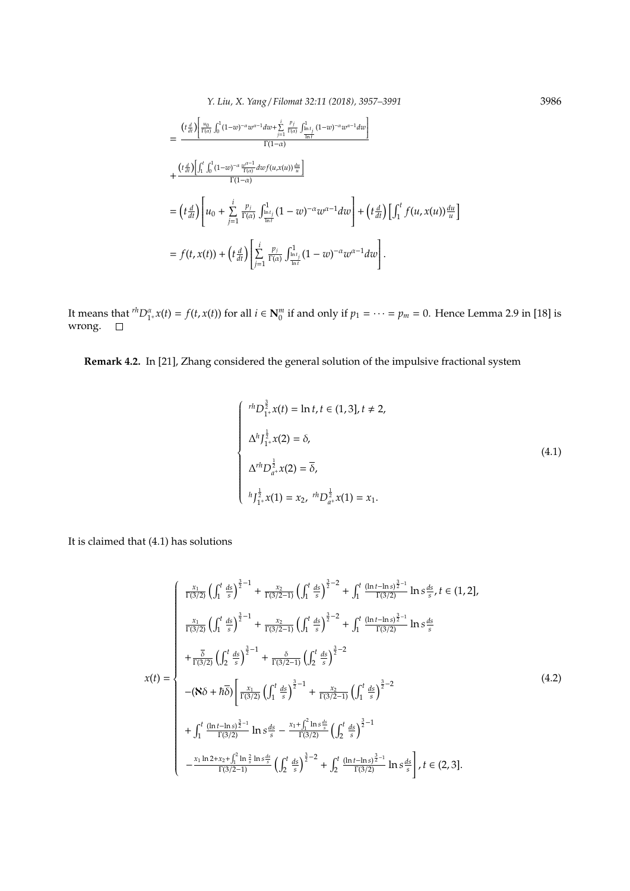*Y. Liu, X. Yang* / *Filomat 32:11 (2018), 3957–3991* 3986

$$
= \frac{\left(t\frac{d}{dt}\right)\left[\frac{u_0}{\Gamma(\alpha)}\int_0^1 (1-w)^{-\alpha}w^{\alpha-1}dw + \sum_{j=1}^i \frac{p_j}{\Gamma(\alpha)}\int_{\frac{\ln t_j}{\ln t}}^1 (1-w)^{-\alpha}w^{\alpha-1}dw\right]}{\Gamma(1-\alpha)} + \frac{\left(t\frac{d}{dt}\right)\left[\int_1^t \int_0^1 (1-w)^{-\alpha}\frac{w^{\alpha-1}}{\Gamma(\alpha)}dw f(u,x(u))\frac{du}{u}\right]}{\Gamma(1-\alpha)} = \left(t\frac{d}{dt}\right)\left[u_0 + \sum_{j=1}^i \frac{p_j}{\Gamma(\alpha)}\int_{\frac{\ln t_j}{\ln t}}^1 (1-w)^{-\alpha}w^{\alpha-1}dw\right] + \left(t\frac{d}{dt}\right)\left[\int_1^t f(u,x(u))\frac{du}{u}\right] = f(t,x(t)) + \left(t\frac{d}{dt}\right)\left[\sum_{j=1}^i \frac{p_j}{\Gamma(\alpha)}\int_{\frac{\ln t_j}{\ln t}}^1 (1-w)^{-\alpha}w^{\alpha-1}dw\right].
$$

It means that  ${}^{rh}D_{1+}^{\alpha}x(t) = f(t, x(t))$  for all  $i \in \mathbb{N}_0^m$  if and only if  $p_1 = \cdots = p_m = 0$ . Hence Lemma 2.9 in [18] is wrong.

**Remark 4.2.** In [21], Zhang considered the general solution of the impulsive fractional system

$$
\begin{cases}\n r^h D_{1^+}^{\frac{3}{2}} x(t) = \ln t, t \in (1,3], t \neq 2, \\
 \Delta^h I_{1^+}^{\frac{1}{2}} x(2) = \delta, \\
 \Delta^{rh} D_{a^+}^{\frac{1}{2}} x(2) = \overline{\delta}, \\
 h I_{1^+}^{\frac{1}{2}} x(1) = x_2, r^h D_{a^+}^{\frac{1}{2}} x(1) = x_1.\n\end{cases}
$$
\n(4.1)

It is claimed that (4.1) has solutions

$$
x(t) = \begin{cases} \frac{x_1}{\Gamma(3/2)} \left( \int_1^t \frac{ds}{s} \right)^{\frac{3}{2}-1} + \frac{x_2}{\Gamma(3/2-1)} \left( \int_1^t \frac{ds}{s} \right)^{\frac{3}{2}-2} + \int_1^t \frac{(\ln t - \ln s)^{\frac{3}{2}-1}}{\Gamma(3/2)} \ln s \frac{ds}{s}, t \in (1,2], \\ \frac{x_1}{\Gamma(3/2)} \left( \int_1^t \frac{ds}{s} \right)^{\frac{3}{2}-1} + \frac{x_2}{\Gamma(3/2-1)} \left( \int_1^t \frac{ds}{s} \right)^{\frac{3}{2}-2} + \int_1^t \frac{(\ln t - \ln s)^{\frac{3}{2}-1}}{\Gamma(3/2)} \ln s \frac{ds}{s} \right. \\ + \frac{\overline{\delta}}{\Gamma(3/2)} \left( \int_2^t \frac{ds}{s} \right)^{\frac{3}{2}-1} + \frac{\delta}{\Gamma(3/2-1)} \left( \int_2^t \frac{ds}{s} \right)^{\frac{3}{2}-2} \\ - (\mathbf{X}\delta + \hbar \delta) \left[ \frac{x_1}{\Gamma(3/2)} \left( \int_1^t \frac{ds}{s} \right)^{\frac{3}{2}-1} + \frac{x_2}{\Gamma(3/2-1)} \left( \int_1^t \frac{ds}{s} \right)^{\frac{3}{2}-2} + \int_1^t \frac{(\ln t - \ln s)^{\frac{3}{2}-1}}{\Gamma(3/2)} \right. \\ + \int_1^t \frac{(\ln t - \ln s)^{\frac{3}{2}-1}}{\Gamma(3/2)} \ln s \frac{ds}{s} - \frac{x_1 + \int_1^2 \ln s \frac{ds}{s}}{\Gamma(3/2)} \left( \int_2^t \frac{ds}{s} \right)^{\frac{3}{2}-1} \left. \frac{1}{\Gamma(3/2)} \ln s \frac{ds}{s} \right], t \in (2, 3]. \end{cases} \tag{4.2}
$$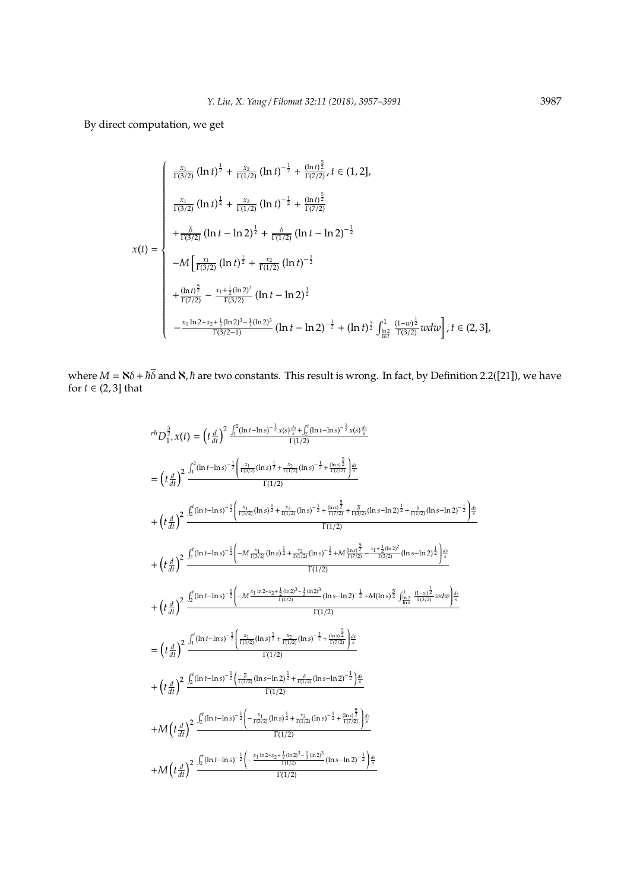By direct computation, we get

$$
x(t) = \begin{cases} \frac{x_1}{\Gamma(3/2)} (\ln t)^{\frac{1}{2}} + \frac{x_2}{\Gamma(1/2)} (\ln t)^{-\frac{1}{2}} + \frac{(\ln t)^{\frac{5}{2}}}{\Gamma(7/2)}, t \in (1, 2], \\ \frac{x_1}{\Gamma(3/2)} (\ln t)^{\frac{1}{2}} + \frac{x_2}{\Gamma(1/2)} (\ln t)^{-\frac{1}{2}} + \frac{(\ln t)^{\frac{5}{2}}}{\Gamma(7/2)} \\ + \frac{\delta}{\Gamma(3/2)} (\ln t - \ln 2)^{\frac{1}{2}} + \frac{\delta}{\Gamma(1/2)} (\ln t - \ln 2)^{-\frac{1}{2}} \\ -M \left[ \frac{x_1}{\Gamma(3/2)} (\ln t)^{\frac{1}{2}} + \frac{x_2}{\Gamma(1/2)} (\ln t)^{-\frac{1}{2}} \right. \\ + \frac{(\ln t)^{\frac{5}{2}}}{\Gamma(7/2)} - \frac{x_1 + \frac{1}{2} (\ln 2)^2}{\Gamma(3/2)} (\ln t - \ln 2)^{\frac{1}{2}} \\ -\frac{x_1 \ln 2 + x_2 + \frac{1}{2} (\ln 2)^3 - \frac{1}{3} (\ln 2)^3}{\Gamma(3/2 - 1)} (\ln t - \ln 2)^{-\frac{1}{2}} + (\ln t)^{\frac{5}{2}} \int_{\frac{\ln 2}{\ln t}}^1 \frac{(1 - w)^{\frac{1}{2}}}{\Gamma(3/2)} w dw \right], t \in (2, 3], \end{cases}
$$

where  $M = \mathbf{N} \delta + \hbar \overline{\delta}$  and  $\mathbf{N}$ ,  $\hbar$  are two constants. This result is wrong. In fact, by Definition 2.2([21]), we have for  $t \in (2, 3]$  that

$$
r^{\frac{1}{2}}D_{1}^{2}x(t) = (t\frac{d}{dt})^{2} \frac{\int_{1}^{2}(\ln t - \ln s)^{-\frac{1}{2}}x(s)\frac{ds}{s} + \int_{2}^{t}(\ln t - \ln s)^{-\frac{1}{2}}x(s)\frac{ds}{s}}{\Gamma(1/2)}
$$
\n
$$
= (t\frac{d}{dt})^{2} \frac{\int_{1}^{2}(\ln t - \ln s)^{-\frac{1}{2}}\left(\frac{x_{1}}{\Gamma(3/2)}(\ln s)^{\frac{1}{2}} + \frac{x_{2}}{\Gamma(1/2)}(\ln s)^{-\frac{1}{2}} + \frac{(\ln s)^{\frac{5}{2}}}{\Gamma(7/2)}\right)\frac{ds}{s}}{\Gamma(1/2)}
$$
\n
$$
+ (t\frac{d}{dt})^{2} \frac{\int_{2}^{t}(\ln t - \ln s)^{-\frac{1}{2}}\left(\frac{x_{1}}{\Gamma(3/2)}(\ln s)^{\frac{1}{2}} + \frac{x_{2}}{\Gamma(1/2)}(\ln s)^{-\frac{1}{2}} + \frac{(\ln s)^{\frac{5}{2}}}{\Gamma(7/2)} + \frac{\delta}{\Gamma(3/2)}(\ln s - \ln 2)^{\frac{1}{2}} + \frac{\delta}{\Gamma(1/2)}(\ln s - \ln 2)^{-\frac{1}{2}}\right)\frac{ds}{s}}}{\Gamma(1/2)}
$$
\n
$$
+ (t\frac{d}{dt})^{2} \frac{\int_{2}^{t}(\ln t - \ln s)^{-\frac{1}{2}}\left(-M\frac{x_{1}}{\Gamma(3/2)}(\ln s)^{\frac{1}{2}} + \frac{x_{2}}{\Gamma(1/2)}(\ln s)^{-\frac{1}{2}} + M\frac{(\ln s)^{\frac{5}{2}}}{\Gamma(7/2)} - \frac{x_{1} + \frac{1}{2}(\ln 2)^{2}}{(\ln s - \ln 2)^{\frac{1}{2}}}\right)\frac{ds}{s}}}{\Gamma(1/2)}
$$
\n
$$
+ (t\frac{d}{dt})^{2} \frac{\int_{2}^{t}(\ln t - \ln s)^{-\frac{1}{2}}\left(-M\frac{x_{1}}{\Gamma(3/2)}(\ln s)^{\frac{1}{2}} + \frac{x_{2}}{\Gamma(1/2)}(\ln s)^{-\frac{1}{2}} + M(\ln s)^{\frac{5}{2}}\int_{\ln s}^{1} \frac{(\ln
$$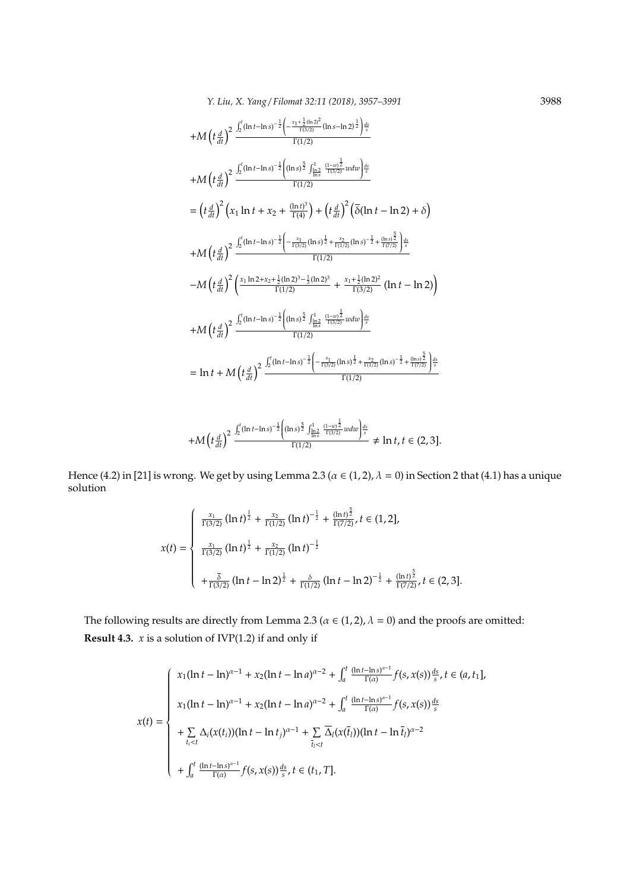$$
+M\left(t\frac{d}{dt}\right)^{2}\frac{\int_{2}^{t}(\ln t - \ln s)^{-\frac{1}{2}}\left(-\frac{x_{1} + \frac{1}{2}(\ln 2)^{2}}{\Gamma(1/2)}(\ln s - \ln 2)^{\frac{1}{2}}\right)\frac{ds}{s}}{\Gamma(1/2)}
$$
\n
$$
+M\left(t\frac{d}{dt}\right)^{2}\frac{\int_{2}^{t}(\ln t - \ln s)^{-\frac{1}{2}}\left((\ln s)^{\frac{5}{2}}\int_{\ln s}^{1} \frac{(1 - w)^{\frac{1}{2}}}{\Gamma(3/2)}w dw\right)\frac{ds}{s}}{\Gamma(1/2)}
$$
\n
$$
= \left(t\frac{d}{dt}\right)^{2}\left(x_{1}\ln t + x_{2} + \frac{(\ln t)^{3}}{\Gamma(4)}\right) + \left(t\frac{d}{dt}\right)^{2}\left(\overline{\delta}(\ln t - \ln 2) + \delta\right)
$$
\n
$$
+M\left(t\frac{d}{dt}\right)^{2}\frac{\int_{2}^{t}(\ln t - \ln s)^{-\frac{1}{2}}\left(-\frac{x_{1}}{\Gamma(3/2)}(\ln s)^{\frac{1}{2}} + \frac{x_{2}}{\Gamma(1/2)}(\ln s)^{-\frac{1}{2}} + \frac{(\ln s)^{\frac{5}{2}}}{\Gamma(7/2)}\right)\frac{ds}{s}}}{\Gamma(1/2)}
$$
\n
$$
-M\left(t\frac{d}{dt}\right)^{2}\left(\frac{x_{1}\ln 2 + x_{2} + \frac{1}{2}(\ln 2)^{3} - \frac{1}{3}(\ln 2)^{3}}{\Gamma(1/2)} + \frac{x_{1} + \frac{1}{2}(\ln 2)^{2}}{\Gamma(3/2)}\left(\ln t - \ln 2\right)\right)
$$
\n
$$
+M\left(t\frac{d}{dt}\right)^{2}\frac{\int_{2}^{t}(\ln t - \ln s)^{-\frac{1}{2}}\left((\ln s)^{\frac{5}{2}}\int_{\ln s}^{1} \frac{(1 - w)^{\frac{1}{2}}}{\Gamma(3/2)}w dw\right)_{s}^{ds}}}{\Gamma(1/2)}
$$
\n
$$
= \ln t + M\left(t\frac{d}{dt}\right)^{2}\frac{\int_{2}^{t}(\ln t - \ln s)^{-\frac{1}{2}}\left((\
$$

$$
+M\left(t\frac{d}{dt}\right)^2\frac{\int_2^t(\ln t -\ln s)^{-\frac{1}{2}}\left((\ln s)^{\frac{5}{2}}\int_{\frac{\ln 2}{\ln s}}^1\frac{(1-w)^{\frac{1}{2}}}{\Gamma(3/2)}wdw\right)^{ds}}{\Gamma(1/2)}\neq\ln t,t\in(2,3].
$$

Hence (4.2) in [21] is wrong. We get by using Lemma 2.3 ( $\alpha \in (1, 2)$ ,  $\lambda = 0$ ) in Section 2 that (4.1) has a unique solution

$$
x(t) = \begin{cases} \frac{x_1}{\Gamma(3/2)} (\ln t)^{\frac{1}{2}} + \frac{x_2}{\Gamma(1/2)} (\ln t)^{-\frac{1}{2}} + \frac{(\ln t)^{\frac{5}{2}}}{\Gamma(7/2)}, t \in (1, 2],\\ \frac{x_1}{\Gamma(3/2)} (\ln t)^{\frac{1}{2}} + \frac{x_2}{\Gamma(1/2)} (\ln t)^{-\frac{1}{2}}\\ + \frac{\overline{\delta}}{\Gamma(3/2)} (\ln t - \ln 2)^{\frac{1}{2}} + \frac{\delta}{\Gamma(1/2)} (\ln t - \ln 2)^{-\frac{1}{2}} + \frac{(\ln t)^{\frac{5}{2}}}{\Gamma(7/2)}, t \in (2, 3]. \end{cases}
$$

The following results are directly from Lemma 2.3 ( $\alpha \in (1, 2)$ ,  $\lambda = 0$ ) and the proofs are omitted: **Result 4.3.** *x* is a solution of IVP(1.2) if and only if

$$
x(t) = \begin{cases} x_1(\ln t - \ln)^{\alpha - 1} + x_2(\ln t - \ln a)^{\alpha - 2} + \int_a^t \frac{(\ln t - \ln s)^{\alpha - 1}}{\Gamma(\alpha)} f(s, x(s)) \frac{ds}{s}, t \in (a, t_1], \\ x_1(\ln t - \ln)^{\alpha - 1} + x_2(\ln t - \ln a)^{\alpha - 2} + \int_a^t \frac{(\ln t - \ln s)^{\alpha - 1}}{\Gamma(\alpha)} f(s, x(s)) \frac{ds}{s} \\ + \sum_{t_i < t} \Delta_i (x(t_i))(\ln t - \ln t_j)^{\alpha - 1} + \sum_{\bar{t}_i < t} \overline{\Delta_i} (x(\bar{t}_i))(\ln t - \ln \bar{t}_i)^{\alpha - 2} \\ + \int_a^t \frac{(\ln t - \ln s)^{\alpha - 1}}{\Gamma(\alpha)} f(s, x(s)) \frac{ds}{s}, t \in (t_1, T]. \end{cases}
$$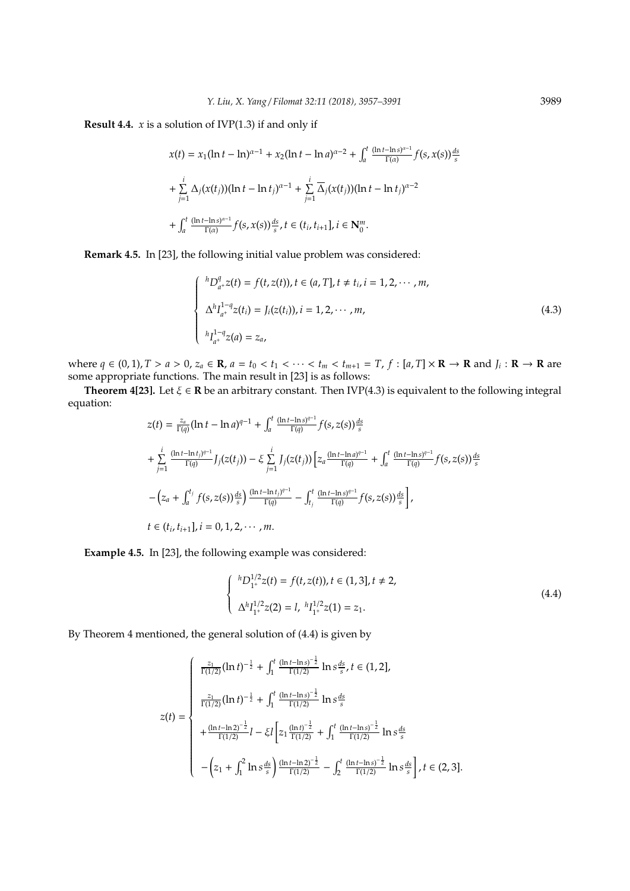**Result 4.4.** *x* is a solution of IVP(1.3) if and only if

$$
x(t) = x_1(\ln t - \ln)^{\alpha - 1} + x_2(\ln t - \ln a)^{\alpha - 2} + \int_a^t \frac{(\ln t - \ln s)^{\alpha - 1}}{\Gamma(\alpha)} f(s, x(s)) \frac{ds}{s}
$$
  
+ 
$$
\sum_{j=1}^i \Delta_j(x(t_j))(\ln t - \ln t_j)^{\alpha - 1} + \sum_{j=1}^i \overline{\Delta}_j(x(t_j))(\ln t - \ln t_j)^{\alpha - 2}
$$
  
+ 
$$
\int_a^t \frac{(\ln t - \ln s)^{\alpha - 1}}{\Gamma(\alpha)} f(s, x(s)) \frac{ds}{s}, t \in (t_i, t_{i+1}], i \in \mathbb{N}_0^m.
$$

**Remark 4.5.** In [23], the following initial value problem was considered:

$$
\begin{cases}\n^{h}D_{a^{+}}^{q}(t) = f(t, z(t)), t \in (a, T], t \neq t_{i}, i = 1, 2, \cdots, m, \\
\Delta^{h}I_{a^{+}}^{1-q}z(t_{i}) = J_{i}(z(t_{i})), i = 1, 2, \cdots, m, \\
^{h}I_{a^{+}}^{1-q}z(a) = z_{a},\n\end{cases}
$$
\n(4.3)

where  $q \in (0,1)$ ,  $T > a > 0$ ,  $z_a \in \mathbb{R}$ ,  $a = t_0 < t_1 < \cdots < t_m < t_{m+1} = T$ ,  $f : [a, T] \times \mathbb{R} \to \mathbb{R}$  and  $J_i : \mathbb{R} \to \mathbb{R}$  are some appropriate functions. The main result in [23] is as follows:

**Theorem 4[23].** Let  $\xi \in \mathbb{R}$  be an arbitrary constant. Then IVP(4.3) is equivalent to the following integral equation:

$$
z(t) = \frac{z_a}{\Gamma(q)} (\ln t - \ln a)^{q-1} + \int_a^t \frac{(\ln t - \ln s)^{q-1}}{\Gamma(q)} f(s, z(s)) \frac{ds}{s}
$$
  
+ 
$$
\sum_{j=1}^i \frac{(\ln t - \ln t_j)^{q-1}}{\Gamma(q)} J_j(z(t_j)) - \xi \sum_{j=1}^i J_j(z(t_j)) \left[ z_a \frac{(\ln t - \ln a)^{q-1}}{\Gamma(q)} + \int_a^t \frac{(\ln t - \ln s)^{q-1}}{\Gamma(q)} f(s, z(s)) \frac{ds}{s} \right]
$$
  
- 
$$
\left( z_a + \int_a^{t_j} f(s, z(s)) \frac{ds}{s} \right) \frac{(\ln t - \ln t_j)^{q-1}}{\Gamma(q)} - \int_{t_j}^t \frac{(\ln t - \ln s)^{q-1}}{\Gamma(q)} f(s, z(s)) \frac{ds}{s} \right],
$$
  

$$
t \in (t_i, t_{i+1}], i = 0, 1, 2, \cdots, m.
$$

**Example 4.5.** In [23], the following example was considered:

$$
\begin{cases} {}^{h}D_{1+}^{1/2}z(t) = f(t, z(t)), t \in (1,3], t \neq 2, \\ \Delta^{h}I_{1+}^{1/2}z(2) = l, {}^{h}I_{1+}^{1/2}z(1) = z_{1}. \end{cases}
$$
(4.4)

By Theorem 4 mentioned, the general solution of (4.4) is given by

$$
z(t) = \begin{cases} \frac{z_1}{\Gamma(1/2)} (\ln t)^{-\frac{1}{2}} + \int_1^t \frac{(\ln t - \ln s)^{-\frac{1}{2}}}{\Gamma(1/2)} \ln s \frac{ds}{s}, t \in (1, 2], \\ \frac{z_1}{\Gamma(1/2)} (\ln t)^{-\frac{1}{2}} + \int_1^t \frac{(\ln t - \ln s)^{-\frac{1}{2}}}{\Gamma(1/2)} \ln s \frac{ds}{s} \\ + \frac{(\ln t - \ln 2)^{-\frac{1}{2}}}{\Gamma(1/2)} l - \xi l \left[ z_1 \frac{(\ln t)^{-\frac{1}{2}}}{\Gamma(1/2)} + \int_1^t \frac{(\ln t - \ln s)^{-\frac{1}{2}}}{\Gamma(1/2)} \ln s \frac{ds}{s} \right] \\ - \left( z_1 + \int_1^2 \ln s \frac{ds}{s} \right) \frac{(\ln t - \ln 2)^{-\frac{1}{2}}}{\Gamma(1/2)} - \int_2^t \frac{(\ln t - \ln s)^{-\frac{1}{2}}}{\Gamma(1/2)} \ln s \frac{ds}{s} \right], t \in (2, 3]. \end{cases}
$$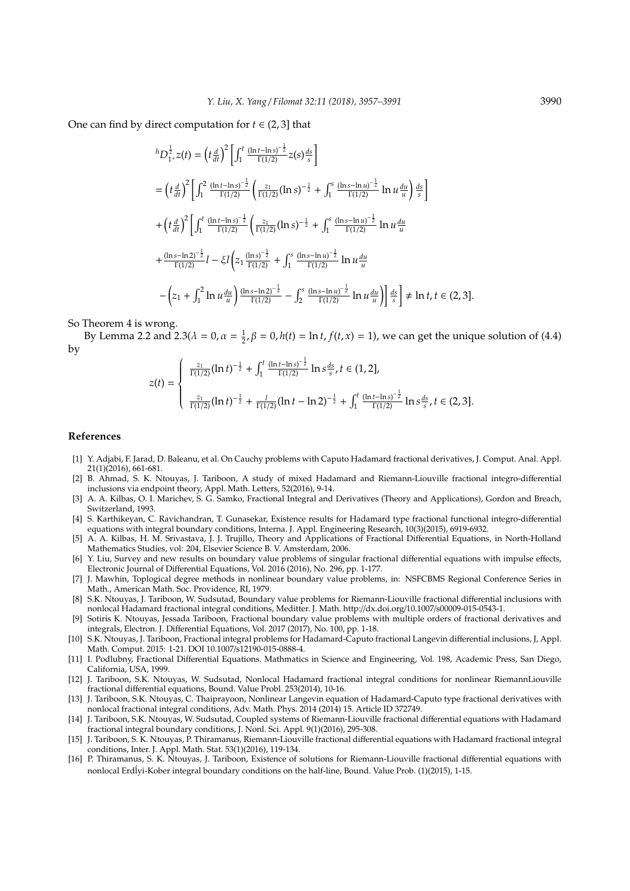One can find by direct computation for  $t \in (2, 3]$  that

$$
{}^{h}D_{1^{+}}^{\frac{1}{2}}z(t) = \left(t\frac{d}{dt}\right)^{2}\left[\int_{1}^{t}\frac{(\ln t - \ln s)^{-\frac{1}{2}}}{\Gamma(1/2)}z(s)\frac{ds}{s}\right]
$$
  
\n
$$
= \left(t\frac{d}{dt}\right)^{2}\left[\int_{1}^{2}\frac{(\ln t - \ln s)^{-\frac{1}{2}}}{\Gamma(1/2)}\left(\frac{z_{1}}{\Gamma(1/2)}(\ln s)^{-\frac{1}{2}} + \int_{1}^{s}\frac{(\ln s - \ln u)^{-\frac{1}{2}}}{\Gamma(1/2)}\ln u\frac{du}{u}\right)\frac{ds}{s}\right]
$$
  
\n
$$
+ \left(t\frac{d}{dt}\right)^{2}\left[\int_{1}^{t}\frac{(\ln t - \ln s)^{-\frac{1}{2}}}{\Gamma(1/2)}\left(\frac{z_{1}}{\Gamma(1/2)}(\ln s)^{-\frac{1}{2}} + \int_{1}^{s}\frac{(\ln s - \ln u)^{-\frac{1}{2}}}{\Gamma(1/2)}\ln u\frac{du}{u}\right)\right]
$$
  
\n
$$
+ \frac{(\ln s - \ln 2)^{-\frac{1}{2}}}{\Gamma(1/2)}l - \xi l\left(z_{1}\frac{(\ln s)^{-\frac{1}{2}}}{\Gamma(1/2)} + \int_{1}^{s}\frac{(\ln s - \ln u)^{-\frac{1}{2}}}{\Gamma(1/2)}\ln u\frac{du}{u}\right)
$$
  
\n
$$
- \left(z_{1} + \int_{1}^{2}\ln u\frac{du}{u}\right)\frac{(\ln s - \ln 2)^{-\frac{1}{2}}}{\Gamma(1/2)} - \int_{2}^{s}\frac{(\ln s - \ln u)^{-\frac{1}{2}}}{\Gamma(1/2)}\ln u\frac{du}{u}\right)\frac{ds}{s} \right] \neq \ln t, t \in (2, 3].
$$

So Theorem 4 is wrong.

By Lemma 2.2 and 2.3( $\lambda = 0$ ,  $\alpha = \frac{1}{2}$ ,  $\beta = 0$ ,  $h(t) = \ln t$ ,  $f(t, x) = 1$ ), we can get the unique solution of (4.4) by

$$
z(t) = \begin{cases} \frac{z_1}{\Gamma(1/2)} (\ln t)^{-\frac{1}{2}} + \int_1^t \frac{(\ln t - \ln s)^{-\frac{1}{2}}}{\Gamma(1/2)} \ln s \frac{ds}{s}, t \in (1, 2],\\ \frac{z_1}{\Gamma(1/2)} (\ln t)^{-\frac{1}{2}} + \frac{l}{\Gamma(1/2)} (\ln t - \ln 2)^{-\frac{1}{2}} + \int_1^t \frac{(\ln t - \ln s)^{-\frac{1}{2}}}{\Gamma(1/2)} \ln s \frac{ds}{s}, t \in (2, 3]. \end{cases}
$$

#### **References**

- [1] Y. Adjabi, F. Jarad, D. Baleanu, et al. On Cauchy problems with Caputo Hadamard fractional derivatives, J. Comput. Anal. Appl. 21(1)(2016), 661-681.
- [2] B. Ahmad, S. K. Ntouyas, J. Tariboon, A study of mixed Hadamard and Riemann-Liouville fractional integro-differential inclusions via endpoint theory, Appl. Math. Letters, 52(2016), 9-14.
- [3] A. A. Kilbas, O. I. Marichev, S. G. Samko, Fractional Integral and Derivatives (Theory and Applications), Gordon and Breach, Switzerland, 1993.
- [4] S. Karthikeyan, C. Ravichandran, T. Gunasekar, Existence results for Hadamard type fractional functional integro-differential equations with integral boundary conditions, Interna. J. Appl. Engineering Research, 10(3)(2015), 6919-6932.
- [5] A. A. Kilbas, H. M. Srivastava, J. J. Trujillo, Theory and Applications of Fractional Differential Equations, in North-Holland Mathematics Studies, vol: 204, Elsevier Science B. V. Amsterdam, 2006.
- [6] Y. Liu, Survey and new results on boundary value problems of singular fractional differential equations with impulse effects, Electronic Journal of Differential Equations, Vol. 2016 (2016), No. 296, pp. 1-177.
- [7] J. Mawhin, Toplogical degree methods in nonlinear boundary value problems, in: NSFCBMS Regional Conference Series in Math., American Math. Soc. Providence, RI, 1979.
- [8] S.K. Ntouyas, J. Tariboon, W. Sudsutad, Boundary value problems for Riemann-Liouville fractional differential inclusions with nonlocal Hadamard fractional integral conditions, Meditter. J. Math. http://dx.doi.org/10.1007/s00009-015-0543-1.
- [9] Sotiris K. Ntouyas, Jessada Tariboon, Fractional boundary value problems with multiple orders of fractional derivatives and integrals, Electron. J. Differential Equations, Vol. 2017 (2017), No. 100, pp. 1-18.
- [10] S.K. Ntouyas, J. Tariboon, Fractional integral problems for Hadamard-Caputo fractional Langevin differential inclusions, J, Appl. Math. Comput. 2015: 1-21. DOI 10.1007/s12190-015-0888-4.
- [11] I. Podlubny, Fractional Differential Equations. Mathmatics in Science and Engineering, Vol. 198, Academic Press, San Diego, California, USA, 1999.
- [12] J. Tariboon, S.K. Ntouyas, W. Sudsutad, Nonlocal Hadamard fractional integral conditions for nonlinear RiemannLiouville fractional differential equations, Bound. Value Probl. 253(2014), 10-16.
- [13] J. Tariboon, S.K. Ntouyas, C. Thaiprayoon, Nonlinear Langevin equation of Hadamard-Caputo type fractional derivatives with nonlocal fractional integral conditions, Adv. Math. Phys. 2014 (2014) 15. Article ID 372749.
- [14] J. Tariboon, S.K. Ntouyas, W. Sudsutad, Coupled systems of Riemann-Liouville fractional differential equations with Hadamard fractional integral boundary conditions, J. Nonl. Sci. Appl. 9(1)(2016), 295-308.
- [15] J. Tariboon, S. K. Ntouyas, P. Thiramanus, Riemann-Liouville fractional differential equations with Hadamard fractional integral conditions, Inter. J. Appl. Math. Stat. 53(1)(2016), 119-134.
- [16] P. Thiramanus, S. K. Ntouyas, J. Tariboon, Existence of solutions for Riemann-Liouville fractional differential equations with nonlocal Erd´ lyi-Kober integral boundary conditions on the half-line, Bound. Value Prob. (1)(2015), 1-15.